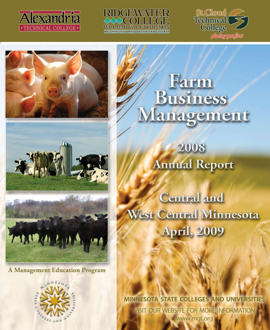











**A Management Education Program** 



# Farm **Business** Management

2008 **Annual Report** 

**Central and** West Central Minnesota **April**, 2009

MINNESOTA STATE COLLEGES AND UNIVERSIT VISIT OUR WEBSITE FOR MORE INFORMATION www.mgt.org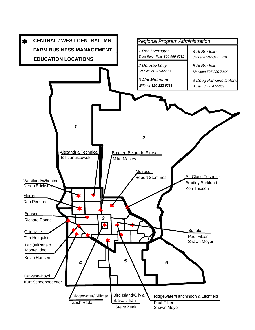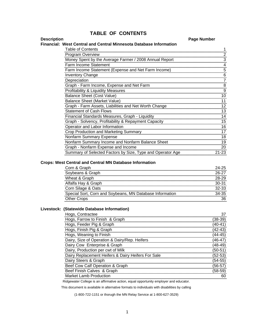## **TABLE OF CONTENTS**

#### **Description Page Number**

#### **Financial: West Central and Central Minnesota Database Information**

| <b>Table of Contents</b>                                   |       |
|------------------------------------------------------------|-------|
| <b>Program Overview</b>                                    |       |
| Money Spent by the Average Farmer / 2008 Annual Report     |       |
| Farm Income Statement                                      |       |
| Farm Income Statement (Expense and Net Farm Income)        |       |
| <b>Inventory Change</b>                                    |       |
| Depreciation                                               |       |
| Graph - Farm Income, Expense and Net Farm                  |       |
| Profitability & Liquidity Measures                         |       |
| <b>Balance Sheet (Cost Value)</b>                          | 10    |
| <b>Balance Sheet (Market Value)</b>                        |       |
| Graph - Farm Assets, Liabilities and Net Worth Change      | 12    |
| <b>Statement of Cash Flows</b>                             | 13    |
| Financial Standards Measures, Graph - Liquidity            | 14    |
| Graph - Solvency, Profitability & Repayment Capacity       | 15    |
| Operator and Labor Information                             |       |
| <b>Crop Production and Marketing Summary</b>               |       |
| <b>Nonfarm Summary Expense</b>                             |       |
| Nonfarm Summary Income and Nonfarm Balance Sheet           | 19    |
| Graph - Nonfarm Expense and Income                         |       |
| Summary of Selected Factors by Size, Type and Operator Age | 21-23 |

#### **Crops: West Central and Central MN Database Information**

| Corn & Graph                                             |  |
|----------------------------------------------------------|--|
| Soybeans & Graph                                         |  |
| Wheat & Graph                                            |  |
| Alfalfa Hay & Graph                                      |  |
| Corn Silage & Oats                                       |  |
| Special Sort, Corn and Soybeans, MN Database Information |  |
| <b>Other Crops</b>                                       |  |
|                                                          |  |

#### **Livestock: (Statewide Database Information)**

| Hogs, Contractee                                                                      |  |
|---------------------------------------------------------------------------------------|--|
| Hogs, Farrow to Finish & Graph                                                        |  |
| Hogs, Feeder Pig & Graph                                                              |  |
| Hogs, Finish Pig & Graph                                                              |  |
| Hogs, Weaning to Finish                                                               |  |
| Dairy, Size of Operation & Dairy/Rep. Heifers                                         |  |
| Dairy Cow Enterprise & Graph                                                          |  |
| Dairy, Production per cwt of Milk                                                     |  |
| Dairy Replacement Heifers & Dairy Heifers For Sale                                    |  |
| Dairy Steers & Graph                                                                  |  |
| Beef Cow Calf Operation & Graph                                                       |  |
| Beef Finish Calves & Graph                                                            |  |
| Market Lamb Production                                                                |  |
| Ridgewater College is an affirmative action, equal opportunity employer and educator. |  |

This document is available in alternative formats to individuals with disabilities by calling

(1-800-722-1151 or thorugh the MN Relay Service at 1-800-627-3529)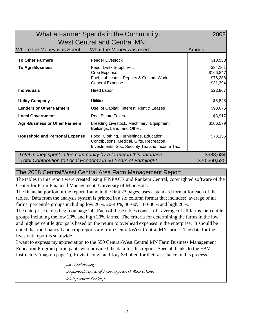| What a Farmer Spends in the Community                                         |                                                                                                                                        |                                               |  |  |  |  |
|-------------------------------------------------------------------------------|----------------------------------------------------------------------------------------------------------------------------------------|-----------------------------------------------|--|--|--|--|
| <b>West Central and Central MN</b>                                            |                                                                                                                                        |                                               |  |  |  |  |
| Where the Money was Spent:<br>What the Money was used for:<br>Amount          |                                                                                                                                        |                                               |  |  |  |  |
| <b>To Other Farmers</b>                                                       | Feeder Livestock                                                                                                                       | \$18,553                                      |  |  |  |  |
| <b>To Agri-Business</b>                                                       | Feed, Lvstk Suppl, Vet,<br>Crop Expense<br>Fuel, Lubricants, Repairs & Custom Work<br><b>General Expense</b>                           | \$84,161<br>\$166,847<br>\$76,288<br>\$31,394 |  |  |  |  |
| <b>Individuals</b>                                                            | <b>Hired Labor</b>                                                                                                                     | \$22,867                                      |  |  |  |  |
| <b>Utility Company</b>                                                        | <b>Utilities</b>                                                                                                                       | \$6,848                                       |  |  |  |  |
| <b>Lenders or Other Farmers</b>                                               | Use of Capital: Interest, Rent & Leases                                                                                                | \$93,075                                      |  |  |  |  |
| <b>Local Government</b>                                                       | <b>Real Estate Taxes</b>                                                                                                               | \$3,917                                       |  |  |  |  |
| <b>Agri-Business or Other Farmers</b>                                         | Breeding Livestock, Machinery, Equipment,<br>Buildings, Land, and Other.                                                               | \$106,579                                     |  |  |  |  |
| <b>Household and Personal Expense</b>                                         | Food, Clothing, Furnishings, Education<br>Contributions, Medical, Gifts, Recreation,<br>Investments, Soc. Security Tax and Income Tax. | \$78,155                                      |  |  |  |  |
|                                                                               | Total money spent in the community by a farmer in this database                                                                        | \$688,684                                     |  |  |  |  |
| Total Contribution to Local Economy in 30 Years of Farming!!!<br>\$20,660,520 |                                                                                                                                        |                                               |  |  |  |  |

# The 2008 Central/West Central Area Farm Management Report

The tables in this report were created using FINPACK and Rankem Central, copyrighted software of the Center for Farm Financial Management, University of Minnesota.

The financial portion of the report, found in the first 23 pages, uses a standard format for each of the tables. Data from the analysis system is printed in a six column format that includes: average of all farms, percentile groups including low 20%, 20-40%, 40-60%, 60-80% and high 20%.

The enterprise tables begin on page 24. Each of these tables consist of: average of all farms, percentile groups including the low 20% and high 20% farms. The criteria for determining the farms in the low and high percentile groups is based on the return to overhead expenses in the enterprise. It should be noted that the financial and crop reports are from Central/West Central MN farms. The data for the livestock report is statewide.

I want to express my appreciation to the 550 Central/West Central MN Farm Business Management Education Program participants who provided the data for this report. Special thanks to the FBM instructors (map on page 1), Kevin Clough and Kay Scholten for their assistance in this process.

> Jim Molenaar, Regional Dean of Management Education Ridgewater College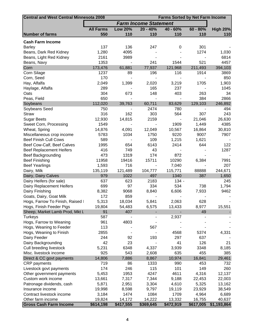| <b>Central and West Central Minnesota 2008</b><br><b>Farms Sorted by Net Farm Income</b> |                  |                |                              |                          |            |                 |
|------------------------------------------------------------------------------------------|------------------|----------------|------------------------------|--------------------------|------------|-----------------|
|                                                                                          |                  |                | <b>Farm Income Statement</b> |                          |            |                 |
|                                                                                          | <b>All Farms</b> | <b>Low 20%</b> | $20 - 40%$                   | $40 - 60%$               | $60 - 80%$ | <b>High 20%</b> |
| <b>Number of farms</b>                                                                   | 550              | 110            | 110                          | 110                      | 110        | 110             |
|                                                                                          |                  |                |                              |                          |            |                 |
| <b>Cash Farm Income</b>                                                                  |                  |                |                              |                          |            |                 |
| <b>Barley</b>                                                                            | 137              | 136            | 247                          | 0                        | 301        |                 |
| Beans, Dark Red Kidney                                                                   | 1,280            | 4095           |                              |                          | 1274       | 1,030           |
| Beans, Light Red Kidney                                                                  | 2161             | 3989           |                              |                          |            | 6814            |
| Beans, Navy                                                                              | 1353             |                | 241                          | 1544                     | 521        | 4457            |
| Corn                                                                                     | 173,476          | 61,881         | 77,937                       | 121,968                  | 211,493    | 394,103         |
| Corn Silage                                                                              | 1237             | 89             | 196                          | 116                      | 1914       | 3869            |
| Corn, Seed                                                                               | 170              |                |                              |                          |            | 850             |
| Hay, Alfalfa                                                                             | 2,049            | 1,399          | 2,020                        | 3,219                    | 1705       | 1,903           |
| Haylage, Alfalfa                                                                         | 289              |                | 165                          | 237                      |            | 1045            |
| Oats                                                                                     | 304              | 673            | 148                          | 403                      | 263        | 34              |
| Peas, Field                                                                              | 650              |                |                              |                          | 384        | 2866            |
| Soybeans                                                                                 | 112,020          | 39,763         | 60,711                       | 83,629                   | 129,103    | 246,892         |
| Soybeans Seed                                                                            | 750              |                | 2474                         | 780                      |            | 494             |
| <b>Straw</b>                                                                             | 316              | 162            | 303                          | 564                      | 307        | 243             |
| <b>Sugar Beets</b>                                                                       | 12,930           | 14,815         | 2159                         | $\overline{\phantom{0}}$ | 21,046     | 26,630          |
| Sweet Corn, Processing                                                                   | 1549             |                |                              | 1909                     | 1,449      | 4385            |
| Wheat, Spring                                                                            | 14,876           | 4,091          | 12,049                       | 10,567                   | 16,864     | 30,810          |
| Miscellaneous crop income                                                                | 5783             | 1034           | 1750                         | 9220                     | 9007       | 7907            |
| <b>Beef Finish Cull Cows</b>                                                             | 589              |                | 109                          | 1,215                    | 1,621      |                 |
| Beef Cow-Calf, Beef Calves                                                               | 1995             | 654            | 6143                         | 2414                     | 644        | 122             |
| <b>Beef Replacement Heifers</b>                                                          | 416              | 749            | 43                           |                          |            | 1287            |
| <b>Beef Backgrounding</b>                                                                | 473              | 1319           | 174                          | 872                      |            |                 |
| <b>Beef Finishing</b>                                                                    | 11958            | 19416          | 15711                        | 10290                    | 6,384      | 7991            |
| <b>Beef Yearlings</b>                                                                    | 1,593            | 716            |                              | 7,040                    |            | 207             |
| Dairy, Milk                                                                              | 135,119          | 121,489        | 104,777                      | 115,771                  | 88888      | 244,671         |
| Dairy, Dairy Calves                                                                      | 979              | 1022           | 497                          | 1340                     | 387        | 1,650           |
| Dairy Heifers (for sale)                                                                 | 637              | 623            | 2183                         | $134 -$                  |            | 245             |
| Dairy Replacement Heifers                                                                | 699              | 97             | 334                          | 534                      | 738        | 1,794           |
| Dairy Finishing                                                                          | 8,382            | 9068           | 8,840                        | 6,606                    | 7,933      | 9462            |
| Goats, Dairy, Goat Milk                                                                  | 172              | 859            |                              |                          |            |                 |
| Hogs, Farrow To Finish, Raised I                                                         | 5,313            | 18,034         | 5,841                        | 2,063                    | 628        |                 |
| Hogs, Finish Feeder Pigs                                                                 | 19,804           | 54,483         | 6,575                        | 13,433                   | 8,977      | 15,551          |
| Sheep, Market Lamb Prod, Mkt L                                                           | 91               | 407            |                              |                          | 49         |                 |
|                                                                                          |                  |                |                              |                          |            |                 |
| <b>Turkeys</b>                                                                           | 587              |                |                              | 2,937                    |            |                 |
| Hogs, Farrow to Weaning                                                                  | 961              | 4803           |                              |                          |            |                 |
| Hogs, Weaning to Feeder                                                                  | 113              |                | 567                          |                          |            |                 |
| Hogs, Weaning to Finish                                                                  | 2855             |                |                              | 4568                     | 5374       | 4,331           |
| Dairy Feeder                                                                             | 244              | 92             | 193                          | 297                      | 637        |                 |
| Dairy Backgrounding                                                                      | 42               | 23             |                              | 41                       | 126        | 21              |
| Cull breeding livestock                                                                  | 5,231            | 6348           | 4,337                        | 3,939                    | 3348       | 8,185           |
| Misc. livestock income                                                                   | 925              | 543            | 2,608                        | 635                      | 455        | 385             |
| Direct & CC govt payments                                                                | 14,806           | 7,886          | 8,867                        | 10,974                   | 16,841     | 29,461          |
| <b>CRP</b> payments                                                                      | 719              | 86             | 1333                         | 990                      | 453        | 732             |
| Livestock govt payments                                                                  | 174              | 246            | 115                          | 101                      | 149        | 260             |
| Other government payments                                                                | 5,453            | 1953           | 4247                         | 4611                     | 4,316      | 12,137          |
| Custom work income                                                                       | 13,661           | 7,317          | 7,344                        | 9,188                    | 22,453     | 22,003          |
| Patronage dividends, cash                                                                | 5,871            | 2,951          | 3,304                        | 4,610                    | 5,325      | 13,162          |
| Insurance income                                                                         | 19,998           | 8,598          | 9,797                        | 19,119                   | 23,929     | 38,549          |
| Contract livestock income                                                                | 3,184            | 1474           | 1084                         | 1709                     | 4,964      | 6,689           |
| Other farm income                                                                        | 19,824           | 14,172         | 14,222                       | 13,332                   | 16,755     | 40,637          |
| <b>Gross Cash Farm Income</b>                                                            | \$614,198        | \$417,555      | \$369,645                    | \$472,919                | \$617,005  | \$1,193,864     |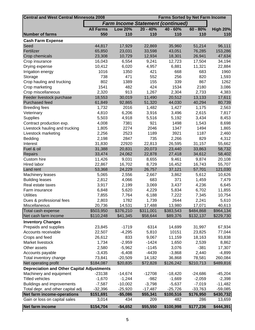| <b>Central and West Central Minnesota 2008</b><br><b>Farms Sorted by Net Farm Income</b> |                  |                                          |            |            |            |                 |
|------------------------------------------------------------------------------------------|------------------|------------------------------------------|------------|------------|------------|-----------------|
|                                                                                          |                  | <b>Farm Income Statement (continued)</b> |            |            |            |                 |
|                                                                                          | <b>All Farms</b> | <b>Low 20%</b>                           | $20 - 40%$ | $40 - 60%$ | $60 - 80%$ | <b>High 20%</b> |
| <b>Number of farms</b>                                                                   | 550              | 110                                      | 110        | 110        | 110        | 110             |
| <b>Cash Farm Expense</b>                                                                 |                  |                                          |            |            |            |                 |
| Seed                                                                                     | 44,817           | 17,929                                   | 22,869     | 35,960     | 51,214     | 96,111          |
| Fertilizer                                                                               | 65,850           | 23,031                                   | 33,598     | 43,051     | 76,285     | 153,286         |
| Crop chemicals                                                                           | 23,308           | 10,729                                   | 12,934     | 18,301     | 26,941     | 47,634          |
| Crop insurance                                                                           | 16,043           | 6,554                                    | 9,241      | 12,723     | 17,504     | 34,194          |
| Drying expense                                                                           | 10,412           | 6,020                                    | 4,957      | 6,881      | 11,321     | 22,884          |
| Irrigation energy                                                                        | 1016             | 1350                                     | 421        | 668        | 683        | 1960            |
| Storage                                                                                  | 738              | 471                                      | 552        | 256        | 820        | 1,593           |
| Crop hauling and trucking                                                                | 802              | 1389                                     | 155        | 339        | 867        | 1262            |
| Crop marketing                                                                           | 1541             | 482                                      | 424        | 1534       | 2180       | 3,086           |
| Crop miscellaneous                                                                       | 2,320            | 913                                      | 1,267      | 2,304      | 2,733      | 4,383           |
| Feeder livestock purchase                                                                | 18,553           | 30,019                                   | 11,490     | 20,512     | 13,133     | 17,611          |
| Purchased feed                                                                           | 61,849           | 92,865                                   | 51,320     | 44,030     | 40,294     | 80,739          |
| <b>Breeding fees</b>                                                                     | 1,732            | 2016                                     | 1,482      | 1,427      | 1,175      | 2,563           |
| Veterinary                                                                               | 4,810            | 6,206                                    | 3,916      | 3,496      | 2,615      | 7,817           |
| <b>Supplies</b>                                                                          | 5,503            | 4,918                                    | 5,516      | 5,192      | 3,434      | 8,453           |
| Contract production exp.                                                                 | 4,008            | 7381                                     | 921        | 1498       | 1,543      | 8,698           |
| Livestock hauling and trucking                                                           | 1,805            | 2274                                     | 2046       | 1347       | 1494       | 1,865           |
| Livestock marketing                                                                      | 2,256            | 2523                                     | 1189       | 3921       | 1187       | 2,460           |
| Bedding                                                                                  | 2,198            | 2847                                     | 735        | 2,266      | 829        | 4,312           |
| Interest                                                                                 | 31,830           | 22920                                    | 22,813     | 26,595     | 31,157     | 55,662          |
| Fuel & oil                                                                               | 31,388           | 20,831                                   | 20,073     | 23,440     | 33,863     | 58,732          |
| Repairs                                                                                  | 33,474           | 24,062                                   | 22,878     | 27,418     | 34,612     | 58,402          |
| Custom hire                                                                              | 11,426           | 9,031                                    | 8,655      | 9,461      | 9,874      | 20,108          |
| Hired labor                                                                              | 22,867           | 16,702                                   | 8,729      | 16,452     | 16,743     | 55,707          |
| Land rent                                                                                | 53,368           | 24,229                                   | 26,757     | 37,121     | 57,701     | 121,030         |
| Machinery leases                                                                         | 5,065            | 2,556                                    | 2,667      | 3,862      | 5,612      | 10,626          |
| <b>Building leases</b>                                                                   | 2,812            | 4,066                                    | 683        | 371        | 1,459      | 7,479           |
| Real estate taxes                                                                        | 3,917            | 2,199                                    | 3,069      | 3,437      | 4,236      | 6,645           |
| Farm insurance                                                                           | 6,848            | 5,620                                    | 4,229      | 5,834      | 6,702      | 11,855          |
| <b>Utilities</b>                                                                         | 7,855            | 7,764                                    | 6,188      | 7,222      | 7,345      | 10,754          |
| Dues & professional fees                                                                 | 2,803            | 1782                                     | 1,739      | 2644       | 2,241      | 5,610           |
| Miscellaneous                                                                            | 20,736           | 14,531                                   | 17,488     | 13,980     | 17,071     | 40,613          |
| Total cash expense                                                                       | \$503,950        | \$376,210                                | \$311,001  | \$383,543  | \$484,868  | \$964,134       |
| Net cash farm income                                                                     | \$110,248        | \$41,345                                 | \$58,644   | \$89,376   | \$132,137  | \$229,730       |
| <b>Inventory Changes</b>                                                                 |                  |                                          |            |            |            |                 |
| Prepaids and supplies                                                                    | 23,845           | $-1719$                                  | 6314       | 14,699     | 31,997     | 67,934          |
| Accounts receivable                                                                      | 22,507           | $-4,295$                                 | 5,810      | 10151      | 23,825     | 77,044          |
| Crops and feed                                                                           | 26,612           | 833                                      | 9,067      | 11,159     | 18,163     | 93,838          |
| Market livestock                                                                         | 1,734            | $-2,959$                                 | $-1424$    | 1,650      | 2,539      | 8,862           |
| Other assets                                                                             | 2,580            | $-5,962$                                 | $-1145$    | 3,076      | $-381$     | 17,307          |
| Accounts payable                                                                         | $-3,435$         | $-6,408$                                 | $-4439$    | $-3,868$   | 2,440      | $-4,899$        |
| Total inventory change                                                                   | 73,841           | $-20,509$                                | 14,182     | 36,868     | 78,581     | 260,084         |
| Net operating profit                                                                     | \$184,087        | \$20,835                                 | \$72,828   | \$126,242  | \$210,713  | \$489,816       |
| <b>Depreciation and Other Capital Adjustments</b>                                        |                  |                                          |            |            |            |                 |
| Machinery and equipment                                                                  | $-23138$         | $-14,674$                                | $-12708$   | $-18,420$  | $-24,686$  | $-45,204$       |
| <b>Titled vehicles</b>                                                                   | $-1,670$         | $-1,244$                                 | $-982$     | $-1,669$   | $-2,059$   | $-2,398$        |
| Buildings and improvements                                                               | $-7,587$         | $-10,002$                                | $-3,798$   | $-5,637$   | $-7,019$   | $-11,482$       |
| Total depr. and other capital adj                                                        | $-32,396$        | $-25,920$                                | $-17,487$  | $-25,726$  | $-33,763$  | $-59,085$       |
| <b>Net farm income-operations</b>                                                        | \$151,691        | $-$5,086$                                | \$55,341   | \$100,516  | \$176,950  | \$430,732       |
| Gain or loss on capital sales                                                            | 3,014            | 434                                      | 209        | 482        | 286        | 13,659          |
| <b>Net farm income</b>                                                                   | \$154,704        | $-$4,652$                                | \$55,550   | \$100,998  | \$177,236  | \$444,391       |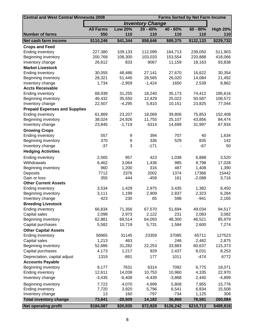| <b>Central and West Central Minnesota 2008</b> |                  |                |                         | <b>Farms Sorted by Net Farm Income</b> |            |                 |
|------------------------------------------------|------------------|----------------|-------------------------|----------------------------------------|------------|-----------------|
|                                                |                  |                | <b>Inventory Change</b> |                                        |            |                 |
|                                                | <b>All Farms</b> | <b>Low 20%</b> | $20 - 40%$              | $40 - 60%$                             | $60 - 80%$ | <b>High 20%</b> |
| <b>Number of farms</b>                         | 550              | 110            | 110                     | 110                                    | 110        | 110             |
| Net cash farm income                           | \$110,246        | \$41,344       | \$58,646                | \$89,375                               | \$132,133  | \$229,732       |
| <b>Crops and Feed</b>                          |                  |                |                         |                                        |            |                 |
| <b>Ending inventory</b>                        | 227,380          | 109,133        | 112,099                 | 164,713                                | 239,050    | 511,903         |
| Beginning inventory                            | 200,768          | 108,300        | 103,033                 | 153,554                                | 220,888    | 418,066         |
| Inventory change                               | 26,612           | 833            | 9067                    | 11,159                                 | 18,163     | 93,838          |
| <b>Market Livestock</b>                        |                  |                |                         |                                        |            |                 |
| <b>Ending inventory</b>                        | 30,055           | 48,486         | 27,141                  | 27,670                                 | 16,622     | 30,354          |
| Beginning inventory                            | 28,321           | 51,445         | 28,565                  | 26,020                                 | 14,084     | 21,492          |
| Inventory change                               | 1,734            | $-2,959$       | $-1,424$                | 1650                                   | 2,539      | 8,862           |
| <b>Accts Receivable</b>                        |                  |                |                         |                                        |            |                 |
| <b>Ending inventory</b>                        | 68,939           | 31,255         | 18,240                  | 35,173                                 | 74,412     | 185,616         |
| Beginning inventory                            | 46,432           | 35,550         | 12,429                  | 25,022                                 | 50,587     | 108,572         |
| Inventory change                               | 22,507           | $-4,295$       | 5,810                   | 10,151                                 | 23,825     | 77,044          |
| <b>Prepaid Expenses and Supplies</b>           |                  |                |                         |                                        |            |                 |
| <b>Ending inventory</b>                        | 61,869           | 23,207         | 18,069                  | 39,806                                 | 75,853     | 152,408         |
| Beginning inventory                            | 38,024           | 24,926         | 11,755                  | 25,107                                 | 43,856     | 84,474          |
| Inventory change                               | 23,845           | $-1,719$       | 6314                    | 14,699                                 | 31,997     | 67,934          |
| <b>Growing Crops</b>                           |                  |                |                         |                                        |            |                 |
| <b>Ending inventory</b>                        | 557              | 9              | 394                     | 707                                    | 40         | 1,634           |
| Beginning inventory                            | 370              | 9              | 336                     | 529                                    | 835        | 142             |
| Inventory change                               | $-37$            | 3              | $-171$                  |                                        | $-67$      | 50              |
| <b>Hedging Activities</b>                      |                  |                |                         |                                        |            |                 |
| <b>Ending inventory</b>                        | 2,565            | 957            | 423                     | 1,038                                  | 6,888      | 3,520           |
| Withdrawals                                    | 6,462            | 3,064          | 1,436                   | 985                                    | 9,798      | 17,028          |
| Beginning inventory                            | 960              | 1,200          | 316                     | 487                                    | 1,408      | 1,390           |
| Deposits                                       | 7712             | 2376           | 2002                    | 1374                                   | 17366      | 15442           |
| Gain or loss                                   | 355              | 444            | $-459$                  | 161                                    | $-2,088$   | 3,716           |
| <b>Other Current Assets</b>                    |                  |                |                         |                                        |            |                 |
| Ending inventory                               | 3,534            | 1,429          | 2,975                   | 3,435                                  | 1,382      | 8,450           |
| Beginning inventory                            | 3,111            | 1,199          | 2,909                   | 2,837                                  | 2,323      | 6,284           |
| Inventory change                               | 423              | 230            | 65                      | 598                                    | $-941$     | 2,165           |
| <b>Breeding Livestock</b>                      |                  |                |                         |                                        |            |                 |
| <b>Ending inventory</b>                        | 66,834           | 71,356         | 67,570                  | 51,694                                 | 49,034     | 94,517          |
| Capital sales                                  | 2,098            | 2,973          | 2,122                   | 231                                    | 2,083      | 3,082           |
| Beginning inventory                            | 62,881           | 69,514         | 64,093                  | 48,300                                 | 46,521     | 85,979          |
| Capital purchases                              | 5,582            | 10,719         | 5,731                   | 1,584                                  | 2,600      | 7,274           |
| <b>Other Capital Assets</b>                    |                  |                |                         |                                        |            |                 |
| <b>Ending inventory</b>                        | 56965            | 31145          | 23359                   | 37085                                  | 65711      | 127523          |
| Capital sales                                  | 1,213            | 463            |                         | 246                                    | 2,482      | 2,875           |
| Beginning inventory                            | 52,686           | 31,282         | 22,253                  | 33,883                                 | 60,637     | 115,373         |
| Capital purchases                              | 4,173            | 1,217          | 929                     | 2,437                                  | 8,031      | 8,253           |
| Depreciation, capital adjust                   | 1319             | $-891$         | 177                     | 1011                                   | $-474$     | 6772            |
| <b>Accounts Payable</b>                        |                  |                |                         |                                        |            |                 |
| Beginning inventory                            | 9,177            | 7631           | 6314                    | 7092                                   | 6,775      | 18,071          |
| <b>Ending inventory</b>                        | 12,611           | 14,039         | 10,753                  | 10,960                                 | 4,335      | 22,970          |
| Inventory change                               | $-3,435$         | $-6,408$       | $-4,439$                | $-3,868$                               | 2,440      | $-4,899$        |
| Beginning inventory                            | 7,722            | 4,070          | 4,999                   | 5,808                                  | 7,955      | 15,776          |
| <b>Ending inventory</b>                        | 7,720            | 3,920          | 5,796                   | 6,541                                  | 6,834      | 15,508          |
| Inventory change                               | 13               | 160            | $-797$                  | $-734$                                 | 1,125      | 308             |
| <b>Total inventory change</b>                  | 73,841           | $-20,509$      | 14,182                  | 36,868                                 | 78,581     | 260,084         |
| <b>Net operating profit</b>                    | \$184,087        | \$20,835       | \$72,828                | \$126,242                              | \$210,713  | \$489,816       |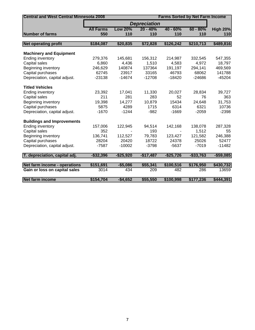| <b>Central and West Central Minnesota 2008</b> | <b>Farms Sorted by Net Farm Income</b> |                |                     |              |             |                 |
|------------------------------------------------|----------------------------------------|----------------|---------------------|--------------|-------------|-----------------|
|                                                |                                        |                | <b>Depreciation</b> |              |             |                 |
|                                                | <b>All Farms</b>                       | <b>Low 20%</b> | $20 - 40%$          | $40 - 60%$   | $60 - 80%$  | <b>High 20%</b> |
| <b>Number of farms</b>                         | 550                                    | 110            | 110                 | 110          | 110         | 110             |
|                                                |                                        |                |                     |              |             |                 |
| <b>Net operating profit</b>                    | \$184,087                              | \$20,835       | \$72,828            | \$126,242    | \$210,713   | \$489,816       |
| <b>Machinery and Equipment</b>                 |                                        |                |                     |              |             |                 |
| <b>Ending inventory</b>                        | 279,376                                | 145,681        | 156,312             | 214,987      | 332,545     | 547,355         |
| Capital sales                                  | 6,860                                  | 4,436          | 1,510               | 4,583        | 4,972       | 18,797          |
| Beginning inventory                            | 246,629                                | 140874         | 137364              | 191,197      | 294,141     | 469,569         |
| Capital purchases                              | 62745                                  | 23917          | 33165               | 46793        | 68062       | 141788          |
| Depreciation, capital adjust.                  | $-23138$                               | $-14674$       | $-12708$            | $-18420$     | $-24686$    | $-45204$        |
| <b>Titled Vehicles</b>                         |                                        |                |                     |              |             |                 |
| Ending inventory                               | 23,392                                 | 17,041         | 11,330              | 20,027       | 28,834      | 39,727          |
| Capital sales                                  | 211                                    | 281            | 283                 | 52           | 76          | 363             |
| Beginning inventory                            | 19,398                                 | 14,277         | 10,879              | 15434        | 24,648      | 31,753          |
| Capital purchases                              | 5875                                   | 4289           | 1715                | 6314         | 6321        | 10736           |
| Depreciation, capital adjust.                  | $-1670$                                | $-1244$        | $-982$              | $-1669$      | $-2059$     | $-2398$         |
| <b>Buildings and Improvements</b>              |                                        |                |                     |              |             |                 |
| <b>Ending inventory</b>                        | 157,006                                | 122,945        | 94,514              | 142,168      | 138,078     | 287,328         |
| Capital sales                                  | 352                                    |                | 193                 |              | 1,512       | 55              |
| Beginning inventory                            | 136,741                                | 112,527        | 79,783              | 123,427      | 121,582     | 246,388         |
| Capital purchases                              | 28204                                  | 20420          | 18722               | 24378        | 25026       | 52477           |
| Depreciation, capital adjust.                  | $-7587$                                | $-10002$       | $-3798$             | $-5637$      | $-7019$     | $-11482$        |
| T. depreciation, capital adj.                  | $-$ \$32,396                           | $-$ \$25,920   | $-$17,487$          | $-$ \$25,726 | $- $33,763$ | $-$ \$59,085    |
| Net farm income - operations                   | \$151,691                              | $-$5,086$      | \$55,341            | \$100,516    | \$176,950   | \$430,732       |
| Gain or loss on capital sales                  | 3014                                   | 434            | 209                 | 482          | 286         | 13659           |
| <b>Net farm income</b>                         | \$154,704                              | $-$4,652$      | \$55,550            | \$100,998    | \$177,236   | \$444,391       |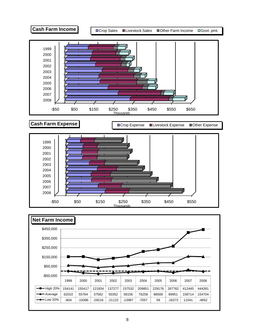

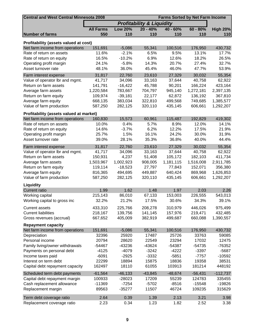|                                                                          | <b>Central and West Central Minnesota 2008</b><br><b>Farms Sorted by Net Farm Income</b> |                |                                      |            |            |                 |
|--------------------------------------------------------------------------|------------------------------------------------------------------------------------------|----------------|--------------------------------------|------------|------------|-----------------|
|                                                                          |                                                                                          |                | <b>Profitability &amp; Liquidity</b> |            |            |                 |
|                                                                          | <b>All Farms</b>                                                                         | <b>Low 20%</b> | $20 - 40%$                           | $40 - 60%$ | $60 - 80%$ | <b>High 20%</b> |
| <b>Number of farms</b>                                                   | 550                                                                                      | 110            | 110                                  | 110        | 110        | 110             |
|                                                                          |                                                                                          |                |                                      |            |            |                 |
| Profitability (assets valued at cost)<br>Net farm income from operations | 151,691                                                                                  | $-5,086$       | 55,341                               | 100,516    | 176,950    | 430,732         |
| Rate of return on assets                                                 | 11.6%                                                                                    | $-2.1%$        | 6.5%                                 | 9.5%       | 13.1%      | 17.7%           |
| Rate of return on equity                                                 | 16.5%                                                                                    | $-10.2%$       | 6.9%                                 | 12.6%      | 18.2%      | 26.5%           |
| Operating profit margin                                                  | 24.1%                                                                                    | $-5.8%$        | 14.3%                                | 20.7%      | 27.4%      | 32.7%           |
| Asset turnover rate                                                      | 48.1%                                                                                    | 36.0%          | 45.4%                                | 46.0%      | 47.7%      | 53.9%           |
|                                                                          |                                                                                          |                |                                      |            |            |                 |
| Farm interest expense                                                    | 31,817                                                                                   | 22,760         | 23,610                               | 27,329     | 30,032     | 55,354          |
| Value of operator lbr and mgmt.                                          | 41,717                                                                                   | 34,096         | 33,163                               | 37,644     | 40,758     | 62,922          |
| Return on farm assets                                                    | 141,791                                                                                  | $-16,422$      | 45,788                               | 90,201     | 166,224    | 423,164         |
| Average farm assets                                                      | 1,220,584                                                                                | 783,667        | 704,797                              | 945,140    | 1,272,181  | 2,397,135       |
| Return on farm equity                                                    | 109,974                                                                                  | $-39,181$      | 22,177                               | 62,872     | 136,192    | 367,810         |
| Average farm equity                                                      | 668,135                                                                                  | 383,034        | 322,810                              | 499,568    | 749,685    | 1,385,577       |
| Value of farm production                                                 | 587,250                                                                                  | 282,125        | 320,110                              | 435,145    | 606,661    | 1,292,207       |
| Profitability (assets valued at market)                                  |                                                                                          |                |                                      |            |            |                 |
| Net farm income from operations                                          | 160,830                                                                                  | 15,573         | 60,961                               | 115,487    | 192,829    | 419,302         |
| Rate of return on assets                                                 | 10.0%                                                                                    | 0.4%           | 5.7%                                 | 8.9%       | 12.0%      | 14.1%           |
| Rate of return on equity                                                 | 14.6%                                                                                    | $-3.7%$        | 6.2%                                 | 12.2%      | 17.5%      | 21.9%           |
| Operating profit margin                                                  | 25.7%                                                                                    | 1.5%           | 16.1%                                | 24.2%      | 30.0%      | 31.9%           |
| Asset turnover rate                                                      | 39.0%                                                                                    | 28.1%          | 35.3%                                | 36.8%      | 40.0%      | 44.4%           |
| Farm interest expense                                                    | 31,817                                                                                   | 22,760         | 23,610                               | 27,329     | 30,032     | 55,354          |
| Value of operator lbr and mgmt.                                          | 41,717                                                                                   | 34,096         | 33,163                               | 37,644     | 40,758     | 62,922          |
| Return on farm assets                                                    | 150,931                                                                                  | 4,237          | 51,408                               | 105,172    | 182,103    | 411,734         |
| Average farm assets                                                      | 1,503,967                                                                                | 1,002,923      | 908,005                              | 1,181,115  | 1,516,008  | 2,911,785       |
| Return on farm equity                                                    | 119,114                                                                                  | $-18,523$      | 27,797                               | 77,843     | 152,071    | 356,380         |
| Average farm equity                                                      | 816,365                                                                                  | 494,695        | 449,887                              | 640,424    | 869,968    | 1,626,853       |
| Value of farm production                                                 | 587,250                                                                                  | 282,125        | 320,110                              | 435,145    | 606,661    | 1,292,207       |
| <b>Liquidity</b>                                                         |                                                                                          |                |                                      |            |            |                 |
| <b>Current ratio</b>                                                     | 1.99                                                                                     | 1.62           | 1.48                                 | 1.97       | 2.03       | 2.26            |
| Working capital                                                          | 215,143                                                                                  | 86,010         | 67,133                               | 153,003    | 226,555    | 543,013         |
| Working capital to gross inc                                             | 32.2%                                                                                    | 21.2%          | 17.5%                                | 30.6%      | 34.3%      | 39.1%           |
| <b>Current assets</b>                                                    | 433,310                                                                                  | 225,766        | 208,278                              | 310,979    | 446,026    | 975,499         |
| <b>Current liabilities</b>                                               | 218,167                                                                                  | 139,756        | 141,145                              | 157,976    | 219,471    | 432,485         |
| Gross revenues (accrual)                                                 | 667,652                                                                                  | 405,009        | 382,919                              | 499,687    | 660,088    | 1,390,557       |
| <b>Repayment capacity</b>                                                |                                                                                          |                |                                      |            |            |                 |
| Net farm income from operations                                          | 151,691                                                                                  | $-5,086$       | 55,341                               | 100,516    | 176,950    | 430,732         |
| Depreciation                                                             | 32396                                                                                    | 25920          | 17487                                | 25726      | 33763      | 59085           |
| Personal income                                                          | 20794                                                                                    | 28620          | 22549                                | 23294      | 17032      | 12475           |
| Family living/owner withdrawals                                          | -54467                                                                                   | -43236         | $-43624$                             | $-54387$   | $-54735$   | $-76352$        |
| Payments on personal debt                                                | $-4125$                                                                                  | $-4079$        | $-3242$                              | $-4222$    | $-3397$    | $-5687$         |
| Income taxes paid                                                        | $-6091$                                                                                  | $-2925$        | $-3332$                              | $-5851$    | $-7757$    | $-10592$        |
| Interest on term debt                                                    | 22299                                                                                    | 18894          | 15875                                | 18836      | 19358      | 38531           |
| Capital debt repayment capacity                                          | 162497                                                                                   | 18110          | 61055                                | 103913     | 181214     | 448192          |
|                                                                          |                                                                                          |                |                                      |            |            |                 |
| Scheduled term debt payments                                             | $-61,564$                                                                                | $-46, 133$     | $-43,845$                            | $-48,674$  | $-56,431$  | $-112,737$      |
| Capital debt repayment margin                                            | 100933                                                                                   | $-28023$       | 17209                                | 55239      | 124783     | 335455          |
| Cash replacement allowance                                               | $-11369$                                                                                 | $-7254$        | $-5702$                              | $-8516$    | $-15548$   | $-19826$        |
| Replacement margin                                                       | 89563                                                                                    | $-35277$       | 11507                                | 46724      | 109235     | 315629          |
| Term debt coverage ratio                                                 | 2.64                                                                                     | 0.39           | 1.39                                 | 2.13       | 3.21       | 3.98            |
| Replacement coverage ratio                                               | 2.23                                                                                     | 0.34           | 1.23                                 | 1.82       | 2.52       | 3.38            |
|                                                                          |                                                                                          |                |                                      |            |            |                 |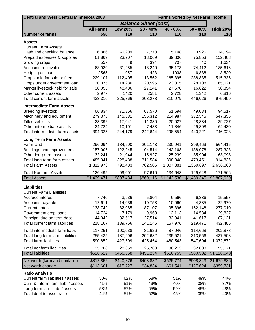| <b>Central and West Central Minnesota 2008</b><br><b>Farms Sorted by Net Farm Income</b> |                  |                |                             |             |             |                 |
|------------------------------------------------------------------------------------------|------------------|----------------|-----------------------------|-------------|-------------|-----------------|
|                                                                                          |                  |                | <b>Balance Sheet (cost)</b> |             |             |                 |
|                                                                                          | <b>All Farms</b> | <b>Low 20%</b> | $20 - 40%$                  | $40 - 60%$  | $60 - 80%$  | <b>High 20%</b> |
| <b>Number of farms</b>                                                                   | 550              | 110            | 110                         | 110         | 110         | 110             |
| Assets                                                                                   |                  |                |                             |             |             |                 |
| <b>Current Farm Assets</b>                                                               |                  |                |                             |             |             |                 |
| Cash and checking balance                                                                | 6,866            | $-6,209$       | 7,273                       | 15,148      | 3,925       | 14,194          |
| Prepaid expenses & supplies                                                              | 61,869           | 23,207         | 18,069                      | 39,806      | 75,853      | 152,408         |
| Growing crops                                                                            | 557              | 9              | 394                         | 707         | 40          | 1,634           |
| Accounts receivable                                                                      | 68,939           | 31,255         | 18,240                      | 35,173      | 74,412      | 185,616         |
| Hedging accounts                                                                         | 2565             | 957            | 423                         | 1038        | 6,888       | 3,520           |
| Crops held for sale or feed                                                              | 229,107          | 112,405        | 113,562                     | 165,395     | 238,835     | 515,336         |
| Crops under government loan                                                              | 30,375           | 14,236         | 20,595                      | 23,315      | 28,108      | 65,621          |
| Market livestock held for sale                                                           | 30,055           | 48,486         | 27,141                      | 27,670      | 16,622      | 30,354          |
| Other current assets                                                                     | 2,977            | 1420           | 2581                        | 2,728       | 1,342       | 6,816           |
| Total current farm assets                                                                | 433,310          | 225,766        | 208,278                     | 310,979     | 446,026     | 975,499         |
| <b>Intermediate Farm Assets</b>                                                          |                  |                |                             |             |             |                 |
| <b>Breeding livestock</b>                                                                | 66,834           | 71,356         | 67,570                      | 51,694      | 49,034      | 94,517          |
| Machinery and equipment                                                                  | 279,376          | 145,681        | 156,312                     | 214,987     | 332,545     | 547,355         |
| <b>Titled vehicles</b>                                                                   | 23,392           | 17,041         | 11,330                      | 20,027      | 28,834      | 39,727          |
| Other intermediate assets                                                                | 24,724           | 10,101         | 7,433                       | 11,846      | 29,808      | 64,430          |
| Total intermediate farm assets                                                           | 394,325          | 244,179        | 242,644                     | 298,554     | 440,221     | 746,028         |
| <b>Long Term Farm Assets</b>                                                             |                  |                |                             |             |             |                 |
| Farm land                                                                                | 296,094          | 184,500        | 201,143                     | 230,941     | 299,469     | 564,415         |
| Buildings and improvements                                                               | 157,006          | 122,945        | 94,514                      | 142,168     | 138,078     | 287,328         |
| Other long-term assets                                                                   | 32,241           | 21,044         | 15,927                      | 25,239      | 35,904      | 63,093          |
| Total long-term farm assets                                                              | 485,341          | 328,488        | 311,584                     | 398,348     | 473,451     | 914,836         |
| <b>Total Farm Assets</b>                                                                 | 1,312,976        | 798,433        | 762,506                     | 1,007,881   | 1,359,697   | 2,636,363       |
| <b>Total Nonfarm Assets</b>                                                              | 126,495          | 99,001         | 97,610                      | 134,648     | 129,648     | 171,566         |
| <b>Total Assets</b>                                                                      | \$1,439,471      | \$897,434      | \$860,116                   | \$1,142,530 | \$1,489,345 | \$2,807,929     |
|                                                                                          |                  |                |                             |             |             |                 |
| <b>Liabilities</b>                                                                       |                  |                |                             |             |             |                 |
| <b>Current Farm Liabilities</b>                                                          |                  |                |                             |             |             |                 |
| Accrued interest                                                                         | 7,740            | 3,936          | 5,804                       | 6,566       | 6,836       | 15,557          |
| Accounts payable                                                                         | 12,611           | 14,039         | 10,753                      | 10,960      | 4,335       | 22,970          |
| <b>Current notes</b>                                                                     | 138,749          | 82,085         | 87,107                      | 95,396      | 152,148     | 277,010         |
| Government crop loans                                                                    | 14,724           | 7,179          | 9,968                       | 12,113      | 14,534      | 29,827          |
| Principal due on term debt                                                               | 44,342           | 32,517         | 27,514                      | 32,941      | 41,617      | 87,121          |
| Total current farm liabilities                                                           | 218,167          | 139,756        | 141,145                     | 157,976     | 219,471     | 432,485         |
| Total intermediate farm liabs                                                            | 117,251          | 100,038        | 81,626                      | 87,046      | 114,668     | 202,878         |
| Total long term farm liabilities                                                         | 255,435          | 187,906        | 202,682                     | 235,521     | 213,556     | 437,508         |
| <b>Total farm liabilities</b>                                                            | 590,852          | 427,699        | 425,454                     | 480,543     | 547,694     | 1,072,872       |
| Total nonfarm liabilities                                                                | 35,766           | 28,859         | 25,780                      | 36,213      | 32,808      | 55,171          |
| <b>Total liabilities</b>                                                                 | \$626,619        | \$456,558      | \$451,234                   | \$516,755   | \$580,502   | \$1,128,043     |
| Net worth (farm and nonfarm)                                                             | \$812,852        | \$440,876      | \$408,882                   | \$625,774   | \$908,843   | \$1,679,886     |
| Net worth change                                                                         | \$113,601        | $-$15,727$     | \$34,834                    | \$61,541    | \$127,624   | \$359,731       |
| <b>Ratio Analysis</b>                                                                    |                  |                |                             |             |             |                 |
| Current farm liabilities / assets                                                        | 50%              | 62%            | 68%                         | 51%         | 49%         | 44%             |
| Curr. & interm farm liab. / assets                                                       | 41%              | 51%            | 49%                         | 40%         | 38%         | 37%             |
| Long term farm liab. / assets                                                            | 53%              | 57%            | 65%                         | 59%         | 45%         | 48%             |
| Total debt to asset ratio                                                                | 44%              | 51%            | 52%                         | 45%         | 39%         | 40%             |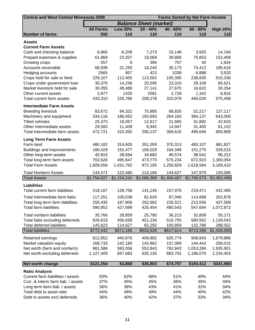|                                                                                                                                                                                      | <b>Farms Sorted by Net Farm Income</b> |
|--------------------------------------------------------------------------------------------------------------------------------------------------------------------------------------|----------------------------------------|
| <b>Balance Sheet (market)</b>                                                                                                                                                        |                                        |
| <b>Low 20%</b><br>$20 - 40%$<br>$40 - 60%$<br>$60 - 80%$<br><b>All Farms</b>                                                                                                         | <b>High 20%</b>                        |
| 110<br>110<br><b>Number of farms</b><br>550<br>110<br>110                                                                                                                            | 110                                    |
| <b>Assets</b>                                                                                                                                                                        |                                        |
| <b>Current Farm Assets</b>                                                                                                                                                           |                                        |
| 7,273<br>Cash and checking balance<br>6,866<br>$-6,209$<br>15,148<br>3,925                                                                                                           | 14,194                                 |
| 18,069<br>Prepaid expenses & supplies<br>61,869<br>39,806<br>75,853<br>23,207                                                                                                        | 152,408                                |
| Growing crops<br>557<br>9<br>394<br>707<br>40                                                                                                                                        | 1,634                                  |
| 35,173<br>Accounts receivable<br>68,939<br>31,255<br>18,240<br>74,412                                                                                                                | 185,616                                |
| 423<br>2565<br>957<br>1038<br>6,888<br>Hedging accounts                                                                                                                              | 3,520                                  |
| 229,107<br>112,405<br>113,562<br>165,395<br>238,835<br>Crops held for sale or feed                                                                                                   | 515,336                                |
| Crops under government loan<br>23,315<br>28,108<br>30,375<br>14,236<br>20,595                                                                                                        | 65,621                                 |
| Market livestock held for sale<br>16,622<br>30,055<br>48,486<br>27,141<br>27,670                                                                                                     | 30,354                                 |
| 2,977<br>1420<br>2581<br>1,342<br>Other current assets<br>2,728                                                                                                                      | 6,816                                  |
| 310,979<br>Total current farm assets<br>433,310<br>225,766<br>208,278<br>446,026                                                                                                     | 975,499                                |
| <b>Intermediate Farm Assets</b>                                                                                                                                                      |                                        |
| <b>Breeding livestock</b><br>83,672<br>94,322<br>75,885<br>68,820<br>52,217                                                                                                          | 127,117                                |
| 334,116<br>186,562<br>192,693<br>264,183<br>384,137<br>Machinery and equipment                                                                                                       | 643,006                                |
| <b>Titled vehicles</b><br>18,057<br>21,665<br>31,892<br>25,373<br>12,617                                                                                                             | 42,633                                 |
| 29,560<br>11,409<br>8,942<br>14,947<br>Other intermediate assets<br>31,400                                                                                                           | 81,102                                 |
| 472,721<br>Total intermediate farm assets<br>310,350<br>290,137<br>369,616<br>499,646                                                                                                | 893,858                                |
| <b>Long Term Farm Assets</b>                                                                                                                                                         |                                        |
| Farm land<br>480,182<br>314,605<br>351,059<br>370,313<br>483,107                                                                                                                     | 881,827                                |
| 106,029<br>164,348<br>151,275<br>Buildings and improvements<br>180,429<br>152,477                                                                                                    | 328,015                                |
| 16,682<br>Other long-term assets<br>42,915<br>28,564<br>40,574<br>38,541                                                                                                             | 90,212                                 |
| Total long-term farm assets<br>703,526<br>495,647<br>473,770<br>575,234<br>672,923                                                                                                   | 1,300,054                              |
| <b>Total Farm Assets</b><br>1,609,556<br>972,185<br>1,255,829<br>1,618,594<br>1,031,762                                                                                              | 3,169,410                              |
| <b>Total Nonfarm Assets</b><br>122,480<br>147,979<br>144,471<br>114,184<br>144,627                                                                                                   | 193,086                                |
| <b>Total Assets</b><br>\$1,154,241<br>\$1,754,027<br>\$1,086,369<br>\$1,400,457<br>\$1,766,573                                                                                       | \$3,362,496                            |
| <b>Liabilities</b>                                                                                                                                                                   |                                        |
| Total current farm liabilities<br>218,167<br>139,756<br>141,145<br>219,471<br>157,976                                                                                                | 432,485                                |
| 100,038<br>Total intermediate farm liabs<br>117,251<br>81,626<br>87,046<br>114,668                                                                                                   | 202,878                                |
| Total long term farm liabilities<br>255,435<br>187,906<br>202,682<br>235,521<br>213,556                                                                                              | 437,508                                |
| <b>Total farm liabilities</b><br>547,694<br>590,852<br>427,699<br>425,454<br>480,543                                                                                                 | 1,072,872                              |
|                                                                                                                                                                                      |                                        |
| Total nonfarm liabilities<br>35,766<br>28,859<br>25,780<br>36,213<br>32,808                                                                                                          | 55,171                                 |
| Total liabs excluding deferreds<br>626,619<br>456,558<br>451,234<br>516,755<br>580,502                                                                                               | 1,128,043                              |
| <b>Total deferred liabilities</b><br>145,823<br>114,627<br>82,292<br>100,859<br>132,786<br><b>Total liabilities</b><br>\$772,442<br>\$571,185<br>\$533,526<br>\$617,614<br>\$713,289 | 298,552<br>\$1,426,595                 |
|                                                                                                                                                                                      |                                        |
| 440,876<br>408,882<br>908,843<br>Retained earnings<br>812,852<br>625,774                                                                                                             | 1,679,886                              |
| Market valuation equity<br>168,733<br>142,180<br>143,962<br>157,069<br>144,442                                                                                                       | 256,015                                |
| Net worth (farm and nonfarm)<br>1,053,284<br>981,586<br>583,056<br>552,843<br>782,843                                                                                                | 1,935,901                              |
| Net worth excluding deferreds<br>1,127,409<br>697,683<br>635,135<br>883,702<br>1,186,070                                                                                             | 2,234,453                              |
| Net worth change<br>\$121,354<br>\$3,868<br>\$35,803<br>\$74,707<br>\$150,412                                                                                                        | \$341,980                              |
| <b>Ratio Analysis</b>                                                                                                                                                                |                                        |
| Current farm liabilities / assets<br>50%<br>62%<br>68%<br>51%<br>49%                                                                                                                 | 44%                                    |
| 37%<br>45%<br>45%<br>36%<br>Curr. & interm farm liab. / assets<br>35%                                                                                                                | 34%                                    |
| 38%<br>41%<br>32%<br>Long term farm liab. / assets<br>36%<br>43%                                                                                                                     | 34%                                    |
| Total debt to asset ratio<br>44%<br>49%<br>49%<br>44%<br>40%                                                                                                                         | 42%                                    |
|                                                                                                                                                                                      |                                        |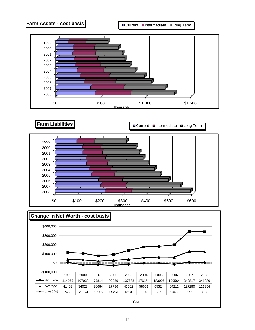



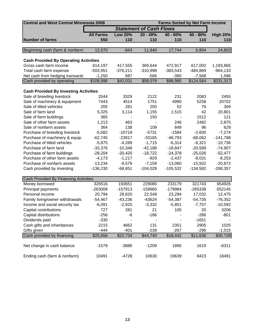| <b>Central and West Central Minnesota 2008</b> | <b>Farms Sorted by Net Farm Income</b> |                |                                |            |            |                 |  |
|------------------------------------------------|----------------------------------------|----------------|--------------------------------|------------|------------|-----------------|--|
|                                                |                                        |                | <b>Statement of Cash Flows</b> |            |            |                 |  |
|                                                | <b>All Farms</b>                       | <b>Low 20%</b> | $20 - 40%$                     | $40 - 60%$ | $60 - 80%$ | <b>High 20%</b> |  |
| <b>Number of farms</b>                         | 550                                    | 110            | 110                            | 110        | 110        | 110             |  |
|                                                |                                        |                |                                |            |            |                 |  |
| Beginning cash (farm & nonfarm)                | 12,070                                 | $-843$         | 11,840                         | 17,744     | 6,804      | 24,802          |  |
|                                                |                                        |                |                                |            |            |                 |  |
| <b>Cash Provided By Operating Activities</b>   |                                        |                |                                |            |            |                 |  |
| Gross cash farm income                         | 614,197                                | 417,555        | 369,644                        | 472,917    | 617,002    | 1,193,865       |  |
| Total cash farm expense                        | $-503,951$                             | $-376,211$     | $-310,998$                     | $-383,543$ | -484,869   | $-964,133$      |  |
| Net cash from hedging transactic               | $-1,250$                               | 687            | $-566$                         | $-390$     | $-7,568$   | 1,586           |  |
| Cash provided by operating                     | \$108,996                              | \$42,031       | \$58,079                       | \$88,985   | \$124,564  | \$231,317       |  |
|                                                |                                        |                |                                |            |            |                 |  |
| <b>Cash Provided By Investing Activities</b>   |                                        |                |                                |            |            |                 |  |
| Sale of breeding livestock                     | 2044                                   | 3329           | 2122                           | 231        | 2083       | 2455            |  |
| Sale of machinery & equipment                  | 7443                                   | 4514           | 1751                           | 4990       | 5258       | 20702           |  |
| Sale of titled vehicles                        | 205                                    | 281            | 250                            | 52         | 76         | 369             |  |
| Sale of farm land                              | 5,325                                  | 3,114          | 1,155                          | 1,515      | 42         | 20,801          |  |
| Sale of farm buildings                         | 365                                    |                | 193                            |            | 1512       | 121             |  |
| Sale of other farm assets                      | 1,213                                  | 463            |                                | 246        | 2482       | 2,875           |  |
| Sale of nonfarm assets                         | 364                                    | 138            | 109                            | 849        | 96         | 629             |  |
| Purchase of breeding livestock                 | $-5,582$                               | $-10719$       | $-5731$                        | $-1584$    | $-2,600$   | $-7,274$        |  |
| Purchase of machinery & equip.                 | $-62,745$                              | $-23917$       | $-33165$                       | $-46,793$  | $-68,062$  | $-141,788$      |  |
| Purchase of titled vehicles                    | $-5,875$                               | $-4,289$       | $-1,715$                       | $-6,314$   | $-6,321$   | $-10,736$       |  |
| Purchase of farm land                          | $-33,376$                              | $-10,348$      | $-42,188$                      | $-18,847$  | $-20,589$  | $-74,907$       |  |
| Purchase of farm buildings                     | $-28,204$                              | $-20,420$      | $-18,722$                      | $-24,378$  | $-25,026$  | $-52,477$       |  |
| Purchase of other farm assets                  | $-4,173$                               | $-1,217$       | $-929$                         | $-2,437$   | $-8,031$   | $-8,253$        |  |
| Purchase of nonfarm assets                     | $-13,234$                              | $-9,579$       | $-7,159$                       | $-13,060$  | $-15,502$  | $-20,872$       |  |
| Cash provided by investing                     | $-136,230$                             | $-68,651$      | $-104,029$                     | $-105,532$ | $-134,582$ | $-268,357$      |  |
|                                                |                                        |                |                                |            |            |                 |  |
| Cash Provided By Financing Activities          |                                        |                |                                |            |            |                 |  |
| Money borrowed                                 | 326516                                 | 193651         | 229080                         | 233179     | 321743     | 654926          |  |
| Principal payments                             | $-263008$                              | $-157913$      | -159660                        | $-179984$  | -265338    | $-552145$       |  |
| Personal income                                | 20,794                                 | 28,620         | 22,549                         | 23,294     | 17,032     | 12,475          |  |
| Family living/owner withdrawals                | $-54,467$                              | $-43,236$      | $-43624$                       | $-54,387$  | $-54,735$  | $-76,352$       |  |
| Income and social security tax                 | $-6,091$                               | $-2,925$       | $-3,332$                       | $-5,851$   | $-7,757$   | $-10,592$       |  |
| Capital contributions                          | 727                                    | 281            | 21                             | 105        | 20         | 3206            |  |
| Capital distributions                          | $-256$                                 | -6             | $-186$                         |            | $-286$     | $-801$          |  |
| Dividends paid                                 | $-330$                                 |                |                                |            | $-1651$    |                 |  |
| Cash gifts and inheritances                    | 2215                                   | 4662           | 131                            | 2351       | 2905       | 1025            |  |
| Gifts given                                    | $-444$                                 | $-401$         | $-239$                         | $-267$     | $-296$     | $-1,015$        |  |
| Cash provided by financing                     | \$25,656                               | \$22,734       | \$44,740                       | \$18,442   | \$11,636   | \$30,728        |  |
| Net change in cash balance                     | $-1579$                                | $-3886$        | $-1209$                        | 1895       | 1619       | $-6311$         |  |
|                                                |                                        |                |                                |            |            |                 |  |
| Ending cash (farm & nonfarm)                   | 10491                                  | $-4728$        | 10630                          | 19639      | 8423       | 18491           |  |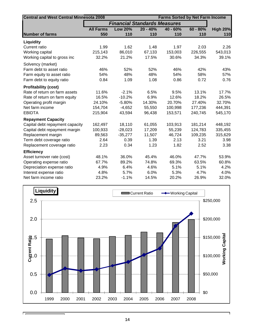| <b>Central and West Central Minnesota 2008</b> |                  |                                     | <b>Farms Sorted by Net Farm Income</b> |            |            |                 |  |  |
|------------------------------------------------|------------------|-------------------------------------|----------------------------------------|------------|------------|-----------------|--|--|
|                                                |                  | <b>Financial Standards Measures</b> |                                        |            |            |                 |  |  |
|                                                | <b>All Farms</b> | <b>Low 20%</b>                      | $20 - 40%$                             | $40 - 60%$ | $60 - 80%$ | <b>High 20%</b> |  |  |
| <b>Number of farms</b>                         | 550              | 110                                 | 110                                    | 110        | 110        | 110             |  |  |
| Liquidity                                      |                  |                                     |                                        |            |            |                 |  |  |
| Current ratio                                  | 1.99             | 1.62                                | 1.48                                   | 1.97       | 2.03       | 2.26            |  |  |
| Working capital                                | 215,143          | 86,010                              | 67,133                                 | 153,003    | 226,555    | 543,013         |  |  |
| Working capital to gross inc                   | 32.2%            | 21.2%                               | 17.5%                                  | 30.6%      | 34.3%      | 39.1%           |  |  |
| Solvency (market)                              |                  |                                     |                                        |            |            |                 |  |  |
| Farm debt to asset ratio                       | 46%              | 52%                                 | 52%                                    | 46%        | 42%        | 43%             |  |  |
| Farm equity to asset ratio                     | 54%              | 48%                                 | 48%                                    | 54%        | 58%        | 57%             |  |  |
| Farm debt to equity ratio                      | 0.84             | 1.09                                | 1.08                                   | 0.86       | 0.72       | 0.76            |  |  |
| <b>Profitability (cost)</b>                    |                  |                                     |                                        |            |            |                 |  |  |
| Rate of return on farm assets                  | 11.6%            | $-2.1%$                             | 6.5%                                   | 9.5%       | 13.1%      | 17.7%           |  |  |
| Rate of return on farm equity                  | 16.5%            | $-10.2%$                            | 6.9%                                   | 12.6%      | 18.2%      | 26.5%           |  |  |
| Operating profit margin                        | 24.10%           | $-5.80%$                            | 14.30%                                 | 20.70%     | 27.40%     | 32.70%          |  |  |
| Net farm income                                | 154,704          | $-4,652$                            | 55,550                                 | 100,998    | 177,236    | 444,391         |  |  |
| <b>EBIDTA</b>                                  | 215,904          | 43,594                              | 96,438                                 | 153,571    | 240,745    | 545,170         |  |  |
| <b>Repayment Capacity</b>                      |                  |                                     |                                        |            |            |                 |  |  |
| Capital debt repayment capacity                | 162,497          | 18,110                              | 61,055                                 | 103,913    | 181,214    | 448,192         |  |  |
| Capital debt repayment margin                  | 100,933          | $-28,023$                           | 17,209                                 | 55,239     | 124,783    | 335,455         |  |  |
| Replacement margin                             | 89,563           | $-35,277$                           | 11,507                                 | 46,724     | 109,235    | 315,629         |  |  |
| Term debt coverage ratio                       | 2.64             | 0.39                                | 1.39                                   | 2.13       | 3.21       | 3.98            |  |  |
| Replacement coverage ratio                     | 2.23             | 0.34                                | 1.23                                   | 1.82       | 2.52       | 3.38            |  |  |
| <b>Efficiency</b>                              |                  |                                     |                                        |            |            |                 |  |  |
| Asset turnover rate (cost)                     | 48.1%            | 36.0%                               | 45.4%                                  | 46.0%      | 47.7%      | 53.9%           |  |  |
| Operating expense ratio                        | 67.7%            | 89.2%                               | 74.8%                                  | 69.3%      | 63.5%      | 60.8%           |  |  |
| Depreciation expense ratio                     | 4.9%             | 6.4%                                | 4.6%                                   | 5.1%       | 5.1%       | 4.2%            |  |  |
| Interest expense ratio                         | 4.8%             | 5.7%                                | 6.0%                                   | 5.3%       | 4.7%       | 4.0%            |  |  |
| Net farm income ratio                          | 23.2%            | $-1.1%$                             | 14.5%                                  | 20.2%      | 26.9%      | 32.0%           |  |  |



П

٦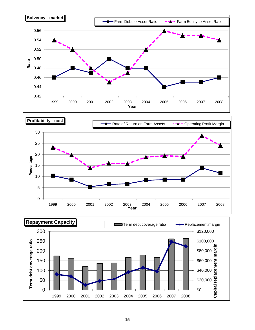



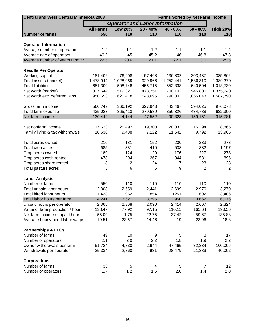| <b>Central and West Central Minnesota 2008</b><br><b>Farms Sorted by Net Farm Income</b> |                  |                                       |            |           |                |                   |  |  |  |
|------------------------------------------------------------------------------------------|------------------|---------------------------------------|------------|-----------|----------------|-------------------|--|--|--|
|                                                                                          |                  | <b>Operator and Labor Information</b> |            |           |                |                   |  |  |  |
|                                                                                          | <b>All Farms</b> | <b>Low 20%</b>                        | $20 - 40%$ | 40 - 60%  | $60 - 80%$     | <b>High 20%</b>   |  |  |  |
| <b>Number of farms</b>                                                                   | 550              | 110                                   | 110        | 110       | 110            | 110               |  |  |  |
|                                                                                          |                  |                                       |            |           |                |                   |  |  |  |
| <b>Operator Information</b><br>Average number of operators                               | 1.2              | 1.1                                   | 1.2        | 1.1       | 1.1            | 1.4               |  |  |  |
| Average age of operators                                                                 | 46.2             | 45                                    | 45.2       | 46        | 46.8           | 47.8              |  |  |  |
| Average number of years farming                                                          | 22.5             | 20.6                                  | 21.1       | 22.1      | 23.0           | 25.5              |  |  |  |
|                                                                                          |                  |                                       |            |           |                |                   |  |  |  |
| <b>Results Per Operator</b>                                                              |                  |                                       |            |           |                |                   |  |  |  |
| Working capital                                                                          | 181,402          | 76,608                                | 57,468     | 136,832   | 203,437        | 385,862           |  |  |  |
| Total assets (market)                                                                    | 1,478,944        | 1,028,069                             | 929,966    | 1,252,441 | 1,586,310      | 2,389,370         |  |  |  |
| <b>Total liabilities</b>                                                                 | 651,300          | 508,748                               | 456,715    | 552,338   | 640,504        | 1,013,730         |  |  |  |
| Net worth (market)                                                                       | 827,644          | 519,321                               | 473,251    | 700,103   | 945,806        | 1,375,640         |  |  |  |
| Net worth excl deferred liabs                                                            | 950,598          | 621,418                               | 543,695    | 790,302   | 1,065,043      | 1,587,790         |  |  |  |
|                                                                                          |                  |                                       |            |           |                |                   |  |  |  |
| Gross farm income                                                                        | 560,749          | 366,192                               | 327,943    | 443,467   | 594,025        | 976,078           |  |  |  |
| Total farm expense                                                                       | 435,023          | 365,413                               | 279,589    | 356,326   | 434,788        | 682,300           |  |  |  |
| Net farm income                                                                          | 130,442          | $-4,144$                              | 47,552     | 90,323    | 159,151        | 315,781           |  |  |  |
|                                                                                          |                  |                                       |            |           |                |                   |  |  |  |
| Net nonfarm income                                                                       | 17,533           | 25,492                                | 19,303     | 20,832    | 15,294         | 8,865             |  |  |  |
| Family living & tax withdrawals                                                          | 10,538           | 9,438                                 | 7,122      | 11,642    | 9,792          | 13,965            |  |  |  |
| Total acres owned                                                                        | 210              | 181                                   | 152        | 200       | 233            | 273               |  |  |  |
| Total crop acres                                                                         | 685              | 331                                   | 410        | 538       | 832            | 1,197             |  |  |  |
| Crop acres owned                                                                         | 189              | 124                                   | 120        | 176       | 227            | 278               |  |  |  |
| Crop acres cash rented                                                                   | 478              | 204                                   | 267        | 344       | 581            | 895               |  |  |  |
| Crop acres share rented                                                                  | 18               | 2                                     | 24         | 17        | 23             | 23                |  |  |  |
| Total pasture acres                                                                      | 5                | 6                                     | 5          | 9         | $\overline{2}$ | $\overline{2}$    |  |  |  |
|                                                                                          |                  |                                       |            |           |                |                   |  |  |  |
| <b>Labor Analysis</b>                                                                    |                  |                                       |            |           |                |                   |  |  |  |
| Number of farms                                                                          | 550              | 110                                   | 110        | 110       | 110            | 110               |  |  |  |
| Total unpaid labor hours                                                                 | 2,808            | 2,659                                 | 2,441      | 2,699     | 2,970          | 3,270             |  |  |  |
| Total hired labor hours                                                                  | 1,433            | 962                                   | 854        | 1251      | 692            | 3,406             |  |  |  |
| Total labor hours per farm                                                               | 4,241            | 3,621                                 | 3,295      | 3,950     | 3,662          | 6,676             |  |  |  |
| Unpaid hours per operator                                                                | 2,368            | 2,368                                 | 2,090      | 2,414     | 2,667          | 2,324             |  |  |  |
| Value of farm production / hour                                                          | 138.47           | 77.92                                 | 97.15      | 110.15    | 165.64         | 193.56            |  |  |  |
| Net farm income / unpaid hour                                                            | 55.09            | $-1.75$                               | 22.75      | 37.42     | 59.67          | 135.88            |  |  |  |
| Average hourly hired labor wage                                                          | 19.51            | 23.67                                 | 14.46      | 19        | 23.96          | 18.8              |  |  |  |
| <b>Partnerships &amp; LLCs</b>                                                           |                  |                                       |            |           |                |                   |  |  |  |
| Number of farms                                                                          | 49               | 10                                    | 9          | 5         | 8              | 17                |  |  |  |
| Number of operators                                                                      | 2.1              | 2.0                                   | 2.2        | 1.8       | 1.9            | 2.2               |  |  |  |
| Owner withdrawals per farm                                                               | 51,724           | 4,830                                 | 2,944      | 47,465    | 32,834         | 100,006           |  |  |  |
| Withdrawals per operator                                                                 | 25,334           | 2,760                                 | 981        | 28,479    | 21,889         | 40,002            |  |  |  |
|                                                                                          |                  |                                       |            |           |                |                   |  |  |  |
| <b>Corporations</b>                                                                      |                  |                                       |            |           |                |                   |  |  |  |
| Number of farms                                                                          | 33               | 5                                     | 4          | 5         | $\overline{7}$ | $12 \overline{ }$ |  |  |  |
| Number of operators                                                                      | 1.7              | 1.2                                   | 1.5        | 2.0       | 1.4            | 2.0               |  |  |  |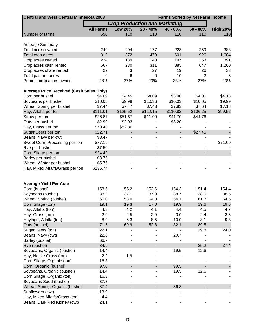| <b>Central and West Central Minnesota 2008</b><br><b>Farms Sorted by Net Farm Income</b> |                  |                                      |                |                              |                          |                 |  |  |  |
|------------------------------------------------------------------------------------------|------------------|--------------------------------------|----------------|------------------------------|--------------------------|-----------------|--|--|--|
|                                                                                          |                  | <b>Crop Production and Marketing</b> |                |                              |                          |                 |  |  |  |
|                                                                                          | <b>All Farms</b> | <b>Low 20%</b>                       | $20 - 40%$     | $40 - 60%$                   | $60 - 80%$               | <b>High 20%</b> |  |  |  |
| Number of farms                                                                          | 550              | 110                                  | 110            | 110                          | 110                      | 110             |  |  |  |
|                                                                                          |                  |                                      |                |                              |                          |                 |  |  |  |
| <b>Acreage Summary</b>                                                                   |                  |                                      |                |                              |                          |                 |  |  |  |
| Total acres owned                                                                        | 249              | 204                                  | 177            | 223                          | 259                      | 383             |  |  |  |
| Total crop acres                                                                         | 812              | 372                                  | 479            | 601                          | 926                      | 1,684           |  |  |  |
| Crop acres owned                                                                         | 224              | 139                                  | 140            | 197                          | 253                      | 391             |  |  |  |
| Crop acres cash rented                                                                   | 567              | 230                                  | 311            | 385                          | 647                      | 1,260           |  |  |  |
| Crop acres share rented                                                                  | 22               | 3                                    | 27             | 19                           | 26                       | 33              |  |  |  |
| Total pasture acres                                                                      | 6                | 6                                    | 6              | 10                           | $\overline{2}$           | 3               |  |  |  |
| Percent crop acres owned                                                                 | 28%              | 37%                                  | 29%            | 33%                          | 27%                      | 23%             |  |  |  |
|                                                                                          |                  |                                      |                |                              |                          |                 |  |  |  |
| <b>Average Price Received (Cash Sales Only)</b>                                          |                  |                                      |                |                              |                          |                 |  |  |  |
| Corn per bushel                                                                          | \$4.09           | \$4.45                               | \$4.09         | \$3.90                       | \$4.05                   | \$4.13          |  |  |  |
| Soybeans per bushel                                                                      | \$10.05          | \$9.98                               | \$10.36        | \$10.03                      | \$10.05                  | \$9.99          |  |  |  |
| Wheat, Spring per bushel                                                                 | \$7.44           | \$7.47                               | \$7.43         | \$7.83                       | \$7.64                   | \$7.18          |  |  |  |
| Hay, Alfalfa per ton                                                                     | \$111.01         | \$125.52                             | \$112.15       | \$110.82                     | \$106.25                 | \$99.52         |  |  |  |
| Straw per ton                                                                            | \$26.87          | \$51.67                              | \$11.09        | \$41.70                      | \$44.76                  |                 |  |  |  |
| Oats per bushel                                                                          | \$2.99           | \$2.93                               |                | \$3.20                       |                          |                 |  |  |  |
|                                                                                          | \$70.40          | \$82.80                              |                |                              |                          |                 |  |  |  |
| Hay, Grass per ton                                                                       |                  |                                      |                |                              |                          |                 |  |  |  |
| Sugar Beets per ton                                                                      | \$22.71          |                                      |                | $\qquad \qquad \blacksquare$ | \$27.45                  |                 |  |  |  |
| Beans, Navy per cwt                                                                      | \$8.47           |                                      |                |                              |                          |                 |  |  |  |
| Sweet Corn, Processing per ton                                                           | \$77.19          |                                      |                |                              |                          | \$71.09         |  |  |  |
| Rye per bushel                                                                           | \$7.56           |                                      |                |                              |                          |                 |  |  |  |
| Corn Silage per ton                                                                      | \$24.49          | $\overline{\phantom{a}}$             | $\blacksquare$ | $\overline{\phantom{a}}$     | $\overline{\phantom{0}}$ |                 |  |  |  |
| Barley per bushel                                                                        | \$3.75           |                                      |                |                              |                          |                 |  |  |  |
| Wheat, Winter per bushel                                                                 | \$5.76           |                                      |                |                              |                          |                 |  |  |  |
| Hay, Mixed Alfalfa/Grass per ton                                                         | \$136.74         |                                      |                |                              |                          |                 |  |  |  |
|                                                                                          |                  |                                      |                |                              |                          |                 |  |  |  |
|                                                                                          |                  |                                      |                |                              |                          |                 |  |  |  |
| <b>Average Yield Per Acre</b>                                                            |                  |                                      |                |                              |                          |                 |  |  |  |
| Corn (bushel)                                                                            | 153.6            | 155.2                                | 152.6          | 154.3                        | 151.4                    | 154.4           |  |  |  |
| Soybeans (bushel)                                                                        | 38.2             | 37.1                                 | 37.8           | 38.7                         | 38.0                     | 38.5            |  |  |  |
| Wheat, Spring (bushel)                                                                   | 60.0             | 53.0                                 | 54.8           | 54.1                         | 61.7                     | 64.5            |  |  |  |
| Corn Silage (ton)                                                                        | 19.1             | 19.3                                 | 17.0           | 19.9                         | 19.6                     | 19.6            |  |  |  |
| Hay, Alfalfa (ton)                                                                       | 4.3              | 4.2                                  | 4.1            | 4.4                          | 4.5                      | 4.7             |  |  |  |
| Hay, Grass (ton)                                                                         | 2.9              | 2.5                                  | 2.9            | 3.0                          | 2.4                      | 3.5             |  |  |  |
| Haylage, Alfalfa (ton)                                                                   | 8.9              | 6.3                                  | 8.5            | 10.0                         | 8.1                      | 9.3             |  |  |  |
| Oats (bushel)                                                                            | 71.5             | 69.9                                 | 52.8           | 82.1                         | 89.5                     |                 |  |  |  |
| Sugar Beets (ton)                                                                        | 22.1             |                                      |                |                              | 19.8                     | 24.0            |  |  |  |
| Beans, Navy (cwt)                                                                        | 22.6             |                                      |                | 20.7                         |                          |                 |  |  |  |
| Barley (bushel)                                                                          | 66.7             |                                      |                |                              |                          |                 |  |  |  |
| Rye (bushel)                                                                             | 34.9             |                                      |                |                              | 25.2                     | 37.4            |  |  |  |
| Soybeans, Organic (bushel)                                                               | 14.4             |                                      |                | 19.5                         | 12.6                     |                 |  |  |  |
|                                                                                          |                  |                                      |                |                              |                          |                 |  |  |  |
| Hay, Native Grass (ton)                                                                  | 2.2              | 1.9                                  |                |                              |                          |                 |  |  |  |
| Corn Silage, Organic (ton)                                                               | 16.3             |                                      |                |                              |                          |                 |  |  |  |
| Corn, Organic (bushel)                                                                   | 97.0             |                                      |                | 99.5                         |                          |                 |  |  |  |
| Soybeans, Organic (bushel)                                                               | 14.4             |                                      |                | 19.5                         | 12.6                     |                 |  |  |  |
| Corn Silage, Organic (ton)                                                               | 16.3             |                                      |                |                              |                          |                 |  |  |  |
| Soybeans Seed (bushel)                                                                   | 37.3             |                                      |                |                              |                          |                 |  |  |  |
| Wheat, Spring, Organic (bushel)                                                          | 37.4             |                                      |                | 36.8                         |                          |                 |  |  |  |
| Sunflowers (cwt)                                                                         | 13.9             |                                      |                |                              |                          |                 |  |  |  |
| Hay, Mixed Alfalfa/Grass (ton)                                                           | 4.4              |                                      |                |                              |                          |                 |  |  |  |
| Beans, Dark Red Kidney (cwt)                                                             | 24.1             |                                      |                |                              |                          |                 |  |  |  |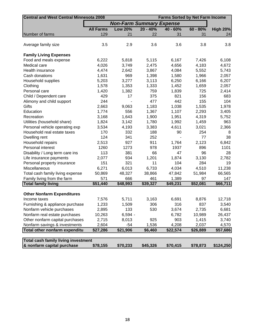| <b>Central and West Central Minnesota 2008</b> |                  | <b>Farms Sorted by Net Farm Income</b> |            |            |            |                 |  |  |
|------------------------------------------------|------------------|----------------------------------------|------------|------------|------------|-----------------|--|--|
|                                                |                  | <b>Non-Farm Summary Expense</b>        |            |            |            |                 |  |  |
|                                                | <b>All Farms</b> | <b>Low 20%</b>                         | $20 - 40%$ | $40 - 60%$ | $60 - 80%$ | <b>High 20%</b> |  |  |
| Number of farms                                | 129              | 21                                     | 22         | 31         | 31         | 24              |  |  |
|                                                |                  |                                        |            |            |            |                 |  |  |
| Average family size                            | 3.5              | 2.9                                    | 3.6        | 3.6        | 3.8        | 3.8             |  |  |
|                                                |                  |                                        |            |            |            |                 |  |  |
| <b>Family Living Expenses</b>                  |                  |                                        |            |            |            |                 |  |  |
| Food and meals expense                         | 6,222            | 5,818                                  | 5,115      | 6,167      | 7,426      | 6,108           |  |  |
| Medical care                                   | 4,026            | 3,749                                  | 2,475      | 4,656      | 4,183      | 4,672           |  |  |
| Health insurance                               | 4,474            | 2,642                                  | 3,867      | 4,084      | 5,552      | 5,743           |  |  |
| Cash donations                                 | 1,631            | 969                                    | 1,398      | 1,580      | 1,966      | 2,057           |  |  |
| Household supplies                             | 5,203            | 3,277                                  | 3,113      | 6,250      | 6,166      | 6,207           |  |  |
| Clothing                                       | 1,578            | 1,353                                  | 1,333      | 1,452      | 1,659      | 2,057           |  |  |
| Personal care                                  | 1,420            | 1,382                                  | 759        | 1,839      | 725        | 2,414           |  |  |
| Child / Dependent care                         | 429              | 17                                     | 375        | 821        | 156        | 683             |  |  |
| Alimony and child support                      | 244              |                                        | 477        | 442        | 155        | 104             |  |  |
| Gifts                                          | 2,663            | 9,063                                  | 1,183      | 1,038      | 1,535      | 1,978           |  |  |
| Education                                      | 1,774            | 556                                    | 1,367      | 1,107      | 2,293      | 3,405           |  |  |
| Recreation                                     | 3,168            | 1,643                                  | 1,900      | 1,951      | 4,319      | 5,752           |  |  |
| Utilities (household share)                    | 1,824            | 3,142                                  | 1,780      | 1,992      | 1,459      | 963             |  |  |
| Personal vehicle operating exp                 | 3,534            | 4,193                                  | 3,383      | 4,611      | 3,021      | 2,366           |  |  |
| Household real estate taxes                    | 170              | 332                                    | 188        | 90         | 254        | 8               |  |  |
| Dwelling rent                                  | 124              | 341                                    | 252        |            | 77         | 38              |  |  |
| Household repairs                              | 2,513            | 927                                    | 911        | 1,764      | 2,123      | 6,842           |  |  |
| Personal interest                              | 1260             | 1273                                   | 978        | 1937       | 896        | 1101            |  |  |
| Disability / Long term care ins                | 113              | 381                                    | 66         | 47         | 96         | 28              |  |  |
| Life insurance payments                        | 2,077            | 934                                    | 1,201      | 1,874      | 3,130      | 2,782           |  |  |
| Personal property insurance                    | 151              | 321                                    | 11         | 104        | 284        | 19              |  |  |
| Miscellaneous                                  | 6,271            | 6,013                                  | 6,733      | 4,034      | 4,510      | 11,238          |  |  |
| Total cash family living expense               | 50,869           | 48,327                                 | 38,866     | 47,842     | 51,984     | 66,565          |  |  |
| Family living from the farm                    | 571              | 666                                    | 461        | 1,389      | 97         | 147             |  |  |
| <b>Total family living</b>                     | \$51,440         | \$48,993                               | \$39,327   | \$49,231   | \$52,081   | \$66,711        |  |  |
|                                                |                  |                                        |            |            |            |                 |  |  |
| <b>Other Nonfarm Expenditures</b>              |                  |                                        |            |            |            |                 |  |  |
| Income taxes                                   | 7,576            | 5,711                                  | 3,163      | 6,691      | 8,876      | 12,718          |  |  |
| Furnishing & appliance purchase                | 1,233            | 1,509                                  | 306        | 316        | 837        | 3,540           |  |  |
| Nonfarm vehicle purchases                      | 2,895            | 133                                    | 530        | 3,674      | 2,735      | 6,681           |  |  |
| Nonfarm real estate purchases                  | 10,263           | $6,594 -$                              |            | 6,782      | 10,989     | 26,437          |  |  |
| Other nonfarm capital purchases                | 2,715            | 8,013                                  | 925        | 903        | 1,415      | 3,740           |  |  |
| Nonfarm savings & investments                  | 2,604            | $-54$                                  | 1,536      | 4,208      | 2,037      | 4,570           |  |  |
| Total other nonfarm expenditu                  | \$27,286         | \$21,906                               | \$6,460    | \$22,574   | \$26,889   | \$57,686        |  |  |
|                                                |                  |                                        |            |            |            |                 |  |  |
| Total cash family living investment            |                  |                                        |            |            |            |                 |  |  |
| & nonfarm capital purchase                     | \$78,155         | \$70,233                               | \$45,326   | \$70,415   | \$78,873   | \$124,250       |  |  |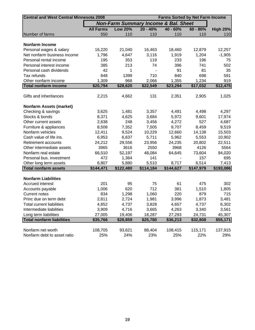| <b>Central and West Central Minnesota 2008</b> | <b>Farms Sorted by Net Farm Income</b> |                                                 |            |            |            |                 |  |  |  |  |
|------------------------------------------------|----------------------------------------|-------------------------------------------------|------------|------------|------------|-----------------|--|--|--|--|
|                                                |                                        | <b>Non-Farm Summary Income &amp; Bal. Sheet</b> |            |            |            |                 |  |  |  |  |
|                                                | <b>All Farms</b>                       | <b>Low 20%</b>                                  | $20 - 40%$ | $40 - 60%$ | $60 - 80%$ | <b>High 20%</b> |  |  |  |  |
| Number of farms                                | 550                                    | 110                                             | 110        | 110        | 110        | 110             |  |  |  |  |
| <b>Nonfarm Income</b>                          |                                        |                                                 |            |            |            |                 |  |  |  |  |
| Personal wages & salary                        | 16,220                                 | 21,040                                          | 16,463     | 18,460     | 12,879     | 12,257          |  |  |  |  |
| Net nonfarm business income                    | 1,796                                  | 4,647                                           | 3,116      | 1,919      | 1,204      | $-1,905$        |  |  |  |  |
| Personal rental income                         | 195                                    | 353                                             | 119        | 233        | 196        | 75              |  |  |  |  |
| Personal interest income                       | 385                                    | 213                                             | 74         | 396        | 741        | 502             |  |  |  |  |
| Personal cash dividends                        | 42                                     | 1                                               |            | 91         | 81         | 35              |  |  |  |  |
| Tax refunds                                    | 848                                    | 1399                                            | 710        | 840        | 698        | 591             |  |  |  |  |
| Other nonfarm income                           | 1,309                                  | 968                                             | 2,066      | 1,355      | 1,234      | 919             |  |  |  |  |
| <b>Total nonfarm income</b>                    | \$20,794                               | \$28,620                                        | \$22,549   | \$23,294   | \$17,032   | \$12,475        |  |  |  |  |
|                                                |                                        |                                                 |            |            |            |                 |  |  |  |  |
| Gifts and inheritances                         | 2,215                                  | 4,662                                           | 131        | 2,351      | 2,905      | 1,025           |  |  |  |  |
| <b>Nonfarm Assets (market)</b>                 |                                        |                                                 |            |            |            |                 |  |  |  |  |
| Checking & savings                             | 3,625                                  | 1,481                                           | 3,357      | 4,491      | 4,498      | 4,297           |  |  |  |  |
| Stocks & bonds                                 | 8,371                                  | 4,625                                           | 3,684      | 5,972      | 9,601      | 17,974          |  |  |  |  |
| Other current assets                           | 2,638                                  | 248                                             | 3,456      | 4,272      | 527        | 4,687           |  |  |  |  |
| Furniture & appliances                         | 8,508                                  | 7,352                                           | 7,505      | 9,707      | 8,459      | 9,519           |  |  |  |  |
| Nonfarm vehicles                               | 12,411                                 | 9,524                                           | 10,229     | 12,660     | 14,138     | 15,503          |  |  |  |  |
| Cash value of life ins.                        | 6,953                                  | 6,637                                           | 5,711      | 5,962      | 5,553      | 10,902          |  |  |  |  |
| Retirement accounts                            | 24,212                                 | 29,556                                          | 23,956     | 24,235     | 20,802     | 22,511          |  |  |  |  |
| Other intermediate assets                      | 3965                                   | 3616                                            | 2550       | 3968       | 4126       | 5564            |  |  |  |  |
| Nonfarm real estate                            | 66,510                                 | 52,197                                          | 48,084     | 64,645     | 73,604     | 94,020          |  |  |  |  |
| Personal bus. investment                       | 472                                    | 1,364                                           | 141        |            | 157        | 695             |  |  |  |  |
| Other long term assets                         | 6,807                                  | 5,880                                           | 5,510      | 8,717      | 6,514      | 7,413           |  |  |  |  |
| <b>Total nonfarm assets</b>                    | \$144,471                              | \$122,480                                       | \$114,184  | \$144,627  | \$147,979  | \$193,086       |  |  |  |  |
|                                                |                                        |                                                 |            |            |            |                 |  |  |  |  |
| <b>Nonfarm Liabilities</b>                     |                                        |                                                 |            |            |            |                 |  |  |  |  |
| Accrued interest                               | 201                                    | 95                                              | 75         | 61         | 475        | 302             |  |  |  |  |
| Accounts payable                               | 1,006                                  | 620                                             | 712        | 381        | 1,510      | 1,805           |  |  |  |  |
| <b>Current notes</b>                           | 834                                    | 1,298                                           | 1,060      | 220        | 879        | 715             |  |  |  |  |
| Princ due on term debt                         | 2,811                                  | 2,724                                           | 1,981      | 3,996      | 1,873      | 3,481           |  |  |  |  |
| <b>Total current liabilities</b>               | 4,852                                  | 4,737                                           | 3,828      | 4,657      | 4,737      | 6,302           |  |  |  |  |
| Intermediate liabilities                       | 3,909                                  | 4,716                                           | 3,665      | 4,263      | 3,340      | 3,561           |  |  |  |  |
| Long term liabilities                          | 27,005                                 | 19,406                                          | 18,287     | 27,293     | 24,731     | 45,307          |  |  |  |  |
| <b>Total nonfarm liabilities</b>               | \$35,766                               | \$28,859                                        | \$25,780   | \$36,213   | \$32,808   | \$55,171        |  |  |  |  |
|                                                |                                        |                                                 |            |            |            |                 |  |  |  |  |
| Nonfarm net worth                              | 108,705                                | 93,621                                          | 88,404     | 108,415    | 115,171    | 137,915         |  |  |  |  |
| Nonfarm debt to asset ratio                    | 25%                                    | 24%                                             | 23%        | 25%        | 22%        | 29%             |  |  |  |  |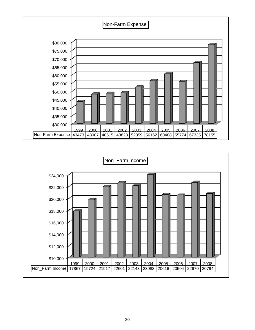

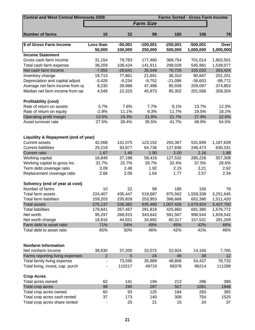| <b>Central and West Central Minnesota 2008</b><br><b>Farms Sorted - Gross Farm Income</b> |                              |           |                  |            |            |           |  |  |  |  |
|-------------------------------------------------------------------------------------------|------------------------------|-----------|------------------|------------|------------|-----------|--|--|--|--|
|                                                                                           |                              |           | <b>Farm Size</b> |            |            |           |  |  |  |  |
|                                                                                           |                              |           |                  |            |            |           |  |  |  |  |
| <b>Number of farms</b>                                                                    | 10                           | 22        | 99               | 185        | 156        | 78        |  |  |  |  |
|                                                                                           |                              |           |                  |            |            |           |  |  |  |  |
| \$ of Gross Farm Income                                                                   | Less than                    | $-50,001$ | $-100,001$       | $-250,001$ | $-500,001$ | Over      |  |  |  |  |
|                                                                                           | 50,000                       | 100,000   | 250,000          | 500,000    | 1,000,000  | 1,000,000 |  |  |  |  |
| <b>Income Statement</b>                                                                   |                              |           |                  |            |            |           |  |  |  |  |
| Gross cash farm income                                                                    | 31,154                       | 79,783    | 177,460          | 368,754    | 701,014    | 1,802,501 |  |  |  |  |
| Total cash farm expense                                                                   | 38,209                       | 108,424   | 141,911          | 298,028    | 545,981    | 1,539,077 |  |  |  |  |
| Net cash farm income                                                                      | $-7,055$                     | $-28,641$ | 35,549           | 70,726     | 155,033    | 263,424   |  |  |  |  |
| Inventory change                                                                          | 19,713                       | 77,861    | 21,691           | 36,310     | 90,667     | 201,201   |  |  |  |  |
| Depreciation and capital adjust                                                           | $-3,428$                     | $-9,234$  | $-9,752$         | $-21,096$  | $-36,603$  | $-89,772$ |  |  |  |  |
| Average net farm income from or                                                           | 9,230                        | 39,986    | 47,488           | 85,939     | 209,097    | 374,853   |  |  |  |  |
| Median net farm income from opi                                                           | 4,548                        | 22,315    | 45,973           | 85,302     | 201,566    | 309,204   |  |  |  |  |
| <b>Profitability (cost)</b>                                                               |                              |           |                  |            |            |           |  |  |  |  |
| Rate of return on assets                                                                  | 3.7%                         | 7.6%      | 7.7%             | 9.1%       | 13.7%      | 12.3%     |  |  |  |  |
| Rate of return on equity                                                                  | $-2.9%$                      | 11.1%     | 9.3%             | 11.7%      | 19.5%      | 18.1%     |  |  |  |  |
| Operating profit margin                                                                   | 13.5%                        | 19.3%     | 21.8%            | 21.7%      | 27.9%      | 22.6%     |  |  |  |  |
| Asset turnover rate                                                                       | 27.5%                        | 39.4%     | 35.5%            | 41.7%      | 48.9%      | 54.5%     |  |  |  |  |
| Liquidity & Repayment (end of year)                                                       |                              |           |                  |            |            |           |  |  |  |  |
| <b>Current assets</b>                                                                     | 42,068                       | 131,075   | 123,152          | 255,367    | 531,699    | 1,187,639 |  |  |  |  |
| <b>Current liabilities</b>                                                                | 25,219                       | 93,877    | 64,736           | 127,836    | 246,473    | 630,331   |  |  |  |  |
| <b>Current ratio</b>                                                                      | 1.67                         | 1.40      | 1.90             | 2.00       | 2.16       | 1.88      |  |  |  |  |
| Working capital                                                                           | 16,849                       | 37,198    | 58,416           | 127,532    | 285,226    | 557,308   |  |  |  |  |
| Working capital to gross inc                                                              | 31.7%                        | 22.7%     | 29.7%            | 32.4%      | 37.5%      | 28.6%     |  |  |  |  |
| Term debt coverage ratio                                                                  | 3.09                         | 2.48      | 1.92             | 2.15       | 3.21       | 2.62      |  |  |  |  |
| Replacement coverage ratio                                                                | 2.66                         | 2.08      | 1.64             | 1.77       | 2.57       | 2.34      |  |  |  |  |
|                                                                                           |                              |           |                  |            |            |           |  |  |  |  |
| Solvency (end of year at cost)                                                            |                              |           |                  |            |            |           |  |  |  |  |
| Number of farms                                                                           | 10                           | 22        | 99               | 185        | 156        | 78        |  |  |  |  |
| Total farm assets                                                                         | 224,407                      | 435,447   | 519,687          | 875,562    | 1,559,338  | 3,251,645 |  |  |  |  |
| <b>Total farm liabilities</b>                                                             | 159,203                      | 235,828   | 253,953          | 396,668    | 652,390    | 1,511,420 |  |  |  |  |
| <b>Total assets</b>                                                                       | 275,137                      | 536,382   | 635,460          | 1,007,426  | 1,679,924  | 3,407,750 |  |  |  |  |
| <b>Total liabilities</b>                                                                  | 179,841                      | 267,467   | 291,818          | 425,860    | 681,380    | 1,576,772 |  |  |  |  |
| Net worth                                                                                 | 95,297                       | 268,915   | 343,642          | 581,567    | 998,544    | 1,828,542 |  |  |  |  |
| Net worth change                                                                          | 18,816                       | 44,551    | 34,892           | 60,317     | 157,531    | 281,209   |  |  |  |  |
| Farm debt to asset ratio                                                                  | 71%                          | 54%       | 49%              | 45%        | 42%        | 46%       |  |  |  |  |
| Total debt to asset ratio                                                                 | 65%                          | 50%       | 46%              | 42%        | 41%        | 46%       |  |  |  |  |
| <b>Nonfarm Information</b>                                                                |                              |           |                  |            |            |           |  |  |  |  |
| Net nonfarm income                                                                        | 38,830                       | 37,200    | 32,072           | 22,924     | 14,156     | 7,765     |  |  |  |  |
| Farms reporting living expenses                                                           | $\overline{2}$               | 5         | 24               | 48         | 38         | 12        |  |  |  |  |
| Total family living expense                                                               |                              | 73,595    | 35,989           | 48,806     | 54,437     | 78,733    |  |  |  |  |
| Total living, invest, cap. purch                                                          | $\qquad \qquad \blacksquare$ | 110217    | 49719            | 68378      | 96214      | 111289    |  |  |  |  |
| <b>Crop Acres</b>                                                                         |                              |           |                  |            |            |           |  |  |  |  |
| Total acres owned                                                                         | 62                           | 141       | 194              | 213        | 286        | 386       |  |  |  |  |
| Total crop acres                                                                          | 98                           | 290       | 287              | 507        | 1061       | 1946      |  |  |  |  |
| Total crop acres owned                                                                    | 60                           | 93        | 125              | 184        | 283        | 385       |  |  |  |  |
| Total crop acres cash rented                                                              | 37                           | 173       | 140              | 308        | 754        | 1525      |  |  |  |  |
| Total crop acres share rented                                                             |                              | 25        | 21               | 15         | 24         | 37        |  |  |  |  |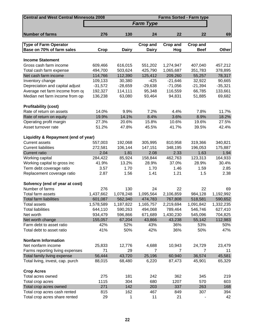| <b>Central and West Central Minnesota 2008</b><br><b>Farms Sorted - Farm type</b> |           |              |                  |           |                |              |  |  |  |
|-----------------------------------------------------------------------------------|-----------|--------------|------------------|-----------|----------------|--------------|--|--|--|
|                                                                                   |           |              | <b>Farm Type</b> |           |                |              |  |  |  |
|                                                                                   |           |              |                  |           |                |              |  |  |  |
| <b>Number of farms</b>                                                            | 276       | 130          | 24               | 22        | 22             | 69           |  |  |  |
| <b>Type of Farm Operator</b>                                                      |           |              | <b>Crop and</b>  | Crop and  | Crop and       |              |  |  |  |
| Base on 70% of farm sales                                                         | Crop      | <b>Dairy</b> | <b>Dairy</b>     | Hog       | <b>Beef</b>    | <b>Other</b> |  |  |  |
|                                                                                   |           |              |                  |           |                |              |  |  |  |
| <b>Income Statement</b>                                                           |           |              |                  |           |                |              |  |  |  |
| Gross cash farm income                                                            | 609,466   | 616,015      | 551,202          | 1,274,947 | 407,040        | 457,212      |  |  |  |
| Total cash farm expense                                                           | 494,700   | 503,624      | 425,790          | 1,065,687 | 351,783        | 378,895      |  |  |  |
| Net cash farm income                                                              | 114,766   | 112,390      | 125,412          | 209,260   | 55,257         | 78,317       |  |  |  |
| Inventory change                                                                  | 109,133   | 30,380       | $-425$           | $-21,646$ | 32,922         | 90,665       |  |  |  |
| Depreciation and capital adjust                                                   | $-31,572$ | $-28,659$    | $-29,638$        | $-71,056$ | $-21,394$      | $-35,321$    |  |  |  |
| Average net farm income from or                                                   | 192,327   | 114,111      | 95,348           | 116,559   | 66,785         | 133,661      |  |  |  |
| Median net farm income from opi                                                   | 136,238   | 63,080       | 93,464           | 94,831    | 51,885         | 69,682       |  |  |  |
| <b>Profitability (cost)</b>                                                       |           |              |                  |           |                |              |  |  |  |
| Rate of return on assets                                                          | 14.0%     | 9.9%         | 7.2%             | 4.4%      | 7.8%           | 11.7%        |  |  |  |
| Rate of return on equity                                                          | 19.9%     | 14.1%        | 8.4%             | 3.6%      | 8.9%           | 18.2%        |  |  |  |
| Operating profit margin                                                           | 27.3%     | 20.6%        | 15.8%            | 10.6%     | 19.6%          | 27.5%        |  |  |  |
| Asset turnover rate                                                               | 51.2%     | 47.8%        | 45.5%            | 41.7%     | 39.5%          | 42.4%        |  |  |  |
|                                                                                   |           |              |                  |           |                |              |  |  |  |
| Liquidity & Repayment (end of year)                                               |           |              |                  |           |                |              |  |  |  |
| <b>Current assets</b>                                                             | 557,003   | 192,068      | 305,995          | 810,958   | 319,366        | 340,821      |  |  |  |
| <b>Current liabilities</b>                                                        | 272,581   | 106,144      | 147,151          | 348,195   | 196,053        | 175,887      |  |  |  |
| <b>Current ratio</b>                                                              | 2.04      | 1.81         | 2.08             | 2.33      | 1.63           | 1.94         |  |  |  |
| Working capital                                                                   | 284,422   | 85,924       | 158,844          | 462,763   | 123,313        | 164,933      |  |  |  |
| Working capital to gross inc                                                      | 41.9%     | 13.2%        | 28.9%            | 37.0%     | 28.9%          | 30.4%        |  |  |  |
| Term debt coverage ratio                                                          | 3.57      | 1.70         | 1.70             | 1.46      | 1.59           | 2.85         |  |  |  |
| Replacement coverage ratio                                                        | 2.87      | 1.56         | 1.41             | 1.21      | 1.5            | 2.38         |  |  |  |
| Solvency (end of year at cost)                                                    |           |              |                  |           |                |              |  |  |  |
| Number of farms                                                                   | 276       | 130          | 24               | 22        | 22             | 69           |  |  |  |
| Total farm assets                                                                 | 1,437,662 | 1,078,248    | 1,095,564        | 2,106,859 | 984,128        | 1,192,992    |  |  |  |
| <b>Total farm liabilities</b>                                                     | 601,087   | 562,340      | 474,783          | 767,808   | 518,581        | 590,652      |  |  |  |
| <b>Total assets</b>                                                               | 1,578,589 | 1,187,822    | 1,165,757        | 2,219,694 | 1,091,842      | 1,332,235    |  |  |  |
| <b>Total liabilities</b>                                                          | 644,110   | 590,263      | 494,068          | 789,464   | 546,746        | 627,410      |  |  |  |
| Net worth                                                                         | 934,479   | 596,866      | 671,689          | 1,430,230 | 545,096        | 704,825      |  |  |  |
| Net worth change                                                                  | 155,057   | 67,204       | 43,866           | 43,238    | 55,142         | 112,983      |  |  |  |
| Farm debt to asset ratio                                                          | 42%       | 52%          | 43%              | 36%       | 53%            | 50%          |  |  |  |
| Total debt to asset ratio                                                         | 41%       | 50%          | 42%              | 36%       | 50%            | 47%          |  |  |  |
| <b>Nonfarm Information</b>                                                        |           |              |                  |           |                |              |  |  |  |
| Net nonfarm income                                                                | 25,833    | 12,776       | 4,688            | 10,943    | 24,729         | 23,479       |  |  |  |
| Farms reporting living expenses                                                   | 71        | 29           | $\overline{7}$   | 7         | $\overline{7}$ | 11           |  |  |  |
| Total family living expense                                                       | 56,444    | 43,720       | 25,196           | 60,940    | 36,574         | 45,581       |  |  |  |
| Total living, invest, cap. purch                                                  | 88,015    | 68,480       | 6,220            | 87,473    | 45,901         | 65,329       |  |  |  |
| <b>Crop Acres</b>                                                                 |           |              |                  |           |                |              |  |  |  |
| Total acres owned                                                                 | 275       | 181          | 242              | 362       | 345            | 219          |  |  |  |
| Total crop acres                                                                  | 1115      | 304          | 680              | 1207      | 570            | 603          |  |  |  |
| Total crop acres owned                                                            | 271       | 142          | 203              | 337       | 263            | 168          |  |  |  |
| Total crop acres cash rented                                                      | 815       | 162          | 467              | 849       | 307            | 394          |  |  |  |
| Total crop acres share rented                                                     | 29        | 1            | 11               | 21        |                | 42           |  |  |  |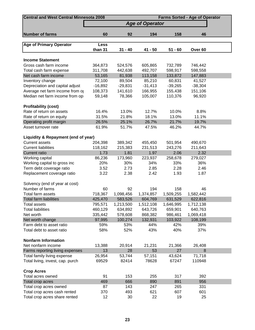| <b>Central and West Central Minnesota 2008</b><br><b>Farms Sorted - Age of Operator</b> |           |           |                        |           |                    |  |  |  |  |
|-----------------------------------------------------------------------------------------|-----------|-----------|------------------------|-----------|--------------------|--|--|--|--|
|                                                                                         |           |           | <b>Age of Operator</b> |           |                    |  |  |  |  |
|                                                                                         |           |           |                        |           |                    |  |  |  |  |
| <b>Number of farms</b>                                                                  | 60        | 92        | 194                    | 158       | 46                 |  |  |  |  |
|                                                                                         |           |           |                        |           |                    |  |  |  |  |
| <b>Age of Primary Operator</b>                                                          | Less      |           |                        |           |                    |  |  |  |  |
|                                                                                         | than 31   | $31 - 40$ | $41 - 50$              | $51 - 60$ | Over <sub>60</sub> |  |  |  |  |
| <b>Income Statement</b>                                                                 |           |           |                        |           |                    |  |  |  |  |
| Gross cash farm income                                                                  | 364,873   | 524,576   | 605,865                | 732,789   | 746,442            |  |  |  |  |
| Total cash farm expense                                                                 | 311,708   | 442,638   | 492,707                | 598,917   | 598,558            |  |  |  |  |
| Net cash farm income                                                                    | 53,165    | 81,938    | 113,158                | 133,872   | 147,883            |  |  |  |  |
| Inventory change                                                                        | 72,100    | 89,504    | 85,210                 | 60,831    | 41,527             |  |  |  |  |
| Depreciation and capital adjust                                                         | $-16,892$ | $-29,831$ | $-31,413$              | $-39,265$ | $-38,304$          |  |  |  |  |
| Average net farm income from or                                                         | 108,373   | 141,610   | 166,955                | 155,438   | 151,106            |  |  |  |  |
| Median net farm income from op                                                          | 59,148    | 78,366    | 105,007                | 110,376   | 96,920             |  |  |  |  |
|                                                                                         |           |           |                        |           |                    |  |  |  |  |
| <b>Profitability (cost)</b>                                                             |           |           |                        |           |                    |  |  |  |  |
| Rate of return on assets                                                                | 16.4%     | 13.0%     | 12.7%                  | 10.0%     | 8.8%               |  |  |  |  |
| Rate of return on equity                                                                | 31.5%     | 21.8%     | 18.1%                  | 13.0%     | 11.1%              |  |  |  |  |
| Operating profit margin                                                                 | 26.5%     | 25.1%     | 26.7%                  | 21.7%     | 19.7%              |  |  |  |  |
| Asset turnover rate                                                                     | 61.9%     | 51.7%     | 47.5%                  | 46.2%     | 44.7%              |  |  |  |  |
|                                                                                         |           |           |                        |           |                    |  |  |  |  |
| Liquidity & Repayment (end of year)                                                     |           |           |                        |           |                    |  |  |  |  |
| <b>Current assets</b>                                                                   | 204,398   | 389,342   | 455,450                | 501,954   | 490,670            |  |  |  |  |
| <b>Current liabilities</b>                                                              | 118,162   | 215,383   | 231,513                | 243,276   | 211,643            |  |  |  |  |
| <b>Current ratio</b>                                                                    | 1.73      | 1.81      | 1.97                   | 2.06      | 2.32               |  |  |  |  |
| Working capital                                                                         | 86,236    | 173,960   | 223,937                | 258,678   | 279,027            |  |  |  |  |
| Working capital to gross inc                                                            | 20%       | 30%       | 34%                    | 33%       | 36%                |  |  |  |  |
| Term debt coverage ratio                                                                | 3.52      | 2.73      | 2.85                   | 2.28      | 2.46               |  |  |  |  |
| Replacement coverage ratio                                                              | 3.22      | 2.38      | 2.42                   | 1.93      | 1.87               |  |  |  |  |
|                                                                                         |           |           |                        |           |                    |  |  |  |  |
| Solvency (end of year at cost)                                                          |           |           |                        |           |                    |  |  |  |  |
| Number of farms                                                                         | 60        | 92        | 194                    | 158       | 46                 |  |  |  |  |
| Total farm assets                                                                       | 718,367   | 1,098,456 | 1,374,857              | 1,509,255 | 1,582,442          |  |  |  |  |
| <b>Total farm liabilities</b>                                                           | 425,470   | 583,526   | 604,769                | 631,529   | 622,816            |  |  |  |  |
| <b>Total assets</b>                                                                     | 795,571   | 1,213,500 | 1,512,108              | 1,646,995 | 1,712,138          |  |  |  |  |
| <b>Total liabilities</b>                                                                | 460,129   | 634,892   | 643,726                | 659,901   | 640,763            |  |  |  |  |
| Net worth                                                                               | 335,442   | 578,608   | 868,382                | 986,461   | 1,069,418          |  |  |  |  |
| Net worth change                                                                        | 97,995    | 100,274   | 132,931                | 103,922   | 108,199            |  |  |  |  |
| Farm debt to asset ratio                                                                | 59%       | 53%       | 44%                    | 42%       | 39%                |  |  |  |  |
| Total debt to asset ratio                                                               | 58%       | 52%       | 43%                    | 40%       | 37%                |  |  |  |  |
|                                                                                         |           |           |                        |           |                    |  |  |  |  |
| <b>Nonfarm Information</b>                                                              |           |           |                        |           |                    |  |  |  |  |
| Net nonfarm income                                                                      | 13,388    | 20,914    | 21,231                 | 21,366    | 26,408             |  |  |  |  |
| Farms reporting living expenses                                                         | 13        | 28        | 53                     | 27        | 8                  |  |  |  |  |
| Total family living expense                                                             | 26,954    | 53,744    | 57,151                 | 43,624    | 71,718             |  |  |  |  |
| Total living, invest, cap. purch                                                        | 69529     | 82414     | 78628                  | 67247     | 110948             |  |  |  |  |
| <b>Crop Acres</b>                                                                       |           |           |                        |           |                    |  |  |  |  |
| Total acres owned                                                                       | 91        | 153       | 255                    | 317       | 392                |  |  |  |  |
| Total crop acres                                                                        | 469       | 666       | 890                    | 891       | 956                |  |  |  |  |
| Total crop acres owned                                                                  | 87        | 143       | 247                    | 265       | 331                |  |  |  |  |
| Total crop acres cash rented                                                            | 370       | 493       | 621                    | 607       | 601                |  |  |  |  |
| Total crop acres share rented                                                           | 12        | 30        | 22                     | 19        | 25                 |  |  |  |  |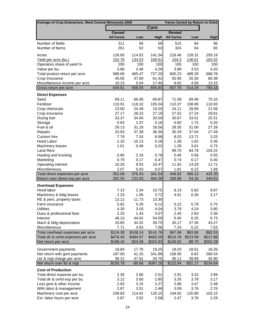| Average of Crop Enterprises, West Central Minnesota 2008 |                   |                   |                   |                   | <b>Farms Sorted by Return to Ovhd</b> |                   |
|----------------------------------------------------------|-------------------|-------------------|-------------------|-------------------|---------------------------------------|-------------------|
|                                                          |                   |                   | Corn              |                   |                                       |                   |
|                                                          | Owned             |                   |                   | <b>Rented</b>     |                                       |                   |
|                                                          | <b>All Farms</b>  | Low               | High              | <b>All Farms</b>  | Low                                   | <b>High</b>       |
| Number of fields                                         | 311               | 56                | 59                | 515               | 94                                    | 96                |
| Number of farms                                          | 261               | 52                | 53                | 324               | 64                                    | 65                |
|                                                          |                   |                   |                   |                   |                                       |                   |
| Acres                                                    | 126.65            | 114.02            | 141.34            | 218.46            | 128.31                                | 259.19            |
| Yield per acre (bu.)                                     | 152.76            | 134.53            | 169.51            | 154.3             | 138.61                                | 163.52            |
| Operators share of yield %                               | 100               | 100               | 100               | 100               | 100                                   | 100               |
| Value per bu.                                            | 3.86              | 3.46              | 4.29              | 3.89              | 3.53                                  | 4.20              |
| Total product return per acre                            | 589.65            | 465.47            | 727.20            | 600.23            | 489.29                                | 686.78            |
| Crop Insurance                                           | 45.05             | 37.69             | 61.42             | 50.90             | 20.30                                 | 80.38             |
| Miscellaneous income per acre                            | 10.23             | 5.04              | 17.46             | 6.62              | 4.56                                  | 13.15             |
| Gross return per acre                                    | 644.61            | 508.05            | 805.93            | 657.70            | 514.29                                | 780.16            |
| <b>Direct Expenses</b>                                   |                   |                   |                   |                   |                                       |                   |
| Seed                                                     | 69.11             | 66.08             | 69.87             | 71.08             | 69.48                                 | 70.10             |
| Fertilizer                                               | 110.91            | 118.32            | 105.04            | 110.37            | 108.89                                | 110.93            |
| Crop chemicals                                           | 23.00             | 24.49             | 19.25             | 24.11             | 28.89                                 | 21.56             |
| Crop insurance                                           | 27.17             | 28.23             | 27.19             | 27.52             | 27.24                                 | 29.91             |
| Drying fuel                                              | 33.37             | 34.00             | 33.50             | 30.87             | 33.01                                 | 25.51             |
| Storage                                                  | 0.63              | 1.37              | 0.16              | 0.90              | 1.75                                  | 0.20              |
| Fuel & oil                                               | 29.13             | 31.19             | 28.56             | 28.35             | 31.00                                 | 27.28             |
| Repairs                                                  | 33.93             | 37.38             | 36.30             | 30.29             | 37.04                                 | 27.49             |
| Custom hire                                              | 7.79              | 7.24              | 8.98              | 8.03              | 13.71                                 | 3.25              |
| <b>Hired Labor</b>                                       | 2.10              | 10.13             | 0.18              | 1.38              | 1.82                                  | 0.36              |
| <b>Machinery leases</b>                                  | 1.01              | 0.49              | 0.22              | 1.28              | 3.01                                  | 0.72              |
| Land Rent                                                |                   |                   |                   | 99.70             | 84.78                                 | 104.22            |
| Hauling and trucking                                     | 0.85              | 2.18              | 0.78              | 0.46              | 0.56                                  | 0.55              |
| Marketing<br>Operating interest                          | 0.79<br>10.20     | 0.17<br>9.53      | 0.47<br>10.47     | 0.74<br>11.92     | 0.17<br>14.29                         | 0.40<br>11.71     |
| Miscellaneous                                            | 2.07              | 5.63              | 0.57              | 1.81              | 6.22                                  | 1.68              |
| Total direct expenses per acre                           | 352.06            | 376.43            | 341.54            | 448.82            | 460.13                                | 435.35            |
| Return over direct exp per acre                          | 292.55            | 131.63            | 464.39            | 208.88            | 54.16                                 | 344.81            |
|                                                          |                   |                   |                   |                   |                                       |                   |
| <b>Overhead Expenses</b><br>Hired labor                  |                   |                   |                   |                   | 5.82                                  |                   |
|                                                          | 7.13<br>2.23      | 2.34<br>1.06      | 10.75<br>3.72     | 8.13<br>4.61      | 6.36                                  | 9.87<br>3.17      |
| Machinery & bldg leases<br>RE & pers. property taxes     | 13.12             | 11.73             | 13.30             |                   |                                       |                   |
| Farm insurance                                           | 5.82              | 5.29              | 6.12              | 5.22              | 5.78                                  | 5.70              |
| <b>Utilities</b>                                         | 4.30              | 3.03              | 4.04              | 3.79              | 4.24                                  | 3.80              |
| Dues & professional fees                                 | 2.33              | 1.43              | 3.07              | 2.40              | 2.83                                  | 2.36              |
| Interest                                                 | 48.10             | 44.02             | 54.00             | 6.40              | 6.25                                  | 6.73              |
| Mach & bldg depreciation                                 | 33.65             | 34.32             | 39.70             | 30.17             | 27.36                                 | 43.27             |
| Miscellaneous                                            | 7.71              | 4.93              | 7.06              | 7.24              | 5.22                                  | 7.63              |
| Total overhead expenses per acre                         | \$124.38          | \$108.14          | \$141.76          | \$67.96           | \$63.86                               | \$82.53           |
| Total dir & ovhd expenses per acre                       | \$476.45          | \$484.57          | \$483.29          | \$516.78          | \$523.99                              | \$517.88          |
| Net return per acre                                      | \$168.16          | \$23.48           | \$322.63          | \$140.92          | $-$9.70$                              | \$262.28          |
|                                                          |                   |                   |                   |                   |                                       |                   |
| Government payments                                      | 18.84             | 17.76             | 19.25             | 18.03             | 18.51                                 | 18.26             |
| Net return with govt payments                            | 187.00            | 41.25             | 341.89            | 158.95            | 8.82<br>39.99                         | 280.54            |
| Lbr & mgt charge per acre<br>Net return over lbr & mgt   | 36.22<br>\$150.78 | 47.91<br>$-$6.66$ | 34.70<br>\$307.18 | 36.11<br>\$122.84 | $-$ \$31.17                           | 45.90<br>\$234.64 |
|                                                          |                   |                   |                   |                   |                                       |                   |
| <b>Cost of Production</b>                                |                   |                   |                   |                   |                                       |                   |
| Total direct expense per bu.                             | 2.30<br>3.12      | 2.80<br>3.60      | 2.01              | 2.91<br>3.35      | 3.32                                  | 2.66              |
| Total dir & ovhd exp per bu.<br>Less govt & other income | 2.63              |                   | 2.85<br>2.27      | 2.86              | 3.78                                  | 3.17              |
| With labor & management                                  | 2.87              | 3.15<br>3.51      | 2.48              | 3.09              | 3.47<br>3.76                          | 2.48<br>2.76      |
| Machinery cost per acre                                  | 109.83            | 114.62            | 120.15            | 104.62            | 120.80                                | 103.15            |
| Est. labor hours per acre                                | 2.87              | 3.52              | 2.58              | 2.47              | 3.76                                  | 2.29              |
|                                                          |                   |                   |                   |                   |                                       |                   |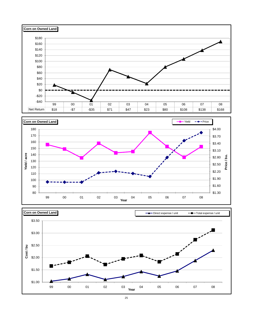



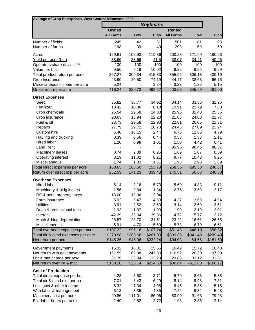| Average of Crop Enterprises, West Central Minnesota 2008 |                  |                |                 |                  |                |                |
|----------------------------------------------------------|------------------|----------------|-----------------|------------------|----------------|----------------|
|                                                          |                  |                | <b>Soybeans</b> |                  |                |                |
|                                                          | <b>Owned</b>     |                |                 | <b>Rented</b>    |                |                |
|                                                          | <b>All Farms</b> | Low            | High            | <b>All Farms</b> | Low            | <b>High</b>    |
| Number of fields                                         | 245              | 42             | 61              | 501              | 81             | 93             |
| Number of farms                                          | 198              | 39             | 40              | 298              | 59             | 60             |
|                                                          |                  |                |                 |                  |                |                |
| Acres                                                    | 129.61           | 102.93         | 119.86          | 200.28           | 171.69         | 180.23         |
| Yield per acre (bu.)                                     | 38.66            | 33.66          | 41.5            | 38.07            | 34.21          | 40.96          |
| Operators share of yield %                               | 100              | 100            | 100             | 100              | 100            | 100            |
| Value per bu.<br>Total product return per acre           | 9.50<br>367.27   | 9.19<br>309.34 | 10.02<br>415.83 | 9.35<br>355.95   | 8.95<br>306.18 | 9.99<br>409.19 |
| Crop Insurance                                           | 43.90            | 20.50          | 74.19           | 44.47            | 38.63          | 66.76          |
| Miscellaneous income per acre                            | 5.24             |                | 3.24            | 3.33             | 1.36           | 5.15           |
| Gross return per acre                                    | 416.24           | 329.73         | 493.27          | 403.86           | 345.99         | 481.00         |
|                                                          |                  |                |                 |                  |                |                |
| <b>Direct Expenses</b><br>Seed                           | 35.82            | 36.77          | 34.92           | 34.14            | 33.36          | 32.96          |
| Fertilizer                                               | 10.42            | 10.86          | 8.10            | 10.91            | 23.79          | 7.80           |
| Crop chemicals                                           | 26.54            | 29.68          | 24.88           | 25.95            | 31.48          | 25.35          |
| Crop insurance                                           | 20.63            | 18.94          | 22.20           | 21.88            | 24.03          | 21.77          |
| Fuel & oil                                               | 23.73            | 29.58          | 22.93           | 22.81            | 26.05          | 21.31          |
| Repairs                                                  | 27.79            | 29.72          | 26.78           | 24.43            | 27.09          | 23.24          |
| Custom hire                                              | 6.48             | 16.15          | 2.44            | 6.76             | 12.86          | 4.79           |
| Hauling and trucking                                     | 0.39             | 0.56           | 0.44            | 0.58             | 1.33           | 2.11           |
| Hired labor                                              | 1.20             | 0.99           | 1.01            | 1.50             | 4.42           | 0.41           |
| <b>Land Rent</b>                                         |                  |                |                 | 95.95            | 96.45          | 88.87          |
| Machinery leases                                         | 0.74             | 2.39           | 0.26            | 1.69             | 1.07           | 0.69           |
| Operating interest                                       | 8.19             | 11.02          | 8.21            | 9.77             | 10.43          | 9.26           |
| Miscellaneous                                            | 1.74             | 1.83           | 1.61            | 1.98             | 2.98           | 2.09           |
| Total direct expenses per acre                           | 163.65           | 188.50         | 153.78          | 258.35           | 295.33         | 240.67         |
| Return over direct exp per acre                          | 252.59           | 141.23         | 339.48          | 145.51           | 50.66          | 240.33         |
| <b>Overhead Expenses</b>                                 |                  |                |                 |                  |                |                |
| Hired labor                                              | 5.14             | 3.16           | 5.73            | 5.60             | 4.83           | 9.11           |
| Machinery & bldg leases                                  | 1.56             | 2.34           | 1.84            | 2.76             | 3.53           | 2.17           |
| RE & pers. property taxes                                | 13.00            | 12.36          | 13.04           |                  |                |                |
| Farm insurance                                           | 5.02             | 5.47           | 4.53            | 4.37             | 3.69           | 4.94           |
| <b>Utilities</b>                                         | 3.91             | 3.52           | 3.60            | 3.14             | 2.69           | 3.61           |
| Dues & professional fees                                 | 1.93             | 1.87           | 1.93            | 1.90             | 2.19           | 2.01           |
| Interest                                                 | 42.29            | 33.04          | 39.36           | 4.72             | 5.77           | 3.72           |
| Mach & bldg depreciation                                 | 28.57            | 28.70          | 31.51           | 23.22            | 16.61          | 26.65          |
| Miscellaneous                                            | 5.91             | 4.70           | 5.69            | 5.78             | 6.79           | 6.61           |
| Total overhead expenses per acre                         | \$107.32         | \$95.16        | \$107.24        | \$51.48          | \$46.10        | \$58.82        |
| Total dir & ovhd expenses per acre                       | \$270.98         | \$283.66       | \$261.03        | \$309.83         | \$341.43       | \$299.49       |
| Net return per acre                                      | \$145.26         | \$46.06        | \$232.24        | \$94.03          | \$4.56         | \$181.50       |
| Government payments                                      | 16.32            | 16.01          | 15.56           | 16.49            | 15.72          | 16.48          |
| Net return with govt payments                            | 161.59           | 62.08          | 247.80          | 110.52           | 20.28          | 197.99         |
| Lbr & mgt charge per acre                                | 31.39            | 33.94          | 33.20           | 29.88            | 33.12          | 31.81          |
| Net return over lbr & mgt                                | \$130.20         | \$28.14        | \$214.60        | \$80.64          | $-$12.83$      | \$166.17       |
| <b>Cost of Production</b>                                |                  |                |                 |                  |                |                |
| Total direct expense per bu.                             | 4.23             | 5.60           | 3.71            | 6.79             | 8.63           | 5.88           |
| Total dir & ovhd exp per bu.                             | 7.01             | 8.43           | 6.29            | 8.14             | 9.98           | 7.31           |
| Less govt & other income                                 | 5.32             | 7.34           | 4.05            | 6.45             | 8.35           | 5.15           |
| With labor & management                                  | 6.13             | 8.35           | 4.85            | 7.24             | 9.32           | 5.93           |
| Machinery cost per acre                                  | 90.86            | 111.01         | 86.06           | 83.90            | 91.63          | 79.93          |
| Est. labor hours per acre                                | 2.49             | 2.52           | 2.72            | 1.98             | 2.35           | 2.14           |
|                                                          |                  |                |                 |                  |                |                |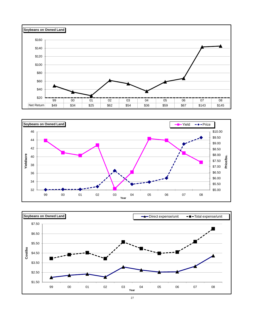



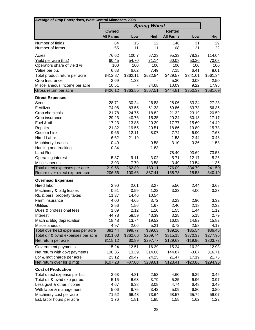| Average of Crop Enterprises, West Central Minnesota 2008 |                  |                  |                     |                  |                 |                  |
|----------------------------------------------------------|------------------|------------------|---------------------|------------------|-----------------|------------------|
|                                                          |                  |                  | <b>Spring Wheat</b> |                  |                 |                  |
|                                                          | Owned            |                  |                     | <b>Rented</b>    |                 |                  |
|                                                          | <b>All Farms</b> | Low              | <b>High</b>         | <b>All Farms</b> | Low             | <b>High</b>      |
| Number of fields                                         | 64               | 15               | 12                  | 146              | 31              | 29               |
| Number of farms                                          | 55               | 11               | 11                  | 108              | 21              | 22               |
| Acres                                                    | 76.62            | 100.7            | 67.23               | 95.33            | 78.32           | 114.04           |
| Yield per acre (bu.)                                     | 60.45            | 54.70            | 71.14               | 60.08            | 53.20           | 70.08            |
| Operators share of yield %                               | 100              | 100              | 100                 | 100              | 100             | 100              |
| Value per bu.                                            | 6.83             | 6.62             | 7.49                | 7.15             | 6.41            | 8.01             |
| Total product return per acre                            | \$412.87         | \$362.11         | \$532.84            | \$429.57         | \$341.01        | \$561.34         |
| Crop Insurance                                           | 2.69             | 1.33             |                     | 5.30             | 0.08            | 2.50             |
| Miscellaneous income per acre                            | 10.51            |                  | 34.68               | 10.09            | 9.22            | 17.96            |
| Gross return per acre                                    | $\sqrt{$426.12}$ | \$363.55         | \$567.51            | \$444.81         | \$350.37        | \$581.69         |
| <b>Direct Expenses</b>                                   |                  |                  |                     |                  |                 |                  |
| Seed                                                     | 28.71            | 30.24            | 26.83               | 28.06            | 33.24           | 27.23            |
| Fertilizer                                               | 74.96            | 83.55            | 61.33               | 69.86            | 83.73           | 56.35            |
| Crop chemicals                                           | 21.78            | 24.75            | 18.82               | 21.32            | 23.19           | 20.59            |
| Crop insurance                                           | 29.23            | 40.76            | 15.25               | 20.24            | 30.13           | 17.17            |
| Fuel & oil                                               | 17.23            | 13.85            | 20.29               | 17.77            | 15.60           | 14.49            |
| Repairs                                                  | 21.32            | 19.55            | 20.51               | 18.86            | 19.80           | 15.78            |
| Custom hire                                              | 9.66             | 12.11            | 8.07                | 7.74             | 6.90            | 7.68             |
| <b>Hired Labor</b>                                       | 6.62             | 21.19            |                     | 1.53             | 2.44            | 0.48             |
| <b>Machinery Leases</b>                                  | 0.40             |                  | 0.58                | 3.10             | 0.36            | 1.58             |
| Hauling and trucking                                     | 0.34             |                  | 1.83                |                  | -               |                  |
| <b>Land Rent</b>                                         |                  |                  |                     | 78.40            | 93.69           | 73.53            |
| Operating interest                                       | 5.37             | 9.11             | 3.02                | 5.71             | 12.17           | 5.26             |
| Miscellaneous                                            | 3.93             | 7.79             | 3.58                | 3.49             | 13.54           | 1.36             |
| Total direct expenses per acre                           | 219.56<br>206.56 | 262.89<br>100.66 | 180.11<br>387.41    | 276.09<br>168.73 | 334.79<br>15.58 | 241.50<br>340.19 |
| Return over direct exp per acre                          |                  |                  |                     |                  |                 |                  |
| <b>Overhead Expenses</b>                                 |                  |                  |                     |                  |                 |                  |
| Hired labor                                              | 2.90             | 2.01             | 3.27                | 5.50             | 2.44            | 3.68             |
| Machinery & bldg leases                                  | 0.51             | 0.59             | 1.22                | 3.33             | 4.00            | 3.23             |
| RE & pers. property taxes                                | 11.37            | 14.46            | 10.54               |                  |                 |                  |
| Farm insurance<br><b>Utilities</b>                       | 4.00             | 4.65             | 3.72                | 3.23             | 2.90            | 3.32             |
|                                                          | 2.56<br>1.89     | 1.56             | 1.67                | 2.40             | 2.18            | 2.32             |
| Dues & professional fees<br>Interest                     |                  | 2.12             | 1.10<br>43.39       | 1.55<br>3.28     | 1.44<br>5.18    | 1.12<br>2.79     |
| Mach & bldg depreciation                                 | 44.78<br>18.48   | 58.59<br>13.74   | 19.52               | 16.08            | 14.82           | 15.82            |
| Miscellaneous                                            | 4.97             | 2.06             | 5.21                | 3.72             | 2.58            | 4.17             |
| Total overhead expenses per acre                         | \$91.44          | \$99.77          | \$89.63             | \$39.10          | \$35.54         | \$36.45          |
| Total dir & ovhd expenses per acre                       | \$311.00         | \$362.66         | \$269.74            | \$315.18         | \$370.33        | \$277.95         |
| Net return per acre                                      | \$115.12         | \$0.89           | \$297.77            | \$129.63         | $-$19.96$       | \$303.73         |
| Government payments                                      | 15.24            | 12.51            | 16.29               | 15.24            | 16.29           | 12.98            |
| Net return with govt payments                            | 130.36           | 13.39            | 314.06              | 144.87           | $-3.67$         | 316.71           |
| Lbr & mgt charge per acre                                | 23.12            | 20.47            | 24.25               | 21.47            | 17.19           | 21.76            |
| Net return over Ibr & mgt                                | \$107.23         | $-$7.08$         | \$289.81            | \$123.41         | $-$20.86$       | \$294.95         |
| <b>Cost of Production</b>                                |                  |                  |                     |                  |                 |                  |
| Total direct expense per bu.                             | 3.63             | 4.81             | 2.53                | 4.60             | 6.29            | 3.45             |
| Total dir & ovhd exp per bu.                             | 5.15             | 6.63             | 3.79                | 5.25             | 6.96            | 3.97             |
| Less govt & other income                                 | 4.67             | 6.38             | 3.08                | 4.74             | 6.48            | 3.49             |
| With labor & management                                  | 5.06             | 6.75             | 3.42                | 5.09             | 6.80            | 3.80             |
| Machinery cost per acre                                  | 71.52            | 66.48            | 73.64               | 68.57            | 65.79           | 59.07            |
| Est. labor hours per acre                                | 1.76             | 1.81             | 1.85                | 1.58             | 1.62            | 1.22             |
|                                                          |                  |                  |                     |                  |                 |                  |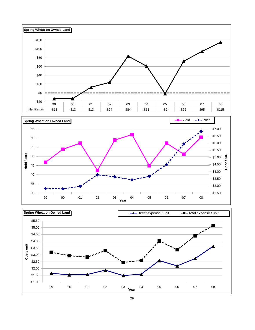



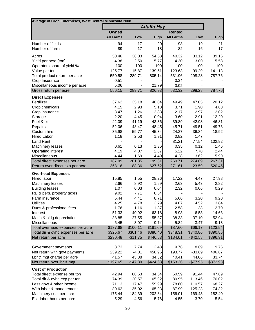| Average of Crop Enterprises, West Central Minnesota 2008          |                  |                 |                    |                  |                 |                  |
|-------------------------------------------------------------------|------------------|-----------------|--------------------|------------------|-----------------|------------------|
|                                                                   |                  |                 | <b>Alfalfa Hay</b> |                  |                 |                  |
|                                                                   | <b>Owned</b>     |                 |                    | <b>Rented</b>    |                 |                  |
|                                                                   | <b>All Farms</b> | Low             | <b>High</b>        | <b>All Farms</b> | Low             | <b>High</b>      |
| Number of fields                                                  | 94               | 17              | 20                 | 98               | 19              | 21               |
| Number of farms                                                   | 89               | 17              | 18                 | 82               | 16              | 17               |
| Acres                                                             | 50.46            | 38.03           | 54.58              | 40.32            | 33.12           | 39.16            |
| Yield per acre (ton)                                              | 4.38             | 2.50            | 5.77               | 4.30             | 3.00            | 5.58             |
| Operators share of yield %                                        | 100              | 100             | 100                | 100              | 100             | 100              |
| Value per ton                                                     | 125.77           | 115.87          | 139.51             | 123.63           | 99.29           | 141.13           |
| Total product return per acre                                     | 550.58           | 289.71          | 805.14             | 531.96           | 298.28          | 787.76           |
| Crop Insurance                                                    | 0.51             |                 |                    | 0.34             |                 |                  |
| Miscellaneous income per acre                                     | 5.06             |                 | 21.79              | 0.02             |                 |                  |
| Gross return per acre                                             | 556.15           | 289.71          | 826.93             | 532.32           | 298.28          | 787.76           |
| <b>Direct Expenses</b>                                            |                  |                 |                    |                  |                 |                  |
| Fertilizer                                                        | 37.62            | 35.18           | 40.04              | 49.49            | 47.05           | 20.12            |
| Crop chemicals                                                    | 4.15             | 2.93            | 5.13               | 3.71             | 1.90            | 4.80             |
| Crop insurance                                                    | 3.47             | 1.26            | 3.83               | 2.17             | 2.97            | 2.02             |
| Storage                                                           | 2.20             | 4.45            | 0.04               | 3.60             | 2.91            | 12.20            |
| Fuel & oil                                                        | 42.09            | 41.19           | 43.36              | 39.89            | 42.98           | 46.81            |
| Repairs                                                           | 52.06            | 48.47           | 48.45              | 45.71            | 49.51           | 49.73            |
| Custom hire                                                       | 35.98            | 59.77           | 45.34              | 24.27            | 36.84           | 18.92            |
| <b>Hired Labor</b>                                                | 1.18             | 2.53            | 1.91               | 0.82             | 1.47            |                  |
| <b>Land Rent</b>                                                  |                  |                 |                    | 81.21            | 77.54           | 102.92           |
| Machinery leases                                                  | 0.61             | 0.13            | 1.36               | 0.35             | 0.12            | 1.46             |
| Operating interest                                                | 4.19             | 4.07            | 2.87               | 5.22             | 7.78            | 2.44             |
| Miscellaneous                                                     | 4.44             | 1.69            | 4.49               | 4.28             | 3.62            | 5.90             |
| Total direct expenses per acre<br>Return over direct exp per acre | 187.99<br>368.16 | 201.35<br>88.36 | 199.31<br>627.62   | 260.71<br>271.61 | 274.69<br>23.59 | 267.31<br>520.45 |
|                                                                   |                  |                 |                    |                  |                 |                  |
| <b>Overhead Expenses</b>                                          |                  |                 |                    |                  |                 |                  |
| Hired labor                                                       | 15.85            | 1.55            | 28.26              | 17.22            | 4.47            | 27.98            |
| Machinery leases<br><b>Building leases</b>                        | 2.66<br>1.07     | 8.92<br>0.03    | 1.59<br>0.04       | 2.63<br>2.32     | 5.43<br>0.06    | 2.82<br>0.29     |
|                                                                   | 9.02             | 7.71            | 8.54               | $\blacksquare$   |                 |                  |
| RE & pers. property taxes<br>Farm insurance                       | 6.44             | 4.41            | 8.71               | 5.66             | 3.20            | 9.20             |
| <b>Utilities</b>                                                  | 4.25             | 4.78            | 3.79               | 4.07             | 4.52            | 3.84             |
| Dues & professional fees                                          | 1.76             | 1.16            | 1.37               | 2.58             | 1.38            | 2.70             |
| Interest                                                          | 51.33            | 40.92           | 63.18              | 8.93             | 6.53            | 14.63            |
| Mach & bldg depreciation                                          | 38.85            | 27.55           | 55.87              | 38.33            | 37.10           | 52.94            |
| Miscellaneous                                                     | 6.45             | 3.07            | 9.74               | 5.84             | 3.47            | 9.13             |
| Total overhead expenses per acre                                  | \$137.68         | \$100.11        | \$181.09           | \$87.60          | \$66.17         | \$123.54         |
| Total dir & ovhd expenses per acre                                | \$325.67         | \$301.46        | \$380.40           | \$348.31         | \$340.86        | \$390.85         |
| Net return per acre                                               | \$230.48         | $-$11.75$       | \$446.53           | \$184.01         | $-$ \$42.58     | \$396.91         |
|                                                                   |                  |                 |                    |                  |                 |                  |
| Government payments                                               | 8.73             | 7.74            | 12.43              | 9.76             | 8.69            | 9.76             |
| Net return with govt payments                                     | 239.22           | $-4.01$         | 458.96             | 193.77           | $-33.89$        | 406.67           |
| Lbr & mgt charge per acre                                         | 41.57            | 43.88           | 34.32              | 40.41            | 44.06           | 33.74            |
| Net return over Ibr & mgt                                         | \$197.65         | $-$47.89$       | \$424.63           | \$153.36         | $-$77.95$       | \$372.93         |
| <b>Cost of Production</b>                                         |                  |                 |                    |                  |                 |                  |
| Total direct expense per ton                                      | 42.94            | 80.53           | 34.54              | 60.59            | 91.44           | 47.89            |
| Total dir & ovhd exp per ton                                      | 74.39            | 120.57          | 65.92              | 80.95            | 113.46          | 70.02            |
| Less govt & other income                                          | 71.13            | 117.47          | 59.99              | 78.60            | 110.57          | 68.27            |
| With labor & management                                           | 80.62            | 135.02          | 65.93              | 87.99            | 125.23          | 74.32            |
| Machinery cost per acre                                           | 175.44           | 184.39          | 202.84             | 156.01           | 169.43          | 182.40           |
| Est. labor hours per acre                                         | 5.29             | 4.56            | 5.76               | 4.55             | 3.70            | 5.54             |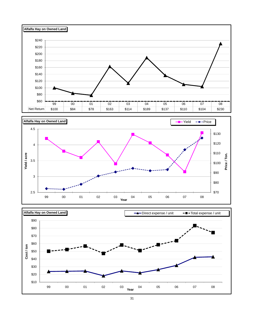



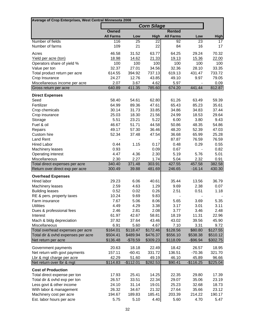| Average of Crop Enterprises, West Central Minnesota 2008  |                      |                       |                      |                      |                       |                      |
|-----------------------------------------------------------|----------------------|-----------------------|----------------------|----------------------|-----------------------|----------------------|
|                                                           |                      |                       | <b>Corn Silage</b>   |                      |                       |                      |
|                                                           | <b>Owned</b>         |                       |                      | <b>Rented</b>        |                       |                      |
|                                                           | <b>All Farms</b>     | Low                   | High                 | <b>All Farms</b>     | Low                   | <b>High</b>          |
| Number of fields                                          | 116                  | 25                    | 22                   | 92                   | 23                    | 17                   |
| Number of farms                                           | 109                  | 21                    | 22                   | 84                   | 16                    | 17                   |
| Acres                                                     | 46.58                | 31.52                 | 63.77                | 64.25                | 29.24                 | 70.32                |
| Yield per acre (ton)                                      | 18.98                | 14.62                 | 21.33                | 19.13                | 15.36                 | 22.00                |
| Operators share of yield %                                | 100                  | 100                   | 100                  | 100                  | 100                   | 100                  |
| Value per ton                                             | 32.37                | 27.01                 | 34.56                | 32.36                | 28.10                 | 33.35                |
| Total product return per acre                             | 614.55               | 394.92                | 737.13               | 619.13               | 431.47                | 733.72               |
| Crop Insurance                                            | 24.27                | 12.76                 | 43.85                | 49.10                | 9.97                  | 79.05                |
| Miscellaneous income per acre                             | 2.07                 | 3.67                  | 4.62                 | 5.97                 |                       | 0.09                 |
| Gross return per acre                                     | 640.89               | 411.35                | 785.60               | 674.20               | 441.44                | 812.87               |
| <b>Direct Expenses</b>                                    |                      |                       |                      |                      |                       |                      |
| Seed                                                      | 58.40                | 54.61                 | 62.80                | 61.26                | 63.49                 | 59.39                |
| Fertilizer                                                | 64.99                | 89.36                 | 47.61                | 65.43                | 85.23                 | 35.61                |
| Crop chemicals                                            | 30.14                | 31.73                 | 33.85                | 34.86                | 34.83                 | 37.44                |
| Crop insurance                                            | 25.03                | 18.30                 | 21.56                | 24.99                | 18.53                 | 29.64                |
| Storage                                                   | 5.51                 | 23.21                 | 5.22                 | 6.00                 | 3.80                  | 9.43                 |
| Fuel & oil                                                | 46.67                | 51.71                 | 44.58                | 50.86                | 48.35                 | 54.86                |
| Repairs                                                   | 49.17                | 57.30                 | 36.46                | 48.20                | 52.39                 | 47.03                |
| Custom hire                                               | 52.34                | 37.48                 | 47.54                | 36.68                | 65.99                 | 25.28                |
| <b>Land Rent</b>                                          |                      |                       |                      | 87.87                | 76.59                 | 76.59                |
| <b>Hired Labor</b>                                        | 0.44                 | 1.15                  | 0.17                 | 0.48                 | 0.29                  | 0.55                 |
| Machinery leases<br>Operating interest                    | 0.93<br>4.47         | 4.36                  | 0.09<br>2.30         | 0.67<br>5.19         | 5.76                  | 0.82<br>5.01         |
| Miscellaneous                                             | 2.30                 | 2.27                  | 1.74                 | 5.04                 | 2.32                  | 0.91                 |
| Total direct expenses per acre                            | 340.40               | 371.48                | 303.91               | 427.55               | 457.58                | 382.58               |
| Return over direct exp per acre                           | 300.49               | 39.88                 | 481.69               | 246.65               | $-16.14$              | 430.30               |
| <b>Overhead Expenses</b>                                  |                      |                       |                      |                      |                       |                      |
| Hired labor                                               | 29.23                | 6.06                  | 40.61                | 35.44                | 13.56                 | 36.79                |
| <b>Machinery leases</b>                                   | 2.59                 | 4.63                  | 1.29                 | 9.69                 | 2.38                  | 0.07                 |
| <b>Building leases</b>                                    | 0.52                 | 0.02                  | 0.26                 | 2.51                 | 0.51                  | 1.18                 |
| RE & pers. property taxes                                 | 10.24                | 9.69                  | 9.83                 |                      |                       |                      |
| Farm insurance                                            | 7.67                 | 5.06                  | 8.06                 | 5.65                 | 3.69                  | 5.35                 |
| <b>Utilities</b>                                          | 4.49                 | 4.29                  | 3.38                 | 3.17                 | 3.01                  | 3.11                 |
| Dues & professional fees                                  | 2.46                 | 2.81                  | 2.08                 | 3.77                 | 3.46                  | 2.48                 |
| Interest                                                  | 61.97                | 42.67                 | 58.81                | 18.19                | 11.31                 | 22.96                |
| Mach & bldg depreciation                                  | 37.92                | 37.64                 | 43.46                | 43.02                | 39.56                 | 45.90                |
| Miscellaneous                                             | 6.91                 | 5.60                  | 4.67                 | 7.10                 | 3.31                  | 9.72                 |
| Total overhead expenses per acre                          | \$164.01             | \$118.47              | \$172.46             | \$128.56             | \$80.80               | \$127.55             |
| Total dir & ovhd expenses per acre<br>Net return per acre | \$504.41<br>\$136.48 | \$489.94<br>$-$78.59$ | \$476.37<br>\$309.23 | \$556.10<br>\$118.09 | \$538.38<br>$-$96.94$ | \$510.12<br>\$302.75 |
|                                                           |                      |                       |                      |                      |                       |                      |
| Government payments                                       | 20.63                | 18.18                 | 22.49                | 18.42                | 26.57                 | 18.95                |
| Net return with govt payments                             | 157.11               | $-60.41$              | 331.72               | 136.51               | $-70.36$              | 321.70               |
| Lbr & mgt charge per acre<br>Net return over Ibr & mgt    | 42.29<br>\$114.83    | 51.60<br>$-$112.01$   | 49.19<br>\$282.53    | 46.10<br>\$90.41     | 45.89<br>$-$116.25$   | 96.66<br>\$225.04    |
|                                                           |                      |                       |                      |                      |                       |                      |
| <b>Cost of Production</b>                                 |                      |                       |                      |                      |                       |                      |
| Total direct expense per ton                              | 17.93                | 25.41                 | 14.25                | 22.35                | 29.80                 | 17.39                |
| Total dir & ovhd exp per ton                              | 26.57                | 33.51                 | 22.34                | 29.07                | 35.06                 | 23.19                |
| Less govt & other income                                  | 24.10                | 31.14                 | 19.01                | 25.23                | 32.68                 | 18.73                |
| With labor & management                                   | 26.32                | 34.67                 | 21.32                | 27.64                | 35.66                 | 23.12                |
| Machinery cost per acre<br>Est. labor hours per acre      | 194.67<br>5.75       | 189.83<br>5.10        | 185.41<br>4.40       | 203.39<br>5.60       | 214.22<br>4.70        | 190.17<br>5.47       |
|                                                           |                      |                       |                      |                      |                       |                      |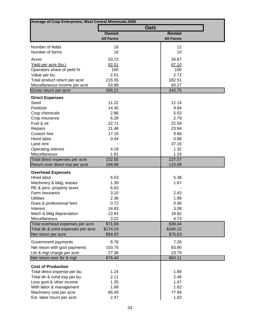| Average of Crop Enterprises, West Central Minnesota 2008 |                  |             |                  |  |
|----------------------------------------------------------|------------------|-------------|------------------|--|
|                                                          |                  | <b>Oats</b> |                  |  |
|                                                          | <b>Owned</b>     |             | <b>Rented</b>    |  |
|                                                          | <b>All Farms</b> |             | <b>All Farms</b> |  |
| Number of fields                                         | 16               |             | 12               |  |
| Number of farms                                          | 16               |             | 10               |  |
|                                                          | 20.72            |             | 34.87            |  |
| Acres<br>Yield per acre (bu.)                            | 82.51            |             | 67.10            |  |
| Operators share of yield %                               | 100              |             | 100              |  |
| Value per bu.                                            | 2.61             |             | 2.72             |  |
| Total product return per acre                            | 215.35           |             | 182.51           |  |
| Miscellaneous income per acre                            | 53.88            |             | 60.27            |  |
| Gross return per acre                                    | 269.21           |             | 242.75           |  |
| <b>Direct Expenses</b>                                   |                  |             |                  |  |
| Seed                                                     | 11.22            |             | 12.14            |  |
| Fertilizer                                               | 14.45            |             | 9.84             |  |
| Crop chemicals                                           | 2.86             |             | 5.53             |  |
| Crop insurance                                           | 6.28             |             | 2.79             |  |
| Fuel & oil                                               | 22.71            |             | 22.59            |  |
| Repairs                                                  | 21.48            |             | 23.84            |  |
| Custom hire                                              | 17.10            |             | 9.66             |  |
| <b>Hired labor</b>                                       | 0.44             |             | 0.88             |  |
| Land rent                                                |                  |             | 37.15            |  |
| Operating interest                                       | 4.19             |             | 1.32             |  |
| Miscellaneous                                            | 1.81             |             | 1.33             |  |
| Total direct expenses per acre                           | 102.55           |             | 127.07           |  |
| Return over direct exp per acre                          | 166.66           |             | 115.68           |  |
| <b>Overhead Expenses</b>                                 |                  |             |                  |  |
| Hired labor                                              | 6.53             |             | 5.38             |  |
| Machinery & bldg. leases                                 | 1.39             |             | 1.67             |  |
| RE & pers. property taxes                                | 6.63             |             |                  |  |
| Farm insurance                                           | 3.10             |             | 2.43             |  |
| <b>Utilities</b>                                         | 2.36             |             | 1.98             |  |
| Dues & professional fees                                 | 0.72<br>24.83    |             | 0.96<br>3.08     |  |
| Interest<br>Mach & bldg depreciation                     | 22.91            |             | 18.82            |  |
| Miscellaneous                                            | 3.22             |             | 4.73             |  |
| Total overhead expenses per acre                         | \$71.69          |             | \$39.04          |  |
| Total dir & ovhd expenses per acre                       | \$174.24         |             | \$166.12         |  |
| Net return per acre                                      | \$94.97          |             | \$76.63          |  |
| Government payments                                      | 8.78             |             | 7.26             |  |
| Net return with govt payments                            | 103.75           |             | 83.90            |  |
| Lbr & mgt charge per acre                                | 27.36            |             | 23.79            |  |
| Net return over Ibr & mgt                                | \$76.40          |             | \$60.11          |  |
|                                                          |                  |             |                  |  |
| <b>Cost of Production</b>                                |                  |             |                  |  |
| Total direct expense per bu.                             | 1.24             |             | 1.89             |  |
| Total dir & ovhd exp per bu.                             | 2.11<br>1.35     |             | 2.48             |  |
| Less govt & other income<br>With labor & management      | 1.68             |             | 1.47<br>1.82     |  |
| Machinery cost per acre                                  | 85.49            |             | 77.94            |  |
| Est. labor hours per acre                                | 2.47             |             | 1.83             |  |
|                                                          |                  |             |                  |  |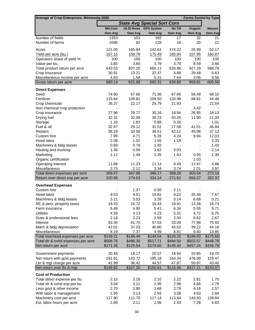| Average of Crop Enterprises, Minnesota 2008 |                          |                   |                                    |                          | <b>Farms Sorted by Type</b> |                   |
|---------------------------------------------|--------------------------|-------------------|------------------------------------|--------------------------|-----------------------------|-------------------|
|                                             |                          |                   | <b>State Avg Special Sort Corn</b> |                          |                             |                   |
|                                             | <b>MN Corn</b>           | <b>19-25 Rows</b> | <b>GPS System</b>                  | No Till                  | Organic                     | <b>Manure</b>     |
|                                             | Own Avg                  | Own Avg           | Own Avg                            | Own Avg                  | Own Avg                     | Own Avg           |
| Number of fields                            | 1353                     | 103               | 182                                | 17                       | 32                          | 21                |
| Number of farms                             | 1096                     | 82                | 129                                | 16                       | 20                          | 21                |
| Acres                                       | 121.09                   | 165.84            | 142.61                             | 174.22                   | 25.99                       | 52.17             |
|                                             |                          |                   |                                    |                          |                             |                   |
| Yield per acre (bu.)                        | 167.15                   | 159.79            | 175.49                             | 165.84                   | 107.95                      | 160.87            |
| Operators share of yield %                  | 100                      | 100               | 100                                | 100                      | 100                         | 100               |
| Value per bu.                               | 3.85                     | 3.80              | 3.79                               | 3.78                     | 8.59                        | 3.66              |
| Total product return per acre               | 643.53                   | 607.20            | 665.11                             | 626.88                   | 927.29                      | 588.78            |
| Crop Insurance                              | 30.91                    | 13.21             | 22.37                              | 4.88                     | 29.48                       | 6.63              |
| Miscellaneous income per acre               | 4.63                     | 1.58              | 5.31                               | 7.64                     | 3.06                        | 9.58              |
| Gross return per acre                       | 680.14                   | 621.89            | 692.31                             | 639.89                   | 959.81                      | 605.56            |
| <b>Direct Expenses</b>                      |                          |                   |                                    |                          |                             |                   |
| Seed                                        | 74.60                    | 67.60             | 71.36                              | 67.66                    | 58.48                       | 68.10             |
| Fertilizer                                  | 115.64                   | 109.81            | 109.50                             | 133.98                   | 88.81                       | 44.46             |
| Crop chemicals                              | 26.37                    | 22.17             | 25.79                              | 21.93                    |                             | 22.54             |
| Non chemical crop protection                |                          |                   |                                    |                          | 4.42                        |                   |
| Crop insurance                              | 27.96                    | 29.77             | 30.16                              | 19.84                    | 26.95                       | 18.13             |
| Drying fuel                                 | 32.31                    | 32.08             | 36.23                              | 40.25                    | 11.90                       | 11.33             |
| Storage                                     | 1.16                     | 1.83              | 0.89                               | 0.26                     | $\blacksquare$              | 1.01              |
| Fuel & oil                                  | 32.67                    | 29.12             | 31.51                              | 27.58                    | 41.51                       | 46.84             |
| Repairs                                     | 38.29                    | 33.58             | 36.51                              | 42.12                    | 45.98                       | 37.12             |
| Custom hire                                 | 7.99                     | 4.71              | 5.28                               | 4.24                     | 8.94                        | 12.03             |
| Hired labor                                 | 2.08                     | 1.02              | 1.55                               | 1.19                     |                             | 3.33              |
| Machinery & bldg leases                     | 0.89                     | 0.79              | 1.92                               | $\overline{\phantom{a}}$ | $\overline{\phantom{a}}$    | 1.43              |
| Hauling and trucking                        | 1.36                     | 0.56              | 1.62                               | 3.03                     | $\blacksquare$              | 2.14              |
| Marketing                                   | 1.12                     | 1.49              | 1.35                               | 1.63                     | 0.55                        | 1.30              |
| Organic certification                       | $\overline{\phantom{a}}$ |                   | $\overline{\phantom{a}}$           | $\overline{\phantom{a}}$ | 1.03                        |                   |
| Operating interest                          | 11.89                    | 11.23             | 11.14                              | 9.49                     | 12.97                       | 4.88              |
| Miscellaneous                               | 2.75                     | 2.12              | 3.34                               | 3.74                     | 2.01                        | 3.97              |
| Total direct expenses per acre              | 359.57                   | 347.86            | 368.17                             | 368.28                   | 303.54                      | 273.18            |
| Return over direct exp per acre             | 320.56                   | 274.03            | 324.14                             | 271.62                   | 656.27                      | 332.37            |
| <b>Overhead Expenses</b>                    |                          |                   |                                    |                          |                             |                   |
| Custom hire                                 |                          | 1.37              | 0.50                               | 2.11                     |                             |                   |
| Hired labor                                 | 9.53                     | 9.51              | 10.81                              | 9.22                     | 35.49                       | 7.67              |
| Machinery & bldg leases                     | 3.21                     | 3.53              | 3.26                               | 0.14                     | 6.68                        | 0.21              |
| RE & pers. property taxes                   | 18.53                    | 15.72             | 19.43                              | 18.91                    | 13.38                       | 18.73             |
|                                             |                          |                   |                                    | 6.34                     | 5.55                        |                   |
| Farm insurance<br><b>Utilities</b>          | 6.49<br>4.58             | 4.90<br>4.13      | 5.41<br>4.23                       | 5.31                     | 4.72                        | 9.71<br>6.75      |
|                                             |                          |                   |                                    |                          |                             |                   |
| Dues & professional fees                    | 2.18                     | 3.23              | 2.59                               | 2.50                     | 6.62<br>77.98               | 2.67              |
| Interest                                    | 63.34                    | 61.70             | 57.53                              | 33.09                    |                             | 75.60             |
| Mach & bldg depreciation                    | 42.01                    | 37.03             | 40.80                              | 45.52                    | 39.22                       | 44.18             |
| Miscellaneous                               | 8.19                     | 7.37              | 4.99                               | 8.81                     | 9.40<br>\$199.03            | 13.85<br>\$175.60 |
| Total overhead expenses per acre            | \$149.21                 | \$148.49          | \$149.54                           | \$126.22                 |                             |                   |
| Total dir & ovhd expenses per acre          | \$508.78                 | \$496.35          | \$517.71                           | \$494.50                 | \$502.57                    | \$448.78          |
| Net return per acre                         | \$171.36                 | \$125.54          | \$174.60                           | \$145.40                 | \$457.24                    | \$156.78          |
| Government payments                         | 20.45                    | 18.17             | 20.57                              | 18.94                    | 20.85                       | 19.70             |
| Net return with govt payments               | 191.81                   | 143.72            | 195.18                             | 164.34                   | 478.09                      | 176.47            |
| Lbr & mgt charge per acre                   | 41.99                    | 36.42             | 44.57                              | 47.87                    | 50.87                       | 43.40             |
| Net return over Ibr & mgt                   | \$149.82                 | \$107.30          | \$150.61                           | \$116.46                 | \$427.21                    | \$133.07          |
| <b>Cost of Production</b>                   |                          |                   |                                    |                          |                             |                   |
| Total direct expense per bu.                | 2.15                     | 2.18              | 2.10                               | 2.22                     | 2.81                        | 1.70              |
|                                             |                          |                   |                                    |                          |                             |                   |
| Total dir & ovhd exp per bu.                | 3.04                     | 3.11              | 2.95                               | 2.98                     | 4.66                        | 2.79              |
| Less govt & other income                    | 2.70                     | 2.90              | 2.68                               | 2.79                     | 4.16                        | 2.57              |
| With labor & management                     | 2.95                     | 3.13              | 2.93                               | 3.08                     | 4.63                        | 2.84              |
| Machinery cost per acre                     | 117.90                   | 111.75            | 117.14                             | 113.64                   | 143.93                      | 139.84            |
| Est. labor hours per acre                   | 2.89                     | 2.11              | 2.56                               | 2.43                     | 7.28                        | 4.83              |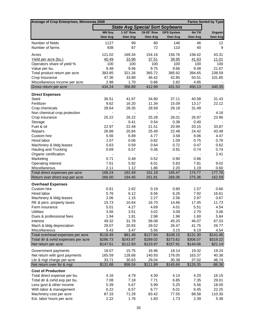| Average of Crop Enterprises, Minnesota 2008                       |                  |                  |                          |                                        |                  | <b>Farms Sorted by Type</b> |
|-------------------------------------------------------------------|------------------|------------------|--------------------------|----------------------------------------|------------------|-----------------------------|
|                                                                   |                  |                  |                          | <b>State Avg Special Sort Soybeans</b> |                  |                             |
|                                                                   | <b>MN Soy</b>    | 1-10" Row        | 19-25" Row               | <b>GPS System</b>                      | No Till          | Organic                     |
|                                                                   | Own Avg          | Own Avg          | Own Avg                  | Own Avg                                | Own Avg          | Own Avg                     |
| Number of fields                                                  | 1127             | 99               | 80                       | 146                                    | 46               | 12                          |
| Number of farms                                                   | 938              | 87               | 72                       | 110                                    | 40               | 9                           |
| Acres                                                             | 121.02           | 169.34           | 154.16                   | 156.76                                 | 158.42           | 43.31                       |
| Yield per acre (bu.)                                              | 40.49            | 33.96            | 37.51                    | 39.95                                  | 41.63            | 11.01                       |
| Operators share of yield %                                        | 100              | 100              | 100                      | 100                                    | 100              | 100                         |
| Value per bu.                                                     | 9.48             | 9.46             | 9.75                     | 9.66                                   | 9.48             | 21.67                       |
| Total product return per acre                                     | 383.85           | 321.26           | 365.72                   | 385.92                                 | 394.65           | 238.59                      |
| Crop Insurance                                                    | 47.36            | 33.89            | 46.42                    | 42.85                                  | 50.51            | 101.85                      |
| Miscellaneous income per acre                                     | 2.98             | 1.70             | 0.86                     | 2.82                                   | 4.85             |                             |
| Gross return per acre                                             | 434.24           | 356.89           | 412.99                   | 431.53                                 | 450.13           | 340.35                      |
| <b>Direct Expenses</b>                                            |                  |                  |                          |                                        |                  |                             |
| Seed                                                              | 36.51            | 41.97            | 34.80                    | 37.11                                  | 40.58            | 31.43                       |
| Fertilizer                                                        | 9.62             | 16.20            | 11.34                    | 15.09                                  | 13.17            | 22.12                       |
| Crop chemicals                                                    | 28.64            | 28.35            | 28.59                    | 28.18                                  | 31.49            |                             |
| Non chemical crop protection                                      |                  | $\blacksquare$   | $\overline{\phantom{a}}$ | $\overline{\phantom{0}}$               |                  | 4.16                        |
| Crop insurance                                                    | 25.22            | 26.22            | 25.28                    | 26.01                                  | 26.97            | 23.96                       |
| Storage                                                           |                  | 0.41             | 0.54                     | 0.38                                   | 0.40             |                             |
| Fuel & oil                                                        | 22.97            | 22.49            | 21.51                    | 20.99                                  | 20.15            | 33.87                       |
| Repairs                                                           | 26.88            | 20.84            | 25.49                    | 22.48                                  | 24.42            | 43.48                       |
| Custom hire                                                       | 5.56             | 6.89             | 4.77                     | 3.58                                   | 9.06             | 4.47                        |
| Hired labor                                                       | 1.07             | 0.06             | 0.82                     | 1.09                                   | 0.75             | 0.76                        |
| Machinery & bldg leases                                           | 0.63             | 0.59             | 0.64                     | 0.72                                   | 0.47             | 0.62                        |
| Hauling and Trucking                                              | 0.69             | 0.57             | 0.36                     | 0.91                                   | 0.74             | 0.74                        |
| Organic certification                                             |                  |                  |                          |                                        |                  | 2.41                        |
| Marketing                                                         | 0.71             | 0.48             | 0.52                     | 0.90                                   | 0.86             |                             |
| <b>Operating interest</b>                                         | 7.61             | 5.92             | 6.01                     | 5.83                                   | 7.81             | 9.02                        |
| Miscellaneous                                                     | 2.11             | 1.12             | 1.86                     | 2.20                                   | 1.19             | 0.60                        |
| Total direct expenses per acre<br>Return over direct exp per acre | 168.24<br>266.00 | 162.49<br>194.40 | 161.18<br>251.81         | 165.47<br>266.06                       | 174.77<br>275.36 | 177.76<br>162.59            |
|                                                                   |                  |                  |                          |                                        |                  |                             |
| <b>Overhead Expenses</b>                                          |                  |                  |                          |                                        |                  |                             |
| Custom hire                                                       | 0.61             | 2.62             | 0.19                     | 0.80                                   | 1.57             | 0.66                        |
| <b>Hired labor</b>                                                | 5.76             | 6.12             | 6.56                     | 6.26                                   | 7.92             | 16.61                       |
| Machinery & bldg leases                                           | 2.06             | 1.15             | 2.27                     | 2.56                                   | 2.97             | 0.67                        |
| RE & pers. property taxes                                         | 15.73<br>5.01    | 10.64            | 16.70<br>4.69            | 14.66                                  | 17.45<br>5.51    | 11.73                       |
| Farm insurance<br><b>Utilities</b>                                | 3.56             | 4.27<br>3.51     |                          | 4.01<br>3.09                           | 2.70             | 4.54<br>3.06                |
| Dues & professional fees                                          | 1.94             | 1.81             | 3.02<br>2.98             | 1.96                                   | 1.60             | 5.84                        |
| Interest                                                          | 49.32            | 31.78            | 58.08                    | 45.20                                  | 46.07            | 67.03                       |
| Mach & bldg depreciation                                          | 29.07            | 20.93            | 28.52                    | 26.47                                  | 41.75            | 26.77                       |
| Miscellaneous                                                     | 5.43             | 3.47             | 5.56                     | 3.15                                   | 6.19             | 4.54                        |
| Total overhead expenses per acre                                  | \$118.49         | \$81.48          | \$127.84                 | \$108.15                               | \$131.30         | \$141.46                    |
| Total dir & ovhd expenses per acre                                | \$286.73         | \$243.97         | \$289.02                 | \$273.62                               | \$306.07         | \$319.22                    |
| Net return per acre                                               | \$147.51         | \$112.93         | \$123.97                 | \$157.91                               | \$144.06         | \$21.14                     |
|                                                                   | 18.07            | 15.75            | 16.96                    | 18.14                                  | 19.32            | 19.24                       |
| Government payments<br>Net return with govt payments              | 165.59           | 128.68           | 140.93                   | 176.05                                 | 163.37           | 40.38                       |
| Lbr & mgt charge per acre                                         | 33.71            | 30.63            | 29.04                    | 30.38                                  | 37.02            | 46.74                       |
| Net return over Ibr & mgt                                         | \$131.88         | \$98.04          | \$111.89                 | \$145.66                               | \$126.35         | $-$6.36$                    |
| <b>Cost of Production</b>                                         |                  |                  |                          |                                        |                  |                             |
| Total direct expense per bu.                                      | 4.16             | 4.79             | 4.30                     | 4.14                                   | 4.20             | 16.15                       |
| Total dir & ovhd exp per bu.                                      | 7.08             | 7.18             | 7.71                     | 6.85                                   | 7.35             | 29.01                       |
| Less govt & other income                                          | 5.39             | 5.67             | 5.99                     | 5.25                                   | 5.56             | 18.00                       |
| With labor & management                                           | 6.22             | 6.57             | 6.77                     | 6.01                                   | 6.45             | 22.25                       |
| Machinery cost per acre                                           | 87.33            | 71.29            | 83.42                    | 77.55                                  | 88.58            | 110.30                      |
| Est. labor hours per acre                                         | 2.22             | 1.76             | 1.83                     | 1.73                                   | 2.39             | 5.38                        |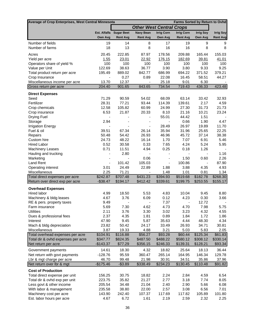| Average of Crop Enterprises, West Central Minnesota    |                         |                          |                                 |                              | Farms Sorted by Return to Ovhd |                        |                          |
|--------------------------------------------------------|-------------------------|--------------------------|---------------------------------|------------------------------|--------------------------------|------------------------|--------------------------|
|                                                        |                         |                          | <b>Other West Central Crops</b> |                              |                                |                        |                          |
|                                                        |                         | Est. Alfalfa Sugar Beet  | <b>Navy Bean</b>                | <b>Irrig Corn</b>            | <b>Irrig Corn</b>              | <b>Irrig Soy</b>       | <b>Irrig Soy</b>         |
|                                                        | Own Avg                 | <b>Rent Avg</b>          | <b>Rent Avg</b>                 | Own Avg                      | <b>Rent Avg</b>                | Own Avg                | <b>Rent Avg</b>          |
| Number of fields                                       | 19                      | 14                       | 8                               | 17                           | 19                             | 9                      | 9                        |
| Number of farms                                        | 18                      | 13                       | 8                               | 16                           | 16                             | 8                      | 8                        |
| Acres                                                  | 20.45                   | 222.85                   | 87.97                           | 178.56                       | 209.88                         | 165.44                 | 155.03                   |
| Yield per acre                                         | 1.55                    | 23.01                    | 22.92                           | 176.15                       | 182.69                         | 39.81                  | 41.01                    |
| Operators share of yield %                             | 100                     | 100                      | 100                             | 100                          | 100                            | 100                    | 100                      |
| Value per Unit                                         | 122.69                  | 38.63                    | 36.77                           | 3.90                         | 3.80                           | 9.33                   | 9.25                     |
| Total product return per acre                          | 195.49                  | 889.02                   | 842.77                          | 686.99                       | 694.22                         | 371.52                 | 379.21                   |
| Crop Insurance                                         | $\overline{a}$<br>13.70 | 0.27                     | 0.89                            | 22.08<br>25.18               | 16.45<br>9.01                  | 58.51                  | 44.27                    |
| Miscellaneous income per acre<br>Gross return per acre | 204.40                  | 12.37<br>901.65          | 843.65                          | 734.54                       | 719.43                         | 6.30<br>436.33         | 423.48                   |
|                                                        |                         |                          |                                 |                              |                                |                        |                          |
| <b>Direct Expenses</b>                                 |                         |                          |                                 |                              |                                |                        |                          |
| Seed<br>Fertilizer                                     | 71.29<br>28.31          | 90.59<br>77.21           | 54.02<br>93.44                  | 68.09<br>114.39              | 63.14<br>139.61                | 33.42<br>2.17          | 32.93<br>4.59            |
| Crop chemicals                                         | 12.58                   | 105.82                   | 60.99                           | 24.99                        | 27.30                          | 31.73                  | 21.73                    |
| Crop insurance                                         | 6.53                    | 21.87                    | 20.33                           | 8.10                         | 21.16                          | 10.21                  | 23.24                    |
| Drying Fuel                                            |                         |                          |                                 | 55.01                        | 44.42                          | 1.51                   |                          |
| Storage                                                | 2.94                    |                          |                                 | $\qquad \qquad \blacksquare$ | 0.66                           | 1.90                   | 4.47                     |
| <b>Irrigation Energy</b>                               |                         |                          |                                 | 28.49                        | 26.97                          | 19.89                  | 11.70                    |
| Fuel & oil                                             | 39.51                   | 67.34                    | 26.14                           | 35.94                        | 31.96                          | 25.65                  | 22.25                    |
| Repairs                                                | 50.48                   | 54.42                    | 26.93                           | 46.96                        | 45.72                          | 37.14                  | 38.38                    |
| Custom hire                                            | 24.73                   | 48.22                    | 16.14                           | 1.70                         | 7.07                           | 6.91                   | 5.46                     |
| <b>Hired Labor</b>                                     | 0.52                    | 30.58                    | 0.33                            | 7.65                         | 4.24                           | 5.24                   | 5.95                     |
| <b>Machinery Leases</b>                                | 0.71                    | 11.51                    | 4.94                            | 0.25                         | 0.18                           | 1.26                   | $\blacksquare$           |
| Hauling and trucking                                   | ÷,                      | 2.80                     |                                 | $\qquad \qquad \blacksquare$ | $\blacksquare$                 | $\blacksquare$         | 1.16                     |
| Marketing                                              | ٠                       |                          | 0.06                            | $\blacksquare$               | 1.50                           | 0.60                   | 2.26                     |
| <b>Land Rent</b><br>Operating interest                 | ٠<br>3.01               | 101.42<br>24.49          | 105.03<br>22.89                 | $\blacksquare$<br>1.88       | 100.86<br>3.88                 | $\blacksquare$<br>4.35 | 87.90<br>4.93            |
| Miscellaneous                                          | 2.25                    | 71.21                    |                                 | 1.48                         | 1.01                           | 0.81                   | 1.34                     |
| Total direct expenses per acre                         | \$242.87                | \$707.48                 | \$431.23                        | \$394.93                     | \$519.68                       | \$182.78               | \$268.30                 |
| Return over direct exp per acre                        | $-$38.47$               | \$194.17                 | \$412.42                        | \$339.61                     | \$199.75                       | \$253.55               | \$155.17                 |
| <b>Overhead Expenses</b>                               |                         |                          |                                 |                              |                                |                        |                          |
| Hired labor                                            | 4.99                    | 18.50                    | 5.53                            | 4.83                         | 10.04                          | 9.45                   | 8.80                     |
| Machinery & bldg leases                                | 4.67                    | 3.76                     | 6.09                            | 0.12                         | 4.23                           | 0.30                   | 3.66                     |
| RE & pers. property taxes                              | 9.49                    | $\overline{\phantom{a}}$ | $\blacksquare$                  | 7.37                         | $\overline{\phantom{a}}$       | 12.72                  | $\overline{\phantom{a}}$ |
| Farm insurance                                         | 5.69                    | 7.30                     | 4.62                            | 4.73                         | 4.70                           | 7.98                   | 5.75                     |
| <b>Utilities</b>                                       | 2.11                    | 3.76                     | 3.30                            | 3.02                         | 3.23                           | 4.32                   | 4.55                     |
| Dues & professional fees                               | 2.37                    | 4.35                     | 1.81                            | 0.89                         | 1.84                           | 1.72                   | 1.86                     |
| Interest                                               | 47.90                   | 9.45                     | 5.87                            | 35.63                        | 4.44                           | 48.30                  | 4.34                     |
| Mach & bldg depreciation                               | 23.82                   | 50.42                    | 24.17                           | 33.49                        | 26.93                          | 34.71                  | 30.81                    |
| Miscellaneous<br>Total overhead expenses per acre      | 3.87<br>\$104.91        | 19.33<br>\$116.88        | 4.88<br>\$56.27                 | 3.21<br>\$93.28              | 5.03<br>\$60.44                | 5.83<br>\$125.34       | 2.05<br>\$61.83          |
| Total dir & ovhd expenses per acre                     | \$347.77                | \$824.35                 | \$487.50                        | \$488.22                     | \$580.12                       | \$308.12               | \$330.14                 |
| Net return per acre                                    | $-$143.37$              | \$77.29                  | \$356.15                        | \$246.33                     | \$139.31                       | \$128.21               | \$93.34                  |
| Government payments                                    | 14.61                   | 18.30                    | 4.32                            | 18.82                        | 25.64                          | 18.13                  | 36.44                    |
| Net return with govt payments                          | -128.76                 | 95.59                    | 360.47                          | 265.14                       | 164.95                         | 146.34                 | 129.78                   |
| Lbr & mgt charge per acre                              | 46.70                   | 99.48                    | 21.98                           | 30.91                        | 34.51                          | 35.86                  | 37.96                    |
| Net return over Ibr & mgt                              | $-$175.46$              | $- $3.89$                | \$338.49                        | \$234.23                     | \$130.45                       | \$110.48               | \$91.82                  |
| <b>Cost of Production</b>                              |                         |                          |                                 |                              |                                |                        |                          |
| Total direct expense per unit                          | 156.25                  | 30.75                    | 18.82                           | 2.24                         | 2.84                           | 4.59                   | 6.54                     |
| Total dir & ovhd exp per unit                          | 223.75                  | 35.82                    | 21.27                           | 2.77                         | 3.18                           | 7.74                   | 8.05                     |
| Less govt & other income                               | 205.54                  | 34.48                    | 21.04                           | 2.40                         | 2.90                           | 5.66                   | 6.08                     |
| With labor & management                                | 235.58                  | 38.80                    | 22.00                           | 2.57                         | 3.08                           | 6.56                   | 7.01                     |
| Machinery cost per acre                                | 143.90                  | 242.40                   | 107.37                          | 117.69                       | 117.82                         | 105.89                 | 101.80                   |
| Est. labor hours per acre                              | 4.67                    | 6.72                     | 1.61                            | 2.19                         | 2.59                           | 2.32                   | 2.25                     |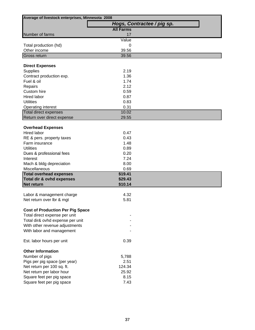| Average of livestock enterprises, Minnesota 2008 |                  |                            |
|--------------------------------------------------|------------------|----------------------------|
|                                                  |                  | Hogs, Contractee / pig sp. |
|                                                  | <b>All Farms</b> |                            |
| Number of farms                                  | 17               |                            |
|                                                  | Value            |                            |
| Total production (hd)                            | 0                |                            |
| Other income                                     | 39.56            |                            |
| <b>Gross return</b>                              | 39.56            |                            |
|                                                  |                  |                            |
| <b>Direct Expenses</b>                           |                  |                            |
| <b>Supplies</b>                                  | 2.19             |                            |
| Contract production exp.                         | 1.36             |                            |
| Fuel & oil                                       | 1.74             |                            |
| Repairs                                          | 2.12             |                            |
| Custom hire                                      | 0.59             |                            |
| Hired labor                                      | 0.87             |                            |
| <b>Utilities</b>                                 | 0.83             |                            |
| Operating interest                               | 0.31             |                            |
| Total direct expenses                            | 10.02            |                            |
| Return over direct expense                       | 29.55            |                            |
|                                                  |                  |                            |
| <b>Overhead Expenses</b>                         |                  |                            |
| <b>Hired labor</b>                               | 0.47             |                            |
| RE & pers. property taxes                        | 0.43             |                            |
| Farm insurance                                   | 1.48             |                            |
| <b>Utilities</b>                                 | 0.89             |                            |
| Dues & professional fees                         | 0.20             |                            |
| Interest                                         | 7.24             |                            |
| Mach & bldg depreciation                         | 8.00             |                            |
| Miscellaneous                                    | 0.69             |                            |
| <b>Total overhead expenses</b>                   | \$19.41          |                            |
| Total dir & ovhd expenses                        | \$29.43          |                            |
| Net return                                       | \$10.14          |                            |
|                                                  |                  |                            |
| Labor & management charge                        | 4.32<br>5.81     |                            |
| Net return over lbr & mgt                        |                  |                            |
| <b>Cost of Production Per Pig Space</b>          |                  |                            |
| Total direct expense per unit                    |                  |                            |
| Total dir& ovhd expense per unit                 |                  |                            |
| With other revenue adjustments                   |                  |                            |
| With labor and management                        |                  |                            |
|                                                  |                  |                            |
| Est. labor hours per unit                        | 0.39             |                            |
|                                                  |                  |                            |
| <b>Other Information</b>                         |                  |                            |
| Number of pigs                                   | 5,788            |                            |
| Pigs per pig space (per year)                    | 2.51             |                            |
| Net return per 100 sq. ft.                       | 124.34           |                            |
| Net return per labor hour                        | 25.92            |                            |
| Square feet per pig space                        | 8.15             |                            |
| Square feet per pig space                        | 7.43             |                            |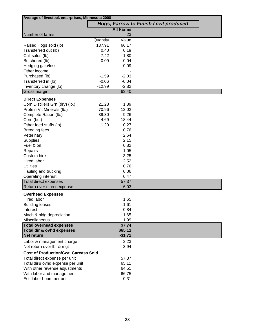| Average of livestock enterprises, Minnesota 2008 |          |                  |                                       |  |  |
|--------------------------------------------------|----------|------------------|---------------------------------------|--|--|
|                                                  |          |                  | Hogs, Farrow to Finish / cwt produced |  |  |
|                                                  |          | <b>All Farms</b> |                                       |  |  |
| Number of farms                                  |          | 23               |                                       |  |  |
|                                                  | Quantity | Value            |                                       |  |  |
| Raised Hogs sold (lb)                            | 137.91   | 66.17            |                                       |  |  |
| Transferred out (lb)                             | 0.40     | 0.19             |                                       |  |  |
| Cull sales (lb)                                  | 7.42     | 1.80             |                                       |  |  |
| Butchered (lb)                                   | 0.09     | 0.04             |                                       |  |  |
| Hedging gain/loss                                |          | 0.09             |                                       |  |  |
| Other income                                     |          |                  |                                       |  |  |
| Purchased (lb)                                   | $-1.59$  | $-2.03$          |                                       |  |  |
| Transferred in (lb)                              | $-0.06$  | $-0.04$          |                                       |  |  |
| Inventory change (lb)                            | $-12.99$ | $-2.82$          |                                       |  |  |
| Gross margin                                     |          | 63.40            |                                       |  |  |
| <b>Direct Expenses</b>                           |          |                  |                                       |  |  |
| Corn Distillers Grn (dry) (lb.)                  | 21.28    | 1.89             |                                       |  |  |
| Protein Vit Minerals (lb.)                       | 70.96    | 13.02            |                                       |  |  |
| Complete Ration (lb.)                            | 39.30    | 9.26             |                                       |  |  |
| Corn (bu.)                                       | 4.69     | 18.44            |                                       |  |  |
| Other feed stuffs (lb)                           | 1.20     | 0.27             |                                       |  |  |
| <b>Breeding fees</b>                             |          | 0.76             |                                       |  |  |
| Veterinary                                       |          | 2.64             |                                       |  |  |
| <b>Supplies</b>                                  |          | 2.15             |                                       |  |  |
| Fuel & oil                                       |          | 0.82             |                                       |  |  |
| Repairs                                          |          | 1.05             |                                       |  |  |
| Custom hire                                      |          | 3.25             |                                       |  |  |
| <b>Hired labor</b>                               |          | 2.52             |                                       |  |  |
| <b>Utilities</b>                                 |          | 0.76             |                                       |  |  |
| Hauling and trucking                             |          | 0.06             |                                       |  |  |
| Operating interest                               |          | 0.47             |                                       |  |  |
| <b>Total direct expenses</b>                     |          | 57.37            |                                       |  |  |
| Return over direct expense                       |          | 6.03             |                                       |  |  |
| <b>Overhead Expenses</b>                         |          |                  |                                       |  |  |
| Hired labor                                      |          | 1.65             |                                       |  |  |
| <b>Building leases</b>                           |          | 1.61             |                                       |  |  |
| Interest                                         |          | 0.84             |                                       |  |  |
| Mach & bldg depreciation                         |          | 1.65             |                                       |  |  |
| Miscellaneous                                    |          | 1.99             |                                       |  |  |
| <b>Total overhead expenses</b>                   |          | \$7.74           |                                       |  |  |
| Total dir & ovhd expenses                        |          | \$65.11          |                                       |  |  |
| Net return                                       |          | $-$1.71$         |                                       |  |  |
| Labor & management charge                        |          | 2.23             |                                       |  |  |
| Net return over lbr & mgt                        |          | $-3.94$          |                                       |  |  |
| <b>Cost of Production/Cwt. Carcass Sold</b>      |          |                  |                                       |  |  |
| Total direct expense per unit                    |          | 57.37            |                                       |  |  |
| Total dir& ovhd expense per unit                 |          | 65.11            |                                       |  |  |
| With other revenue adjustments                   |          | 64.51            |                                       |  |  |
| With labor and management                        |          | 66.75            |                                       |  |  |
| Est. labor hours per unit                        |          | 0.31             |                                       |  |  |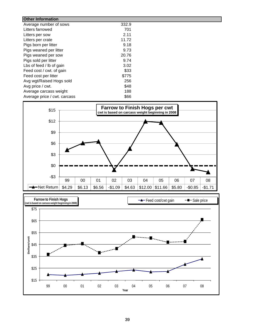| <b>Other Information</b>     |       |  |
|------------------------------|-------|--|
| Average number of sows       | 332.9 |  |
| Litters farrowed             | 701   |  |
| Litters per sow              | 2.11  |  |
| Litters per crate            | 11.72 |  |
| Pigs born per litter         | 9.18  |  |
| Pigs weaned per litter       | 9.73  |  |
| Pigs weaned per sow          | 20.76 |  |
| Pigs sold per litter         | 9.74  |  |
| Lbs of feed / lb of gain     | 3.02  |  |
| Feed cost / cwt. of gain     | \$33  |  |
| Feed cost per litter         | \$775 |  |
| Avg wgt/Raised Hogs sold     | 256   |  |
| Avg price / cwt.             | \$48  |  |
| Average carcass weight       | 188   |  |
| Average price / cwt. carcass | \$66  |  |



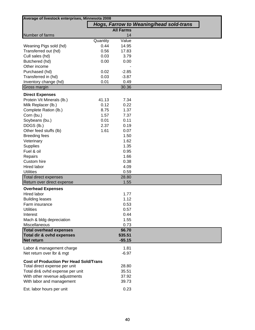|                                               | Average of livestock enterprises, Minnesota 2008 |                  |                                         |  |  |  |
|-----------------------------------------------|--------------------------------------------------|------------------|-----------------------------------------|--|--|--|
|                                               |                                                  |                  | Hogs, Farrow to Weaning/head sold-trans |  |  |  |
|                                               |                                                  | <b>All Farms</b> |                                         |  |  |  |
| Number of farms                               |                                                  | 14               |                                         |  |  |  |
|                                               | Quantity                                         | Value            |                                         |  |  |  |
| Weaning Pigs sold (hd)                        | 0.44                                             | 14.95            |                                         |  |  |  |
| Transferred out (hd)                          | 0.56                                             | 17.83            |                                         |  |  |  |
| Cull sales (hd)                               | 0.03                                             | 3.79             |                                         |  |  |  |
| Butchered (hd)                                | 0.00                                             | 0.00             |                                         |  |  |  |
| Other income                                  |                                                  |                  |                                         |  |  |  |
| Purchased (hd)                                | 0.02                                             | $-2.85$          |                                         |  |  |  |
| Transferred in (hd)                           | 0.03                                             | $-3.87$          |                                         |  |  |  |
| Inventory change (hd)                         | 0.01                                             | 0.49             |                                         |  |  |  |
| Gross margin                                  |                                                  | 30.36            |                                         |  |  |  |
| <b>Direct Expenses</b>                        |                                                  |                  |                                         |  |  |  |
| Protein Vit Minerals (lb.)                    | 41.13                                            | 7.34             |                                         |  |  |  |
| Milk Replacer (lb.)                           | 0.12                                             | 0.22             |                                         |  |  |  |
| Complete Ration (lb.)                         | 8.75                                             | 1.37             |                                         |  |  |  |
| Corn (bu.)                                    | 1.57                                             | 7.37             |                                         |  |  |  |
| Soybeans (bu.)                                | 0.01                                             | 0.11             |                                         |  |  |  |
| DDGS (lb.)                                    | 2.37                                             | 0.19             |                                         |  |  |  |
| Other feed stuffs (lb)                        | 1.61                                             | 0.07             |                                         |  |  |  |
| <b>Breeding fees</b>                          |                                                  | 1.50             |                                         |  |  |  |
| Veterinary                                    |                                                  | 1.62             |                                         |  |  |  |
| Supplies                                      |                                                  | 1.35             |                                         |  |  |  |
| Fuel & oil                                    |                                                  | 0.95             |                                         |  |  |  |
| Repairs                                       |                                                  | 1.66             |                                         |  |  |  |
| Custom hire                                   |                                                  | 0.38             |                                         |  |  |  |
| Hired labor                                   |                                                  | 4.09             |                                         |  |  |  |
| <b>Utilities</b>                              |                                                  | 0.59             |                                         |  |  |  |
| <b>Total direct expenses</b>                  |                                                  | 28.80            |                                         |  |  |  |
| Return over direct expense                    |                                                  | 1.55             |                                         |  |  |  |
| <b>Overhead Expenses</b>                      |                                                  |                  |                                         |  |  |  |
| Hired labor                                   |                                                  | 1.77             |                                         |  |  |  |
| <b>Building leases</b>                        |                                                  | 1.12             |                                         |  |  |  |
| Farm insurance                                |                                                  | 0.53             |                                         |  |  |  |
| <b>Utilities</b>                              |                                                  | 0.57             |                                         |  |  |  |
| Interest                                      |                                                  | 0.44             |                                         |  |  |  |
| Mach & bldg depreciation                      |                                                  | 1.55             |                                         |  |  |  |
| Miscellaneous                                 |                                                  | 0.73             |                                         |  |  |  |
| <b>Total overhead expenses</b>                |                                                  | \$6.70           |                                         |  |  |  |
| Total dir & ovhd expenses                     |                                                  | \$35.51          |                                         |  |  |  |
| Net return                                    |                                                  | $-$5.15$         |                                         |  |  |  |
| Labor & management charge                     |                                                  | 1.81             |                                         |  |  |  |
| Net return over lbr & mgt                     |                                                  | $-6.97$          |                                         |  |  |  |
| <b>Cost of Production Per Head Sold/Trans</b> |                                                  |                  |                                         |  |  |  |
| Total direct expense per unit                 |                                                  | 28.80            |                                         |  |  |  |
| Total dir& ovhd expense per unit              |                                                  | 35.51            |                                         |  |  |  |
| With other revenue adjustments                |                                                  | 37.92            |                                         |  |  |  |
| With labor and management                     |                                                  | 39.73            |                                         |  |  |  |
|                                               |                                                  |                  |                                         |  |  |  |
| Est. labor hours per unit                     |                                                  | 0.23             |                                         |  |  |  |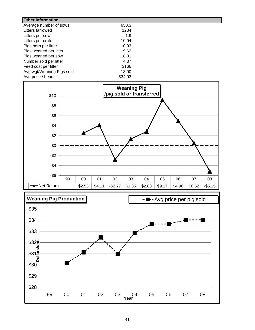| 650.3   |
|---------|
| 1234    |
| 1.9     |
| 10.04   |
| 10.93   |
| 9.62    |
| 18.01   |
| 4.37    |
| \$166   |
| 13.00   |
| \$34.03 |
|         |



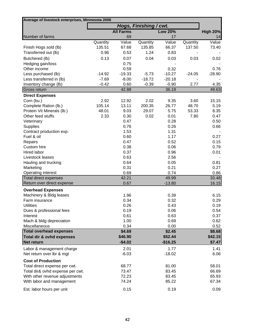| Average of livestock enterprises, Minnesota 2008 |          |                  |                        |                |          |                 |
|--------------------------------------------------|----------|------------------|------------------------|----------------|----------|-----------------|
|                                                  |          |                  | Hogs, Finishing / cwt. |                |          |                 |
|                                                  |          | <b>All Farms</b> |                        | <b>Low 20%</b> |          | <b>High 20%</b> |
| Number of farms                                  |          | 69               |                        | 17             |          | 14              |
|                                                  | Quantity | Value            | Quantity               | Value          | Quantity | Value           |
| Finish Hogs sold (lb)                            | 135.51   | 67.68            | 135.85                 | 66.37          | 137.50   | 73.40           |
| Transferred out (lb)                             | 0.96     | 0.53             | 1.24                   | 0.83           |          |                 |
| Butchered (lb)                                   | 0.13     | 0.07             | 0.04                   | 0.03           | 0.03     | 0.02            |
| Hedging gain/loss                                |          | 0.75             |                        |                |          |                 |
| Other income                                     |          | 0.59             |                        | 0.32           |          | 0.76            |
| Less purchased (lb)                              | $-14.92$ | $-19.33$         | $-5.73$                | $-10.27$       | $-24.05$ | $-28.90$        |
| Less transferred in (lb)                         | $-7.69$  | $-8.00$          | $-18.72$               | $-20.18$       |          |                 |
| Inventory change (lb)                            | $-0.42$  | 0.60             | $-0.39$                | $-0.90$        | 2.77     | 4.35            |
| Gross return                                     |          | 42.88            |                        | 36.19          |          | 49.63           |
| <b>Direct Expenses</b>                           |          |                  |                        |                |          |                 |
| Corn (bu.)                                       | 2.92     | 12.92            | 2.02                   | 9.35           | 3.60     | 15.15           |
| Complete Ration (lb.)                            | 105.14   | 13.11            | 200.35                 | 26.77          | 48.70    | 5.19            |
| Protein Vit Minerals (lb.)                       | 48.01    | 9.03             | 29.07                  | 5.75           | 53.33    | 8.35            |
| Other feed stuffs                                | 2.33     | 0.30             | 0.02                   | 0.01           | 7.80     | 0.47            |
| Veterinary                                       |          | 0.47             |                        | 0.28           |          | 0.50            |
| <b>Supplies</b>                                  |          | 0.76             |                        | 0.26           |          | 0.66            |
| Contract production exp.                         |          | 1.53             |                        | 1.31           |          |                 |
| Fuel & oil                                       |          | 0.60             |                        | 1.17           |          | 0.27            |
| Repairs                                          |          | 0.47             |                        | 0.52           |          | 0.15            |
| Custom hire                                      |          | 0.38             |                        | 0.06           |          | 0.79            |
| Hired labor                                      |          | 0.37             |                        | 0.96           |          | 0.01            |
| Livestock leases                                 |          | 0.63             |                        | 2.56           |          |                 |
| Hauling and trucking                             |          | 0.64             |                        | 0.05           |          | 0.81            |
| Marketing                                        |          | 0.31             |                        | 0.21           |          | 0.27            |
| Operating interest                               |          | 0.69             |                        | 0.74           |          | 0.86            |
| <b>Total direct expenses</b>                     |          | 42.21            |                        | 49.99          |          | 33.48           |
| Return over direct expense                       |          | 0.67             |                        | $-13.80$       |          | 16.15           |
| <b>Overhead Expenses</b>                         |          |                  |                        |                |          |                 |
| Machinery & Bldg leases                          |          | 1.96             |                        | 0.39           |          | 6.15            |
| Farm insurance                                   |          | 0.34             |                        | 0.32           |          | 0.29            |
| <b>Utilities</b>                                 |          | 0.26             |                        | 0.43           |          | 0.19            |
| Dues & professional fees                         |          | 0.19             |                        | 0.06           |          | 0.54            |
| Interest                                         |          | 0.61             |                        | 0.63           |          | 0.37            |
| Mach & bldg depreciation                         |          | 1.00             |                        | 0.69           |          | 0.62            |
| Miscellaneous                                    |          | 0.34             |                        | 0.00           |          | 0.52            |
| <b>Total overhead expenses</b>                   |          | \$4.69           |                        | \$2.45         |          | \$8.68          |
| Total dir & ovhd expenses                        |          | \$46.90          |                        | \$52.44        |          | \$42.15         |
| Net return                                       |          | $-$4.02$         |                        | $-$16.25$      |          | \$7.47          |
| Labor & management charge                        |          | 2.01             |                        | 1.77           |          | 1.41            |
| Net return over lbr & mgt                        |          | $-6.03$          |                        | $-18.02$       |          | 6.06            |
| <b>Cost of Production</b>                        |          |                  |                        |                |          |                 |
| Total direct expense per cwt.                    |          | 68.77            |                        | 81.00          |          | 58.01           |
| Total dir& ovhd expense per cwt.                 |          | 73.47            |                        | 83.45          |          | 66.69           |
| With other revenue adjustments                   |          | 72.23            |                        | 83.45          |          | 65.93           |
| With labor and management                        |          | 74.24            |                        | 85.22          |          | 67.34           |
|                                                  |          |                  |                        |                |          |                 |
| Est. labor hours per unit                        |          | 0.15             |                        | 0.19           |          | 0.09            |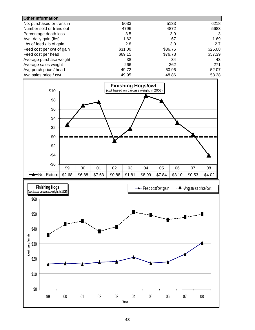| <b>Other Information</b>  |         |         |         |
|---------------------------|---------|---------|---------|
| No. purchased or trans in | 5033    | 5133    | 6218    |
| Number sold or trans out  | 4796    | 4872    | 5683    |
| Percentage death loss     | 3.5     | 3.9     | 3       |
| Avg. daily gain (lbs)     | 1.62    | 1.67    | 1.69    |
| Lbs of feed / lb of gain  | 2.8     | 3.0     | 2.7     |
| Feed cost per cwt of gain | \$31.00 | \$36.76 | \$25.08 |
| Feed cost per head        | \$69.15 | \$76.78 | \$57.39 |
| Average purchase weight   | 38      | 34      | 43      |
| Average sales weight      | 266     | 262     | 271     |
| Avg purch price / head    | 49.72   | 60.96   | 52.07   |
| Avg sales price / cwt     | 49.95   | 48.86   | 53.38   |



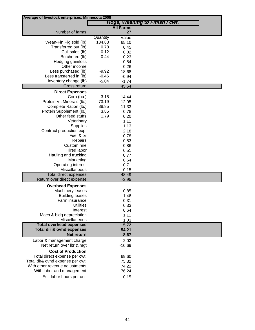| Average of livestock enterprises, Minnesota 2008 |          |                  |                                |
|--------------------------------------------------|----------|------------------|--------------------------------|
|                                                  |          |                  | Hogs, Weaning to Finish / cwt. |
|                                                  |          | <b>All Farms</b> |                                |
| Number of farms                                  | Quantity | 27               |                                |
| Wean-Fin Pig sold (lb)                           | 134.83   | Value<br>65.10   |                                |
| Transferred out (lb)                             | 0.78     | 0.45             |                                |
| Cull sales (lb)                                  | 0.12     | 0.02             |                                |
| Butchered (lb)                                   | 0.44     | 0.23             |                                |
| Hedging gain/loss                                |          | 0.84             |                                |
| Other income                                     |          | 0.26             |                                |
| Less purchased (lb)                              | $-9.92$  | $-18.68$         |                                |
| Less transferred in (lb)                         | $-0.46$  | $-0.94$          |                                |
| Inventory change (lb)                            | $-5.04$  | $-1.74$          |                                |
| Gross return                                     |          | 45.54            |                                |
| <b>Direct Expenses</b>                           |          |                  |                                |
| Corn (bu.)                                       | 3.18     | 14.44            |                                |
| Protein Vit Minerals (lb.)                       | 73.19    | 12.05            |                                |
| Complete Ration (lb.)                            | 88.85    | 11.33            |                                |
| Protein Supplement (lb.)                         | 3.85     | 0.78             |                                |
| Other feed stuffs                                | 1.79     | 0.20             |                                |
| Veterinary                                       |          | 1.11             |                                |
| <b>Supplies</b>                                  |          | 1.13             |                                |
| Contract production exp.                         |          | 2.18             |                                |
| Fuel & oil                                       |          | 0.78             |                                |
| Repairs<br>Custom hire                           |          | 0.83             |                                |
| Hired labor                                      |          | 0.86<br>0.51     |                                |
| Hauling and trucking                             |          | 0.77             |                                |
| Marketing                                        |          | 0.64             |                                |
| Operating interest                               |          | 0.71             |                                |
| Miscellaneous                                    |          | 0.15             |                                |
| <b>Total direct expenses</b>                     |          | 48.49            |                                |
| Return over direct expense                       |          | $-2.95$          |                                |
| <b>Overhead Expenses</b>                         |          |                  |                                |
| Machinery leases                                 |          | 0.85             |                                |
| <b>Building leases</b>                           |          | 1.46             |                                |
| Farm insurance                                   |          | 0.31             |                                |
| <b>Utilities</b>                                 |          | 0.33             |                                |
| Interest                                         |          | 0.64             |                                |
| Mach & bldg depreciation                         |          | 1.11             |                                |
| Miscellaneous                                    |          | 1.03             |                                |
| <b>Total overhead expenses</b>                   |          | 5.72             |                                |
| Total dir & ovhd expenses                        |          | 54.21            |                                |
| Net return                                       |          | $-8.67$          |                                |
| Labor & management charge                        |          | 2.02             |                                |
| Net return over Ibr & mgt                        |          | $-10.69$         |                                |
| <b>Cost of Production</b>                        |          |                  |                                |
| Total direct expense per cwt.                    |          | 69.60            |                                |
| Total dir& ovhd expense per cwt.                 |          | 75.32            |                                |
| With other revenue adjustments                   |          | 74.22            |                                |
| With labor and management                        |          | 76.24            |                                |
| Est. labor hours per unit                        |          | 0.15             |                                |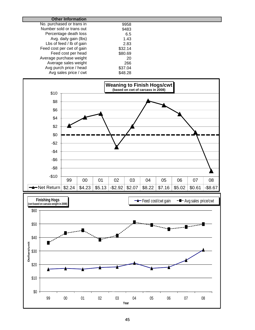| <b>Other Information</b>  |         |  |
|---------------------------|---------|--|
| No. purchased or trans in | 9958    |  |
| Number sold or trans out  | 9483    |  |
| Percentage death loss     | 6.5     |  |
| Avg. daily gain (lbs)     | 1.43    |  |
| Lbs of feed / lb of gain  | 2.83    |  |
| Feed cost per cwt of gain | \$32.14 |  |
| Feed cost per head        | \$80.69 |  |
| Average purchase weight   | 20      |  |
| Average sales weight      | 266     |  |
| Avg purch price / head    | \$37.04 |  |
| Avg sales price / cwt     | \$48.28 |  |



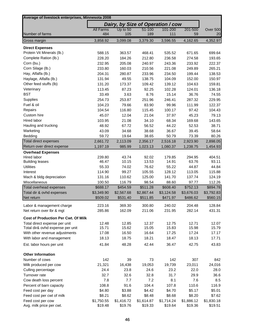| Average of livestock enterprises, Minnesota 2008 |                      |                                   |                      |            |                      |            |
|--------------------------------------------------|----------------------|-----------------------------------|----------------------|------------|----------------------|------------|
|                                                  |                      | Dairy, by Size of Operation / cow |                      |            |                      |            |
|                                                  | <b>All Farms</b>     | Up to 50                          | 51-100               | 101-200    | 201-500              | Over 500   |
| Number of farms                                  | 484                  | 105                               | 189                  | 111        | 59                   | 20         |
| Gross margin                                     | 3,858.92             | 3,099.08                          | 3,379.30             | 3,596.55   | 4,162.65             | 4,352.97   |
| <b>Direct Expenses</b>                           |                      |                                   |                      |            |                      |            |
| Protein Vit Minerals (lb.)                       | 588.15               | 363.57                            | 468.41               | 535.52     | 671.65               | 699.64     |
| Complete Ration (lb.)                            | 228.20               | 184.26                            | 212.80               | 236.58     | 274.58               | 193.65     |
| Corn (bu.)                                       | 232.95               | 205.08                            | 240.97               | 243.36     | 233.92               | 222.37     |
| Corn Silage (lb.)                                | 233.80               | 160.03                            | 210.56               | 221.08     | 249.89               | 265.21     |
| Hay, Alfalfa (lb.)                               | 204.31               | 280.87                            | 233.96               | 234.50     | 199.44               | 138.53     |
| Haylage, Alfalfa (lb.)                           | 131.94               | 49.55                             | 138.75               | 104.09     | 152.00               | 150.97     |
| Other feed stuffs (lb)                           | 131.20               | 173.37                            | 109.42               | 139.12     | 104.63               | 159.81     |
| Veterinary                                       | 113.45               | 87.23                             | 92.25                | 102.28     | 124.01               | 136.18     |
| <b>BST</b>                                       | 33.49                | 3.63                              | 8.76                 | 15.14      | 36.76                | 74.55      |
| Supplies                                         | 254.73               | 253.87                            | 251.96               | 246.41     | 287.32               | 229.95     |
| Fuel & oil                                       | 104.23               | 79.66                             | 83.90                | 99.96      | 111.99               | 122.37     |
| Repairs                                          | 104.54               | 116.80                            | 115.45               | 100.17     | 97.42                | 104.43     |
| Custom hire                                      | 45.07                | 12.04                             | 21.04                | 37.97      | 45.23                | 79.13      |
| Hired labor                                      | 103.95               | 21.08                             | 34.10                | 68.34      | 169.68               | 143.65     |
|                                                  |                      |                                   |                      |            | 52.53                |            |
| Hauling and trucking                             | 48.92                | 67.72                             | 56.52                | 44.22      |                      | 38.71      |
| Marketing                                        | 43.09                | 34.68                             | 38.68                | 36.67      | 39.45                | 58.64      |
| Bedding                                          | 59.72                | 19.64                             | 38.65                | 50.79      | 73.39                | 80.26      |
| Total direct expenses                            | 2,661.72             | 2,113.09                          | 2,356.17             | 2,516.18   | 2,923.90             | 2,898.05   |
| Return over direct expense                       | 1,197.19             | 985.99                            | 1,023.13             | 1,080.37   | 1,238.75             | 1,454.93   |
| <b>Overhead Expenses</b>                         |                      |                                   |                      |            |                      |            |
| Hired labor                                      | 239.80               | 43.74                             | 92.02                | 179.85     | 294.95               | 404.51     |
| <b>Building leases</b>                           | 46.47                | 10.15                             | 13.53                | 14.91      | 63.76                | 93.11      |
| <b>Utilities</b>                                 | 55.33                | 74.02                             | 76.62                | 55.22      | 44.87                | 44.84      |
| Interest                                         | 114.90               | 99.27                             | 105.55               | 128.12     | 113.05               | 115.88     |
| Mach & bldg depreciation                         | 131.16               | 110.62                            | 125.00               | 141.70     | 137.74               | 124.19     |
| Miscellaneous                                    | 100.50               | 116.79                            | 98.54                | 88.60      | 97.77                | 112.26     |
| Total overhead expenses                          | \$688.17             | \$454.59                          | \$511.28             | \$608.40   | \$752.13             | \$894.78   |
| Total dir & ovhd expenses                        | \$3,349.90           | \$2,567.68                        | \$2,867.44           | \$3,124.58 | \$3,676.03           | \$3,792.83 |
| Net return                                       | \$509.02             | \$531.40                          | \$511.85             | \$471.97   | \$486.62             | \$560.15   |
| Labor & management charge                        | 223.16               | 369.30                            | 300.80               | 240.02     | 204.48               | 128.84     |
| Net return over lbr & mgt                        | 285.86               | 162.09                            | 211.06               | 231.95     | 282.14               | 431.31     |
|                                                  |                      |                                   |                      |            |                      |            |
| <b>Cost of Production Per Cwt. Of Milk</b>       |                      |                                   |                      |            |                      |            |
| Total direct expense per unit                    | 12.48                | 12.85                             | 12.37                | 12.75      | 12.71                | 12.07      |
| Total dir& ovhd expense per unit                 | 15.71                | 15.62                             | 15.05                | 15.83      | 15.98                | 15.79      |
| With other revenue adjustments                   | 17.08                | 16.50                             | 16.64                | 17.25      | 17.24                | 17.17      |
| With labor and management                        | 18.13                | 18.75                             | 18.21                | 18.47      | 18.13                | 17.71      |
| Est. labor hours per unit                        | 41.84                | 48.28                             | 42.44                | 36.47      | 42.75                | 43.83      |
| <b>Other Information</b>                         |                      |                                   |                      |            |                      |            |
| Number of cows                                   | 142                  | 39                                | 73                   | 142        | 307                  | 842        |
| Milk produced per cow                            | 21,321               | 16,438                            | 19,053               | 19,739     | 23,011               | 24,016     |
| Culling percentage                               | 24.4                 | 23.8                              | 24.6                 | 23.2       | 22.0                 | 28.0       |
| Turnover rate                                    | 32.7                 | 32.6                              | 32.8                 | 31.7       | 29.9                 | 36.6       |
| Cow death loss percent                           | 7.8                  | 7.7                               | 7.2                  | 8.1        | 7.6                  | 8.5        |
| Percent of barn capacity                         | 108.8                | 91.6                              | 104.4                | 107.8      | 110.6                | 116.9      |
|                                                  | \$4.80               | \$3.88                            | \$4.42               | \$4.70     | \$5.17               | \$5.01     |
| Feed cost per day                                |                      |                                   |                      |            |                      |            |
| Feed cost per cwt of milk                        | \$8.21<br>\$1,750.55 | \$8.62<br>\$1,416.72              | \$8.48<br>\$1,614.87 | \$8.68     | \$8.20<br>\$1,886.12 | \$7.62     |
| Feed cost per cow                                |                      |                                   |                      | \$1,714.24 |                      | \$1,830.18 |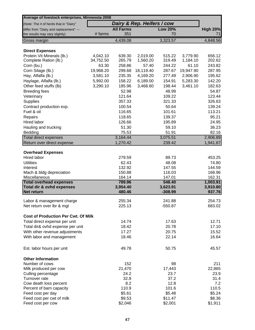| Average of livestock enterprises, Minnesota 2008    |                       |                    |                            |                       |                      |                    |
|-----------------------------------------------------|-----------------------|--------------------|----------------------------|-----------------------|----------------------|--------------------|
| (Note: The # of herds that in "Dairy"               |                       |                    | Dairy & Rep. Heifers / cow |                       |                      |                    |
| differ from "Dairy and replacement" ---             |                       | <b>All Farms</b>   |                            | <b>Low 20%</b>        |                      | <b>High 20%</b>    |
| the results may vary slightly)                      | # farms               | 351                |                            | 70                    |                      | 71                 |
| Gross margin                                        |                       | 4,439.08           |                            | 3,323.57              |                      | 4,848.56           |
|                                                     |                       |                    |                            |                       |                      |                    |
| <b>Direct Expenses</b>                              |                       |                    |                            |                       |                      |                    |
| Protein Vit Minerals (lb.)<br>Complete Ration (lb.) | 4,042.10<br>34,752.50 | 639.30<br>265.79   | 2,019.00<br>1,560.20       | 515.22<br>319.49      | 3,779.90<br>1,184.10 | 656.12<br>202.62   |
| Corn (bu.)                                          | 63.30                 | 258.86             | 57.40                      | 244.22                | 61.10                | 243.82             |
| Corn Silage (lb.)                                   | 19,968.20             | 299.68             | 18,119.40                  | 287.67                | 19,947.90            | 287.95             |
| Hay, Alfalfa (lb.)                                  | 3,581.10              | 235.35             | 4,169.20                   | 277.49                | 2,906.90             | 195.62             |
| Haylage, Alfalfa (lb.)                              | 5,992.00              | 158.22             | 6,189.00                   | 154.91                | 5,283.30             | 142.20             |
| Other feed stuffs (lb)                              | 3,290.10              | 185.96             | 3,468.60                   | 198.44                | 3,461.10             | 182.63             |
| <b>Breeding fees</b>                                |                       | 52.98              |                            | 48.99                 |                      | 54.87              |
| Veterinary                                          |                       | 121.64             |                            | 109.22                |                      | 123.44             |
| Supplies                                            |                       | 357.33             |                            | 321.33                |                      | 326.63             |
| Contract production exp.                            |                       | 100.54             |                            | 50.64                 |                      | 139.24             |
| Fuel & oil                                          |                       | 116.65             |                            | 101.61                |                      | 113.21             |
| Repairs                                             |                       | 118.65             |                            | 139.37                |                      | 95.21              |
| Hired labor                                         |                       | 126.66             |                            | 195.89                |                      | 24.95              |
| Hauling and trucking                                |                       | 51.30              |                            | 59.10                 |                      | 36.23              |
| Bedding                                             |                       | 75.53              |                            | 51.91                 |                      | 82.16              |
| <b>Total direct expenses</b>                        |                       | 3,164.44           |                            | 3,075.51              |                      | 2,906.89           |
| Return over direct expense                          |                       | 1,270.42           |                            | 239.42                |                      | 1,941.67           |
| <b>Overhead Expenses</b>                            |                       |                    |                            |                       |                      |                    |
| <b>Hired labor</b>                                  |                       | 279.59             |                            | 89.73                 |                      | 453.25             |
| <b>Utilities</b>                                    |                       | 62.43              |                            | 48.08                 |                      | 74.80              |
| Interest                                            |                       | 132.92             |                            | 147.55                |                      | 144.59             |
| Mach & bldg depreciation                            |                       | 150.88             |                            | 116.03                |                      | 168.96             |
| Miscellaneous                                       |                       | 164.14             |                            | 147.01                |                      | 162.31             |
| <b>Total overhead expenses</b>                      |                       | 789.96             |                            | 548.40                |                      | 1,003.91           |
| Total dir & ovhd expenses<br><b>Net return</b>      |                       | 3,954.40<br>480.46 |                            | 3,623.91<br>$-308.99$ |                      | 3,910.80<br>937.76 |
|                                                     |                       |                    |                            |                       |                      |                    |
| Labor & management charge                           |                       | 255.34             |                            | 241.88                |                      | 254.73             |
| Net return over Ibr & mgt                           |                       | 225.13             |                            | $-550.87$             |                      | 683.02             |
| <b>Cost of Production Per Cwt. Of Milk</b>          |                       |                    |                            |                       |                      |                    |
| Total direct expense per unit                       |                       | 14.74              |                            | 17.63                 |                      | 12.71              |
| Total dir& ovhd expense per unit                    |                       | 18.42              |                            | 20.78                 |                      | 17.10              |
| With other revenue adjustments                      |                       | 17.27              |                            | 20.75                 |                      | 15.52              |
| With labor and management                           |                       | 18.46              |                            | 22.14                 |                      | 16.64              |
| Est. labor hours per unit                           |                       | 49.78              |                            | 50.75                 |                      | 45.57              |
|                                                     |                       |                    |                            |                       |                      |                    |
| <b>Other Information</b><br>Number of cows          |                       | 152                |                            | 98                    |                      | 211                |
| Milk produced per cow                               |                       | 21,470             |                            | 17,443                |                      | 22,865             |
| Culling percentage                                  |                       | 24.2               |                            | 23.7                  |                      | 23.9               |
| Turnover rate                                       |                       | 32.8               |                            | 37.2                  |                      | 31.4               |
| Cow death loss percent                              |                       | 8.2                |                            | 12.8                  |                      | 7.2                |
| Percent of barn capacity                            |                       | 110.9              |                            | 101.6                 |                      | 110.5              |
| Feed cost per day                                   |                       | \$5.61             |                            | \$5.48                |                      | \$5.24             |
| Feed cost per cwt of milk                           |                       | \$9.53             |                            | \$11.47               |                      | \$8.36             |
| Feed cost per cow                                   |                       | \$2,046            |                            | \$2,001               |                      | \$1,911            |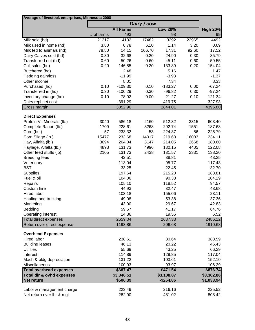| Average of livestock enterprises, Minnesota 2008 |            |                      |               |                      |               |                      |
|--------------------------------------------------|------------|----------------------|---------------|----------------------|---------------|----------------------|
|                                                  |            |                      | Dairy / cow   |                      |               |                      |
|                                                  |            | <b>All Farms</b>     |               | <b>Low 20%</b>       |               | <b>High 20%</b>      |
|                                                  | # of farms | 493                  |               | 98                   |               | 99                   |
| Milk sold (hd)                                   | 21217      | 4132                 | 17482<br>6.10 | 3292                 | 22965<br>3.20 | 4492                 |
| Milk used in home (hd)                           | 3.80       | 0.78                 |               | 1.14                 |               | 0.69                 |
| Milk fed to animals (hd)                         | 78.80      | 14.15                | 106.70        | 17.31                | 92.60         | 17.52                |
| Dairy Calves sold (hd)                           | 0.30       | 32.68                | 0.20          | 24.90                | 0.30          | 35.79                |
| Transferred out (hd)                             | 0.60       | 50.26                | 0.60          | 45.11                | 0.60          | 59.55                |
| Cull sales (hd)                                  | 0.20       | 146.85               | 0.20          | 133.89               | 0.20          | 154.04               |
| Butchered (hd)                                   |            | 2.48                 |               | 5.16                 |               | 1.47                 |
| Hedging gain/loss                                |            | $-11.99$             |               | $-3.98$              |               | $-1.37$              |
| Other income                                     |            | 8.01                 |               | 7.34                 |               | 8.33                 |
| Purchased (hd)                                   | 0.10       | $-109.30$            | 0.10          | $-183.27$            | 0.00          | $-67.24$             |
| Transferred in (hd)                              | 0.30       | $-100.29$            | 0.30          | $-96.82$             | 0.30          | $-97.24$             |
| Inventory change (hd)                            | 0.10       | 78.92                | 0.00          | 21.27                | 0.10          | 121.34               |
| Dairy repl net cost<br>Gross margin              |            | $-391.29$<br>3852.90 |               | $-419.75$<br>2844.01 |               | $-327.93$<br>4396.80 |
|                                                  |            |                      |               |                      |               |                      |
| <b>Direct Expenses</b>                           |            |                      |               |                      |               |                      |
| Protein Vit Minerals (lb.)                       | 3040       | 586.18               | 2160          | 512.32               | 3315          | 603.40               |
| Complete Ration (lb.)                            | 1709       | 228.61               | 3268          | 292.74               | 1551          | 187.63               |
| Corn (bu.)                                       | 57         | 233.32               | 53            | 224.37               | 56            | 225.79               |
| Corn Silage (lb.)                                | 15477      | 233.68               | 14017         | 219.68               | 16003         | 234.11               |
| Hay, Alfalfa (lb.)                               | 3094       | 204.04               | 3147          | 214.05               | 2668          | 180.60               |
| Haylage, Alfalfa (lb.)                           | 4893       | 131.73               | 4996          | 130.15               | 4405          | 122.08               |
| Other feed stuffs (lb)                           | 2105       | 131.73               | 2438          | 131.57               | 2331          | 138.20               |
| <b>Breeding fees</b>                             |            | 42.51                |               | 38.81                |               | 43.25                |
| Veterinary                                       |            | 113.04               |               | 95.77                |               | 117.43               |
| <b>BST</b>                                       |            | 33.25                |               | 22.45                |               | 32.70                |
| <b>Supplies</b>                                  |            | 197.64               |               | 215.20               |               | 183.81               |
| Fuel & oil                                       |            | 104.06               |               | 90.38                |               | 104.29               |
| Repairs                                          |            | 105.10               |               | 118.52               |               | 94.57                |
| Custom hire                                      |            | 44.93                |               | 32.47                |               | 43.68                |
| <b>Hired labor</b>                               |            | 103.18               |               | 155.06               |               | 23.11                |
| Hauling and trucking                             |            | 49.08                |               | 53.38                |               | 37.36                |
| Marketing                                        |            | 43.00                |               | 29.67                |               | 42.83                |
| Bedding                                          |            | 59.57                |               | 41.17                |               | 64.76                |
| Operating interest                               |            | 14.36                |               | 19.56                |               | 6.52                 |
| Total direct expenses                            |            | 2659.04              |               | 2637.33              |               | 2486.12              |
| Return over direct expense                       |            | 1193.86              |               | 206.68               |               | 1910.68              |
| <b>Overhead Expenses</b>                         |            |                      |               |                      |               |                      |
| Hired labor                                      |            | 238.61               |               | 80.64                |               | 388.59               |
| <b>Building leases</b>                           |            | 46.13                |               | 20.22                |               | 46.43                |
| <b>Utilities</b>                                 |            | 55.69                |               | 43.25                |               | 66.29                |
| Interest                                         |            | 114.89               |               | 129.85               |               | 117.04               |
| Mach & bldg depreciation                         |            | 131.22               |               | 103.61               |               | 152.10               |
| Miscellaneous                                    |            | 100.93               |               | 93.97                |               | 106.29               |
| <b>Total overhead expenses</b>                   |            | \$687.47             |               | \$471.54             |               | \$876.74             |
| <b>Total dir &amp; ovhd expenses</b>             |            | \$3,346.51           |               | \$3,108.87           |               | \$3,362.86           |
| Net return                                       |            | \$506.39             |               | $-$264.86$           |               | \$1,033.94           |
|                                                  |            |                      |               |                      |               |                      |
| Labor & management charge                        |            | 223.49               |               | 216.16               |               | 225.52               |
| Net return over lbr & mgt                        |            | 282.90               |               | $-481.02$            |               | 808.42               |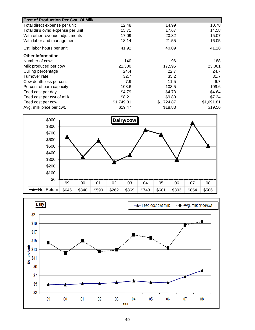| <b>Cost of Production Per Cwt. Of Milk</b> |            |            |            |
|--------------------------------------------|------------|------------|------------|
| Total direct expense per unit              | 12.48      | 14.99      | 10.78      |
| Total dir& ovhd expense per unit           | 15.71      | 17.67      | 14.58      |
| With other revenue adjustments             | 17.09      | 20.32      | 15.07      |
| With labor and management                  | 18.14      | 21.55      | 16.05      |
| Est. labor hours per unit                  | 41.92      | 40.09      | 41.18      |
| <b>Other Information</b>                   |            |            |            |
| Number of cows                             | 140        | 96         | 188        |
| Milk produced per cow                      | 21,300     | 17,595     | 23,061     |
| Culling percentage                         | 24.4       | 22.7       | 24.7       |
| Turnover rate                              | 32.7       | 35.2       | 31.7       |
| Cow death loss percent                     | 7.9        | 11.5       | 6.7        |
| Percent of barn capacity                   | 108.6      | 103.5      | 109.6      |
| Feed cost per day                          | \$4.79     | \$4.73     | \$4.64     |
| Feed cost per cwt of milk                  | \$8.21     | \$9.80     | \$7.34     |
| Feed cost per cow                          | \$1,749.31 | \$1,724.87 | \$1,691.81 |
| Avg. milk price per cwt.                   | \$19.47    | \$18.83    | \$19.56    |



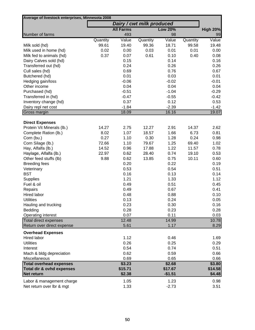| Average of livestock enterprises, Minnesota 2008       |          |                  |                           |                |          |                 |
|--------------------------------------------------------|----------|------------------|---------------------------|----------------|----------|-----------------|
|                                                        |          |                  | Dairy / cwt milk produced |                |          |                 |
|                                                        |          | <b>All Farms</b> |                           | <b>Low 20%</b> |          | <b>High 20%</b> |
| Number of farms                                        |          | 493              |                           | 98             |          | 99              |
|                                                        | Quantity | Value            | Quantity                  | Value          | Quantity | Value           |
| Milk sold (hd)                                         | 99.61    | 19.40            | 99.36                     | 18.71          | 99.58    | 19.48           |
| Milk used in home (hd)                                 | 0.02     | 0.00             | 0.03                      | 0.01           | 0.01     | 0.00            |
| Milk fed to animals (hd)                               | 0.37     | 0.07             | 0.61                      | 0.10           | 0.40     | 0.08            |
| Dairy Calves sold (hd)                                 |          | 0.15             |                           | 0.14           |          | 0.16            |
| Transferred out (hd)                                   |          | 0.24             |                           | 0.26           |          | 0.26            |
| Cull sales (hd)                                        |          | 0.69             |                           | 0.76           |          | 0.67            |
| Butchered (hd)                                         |          | 0.01             |                           | 0.03           |          | 0.01            |
| Hedging gain/loss                                      |          | $-0.06$          |                           | $-0.02$        |          | $-0.01$         |
| Other income                                           |          | 0.04             |                           | 0.04           |          | 0.04            |
| Purchased (hd)                                         |          | $-0.51$          |                           | $-1.04$        |          | $-0.29$         |
| Transferred in (hd)                                    |          | $-0.47$          |                           | $-0.55$        |          | $-0.42$         |
| Inventory change (hd)                                  |          | 0.37             |                           | 0.12           |          | 0.53            |
| Dairy repl net cost                                    |          | $-1.84$          |                           | $-2.39$        |          | $-1.42$         |
| Gross margin                                           |          | 18.09            |                           | 16.16          |          | 19.07           |
| <b>Direct Expenses</b>                                 |          |                  |                           |                |          |                 |
| Protein Vit Minerals (lb.)                             | 14.27    | 2.75             | 12.27                     | 2.91           | 14.37    | 2.62            |
| Complete Ration (lb.)                                  | 8.02     | 1.07             | 18.57                     | 1.66           | 6.73     | 0.81            |
| Corn (bu.)                                             | 0.27     | 1.10             | 0.30                      | 1.28           | 0.24     | 0.98            |
| Corn Silage (lb.)                                      | 72.66    | 1.10             | 79.67                     | 1.25           | 69.40    | 1.02            |
| Hay, Alfalfa (lb.)                                     | 14.52    | 0.96             | 17.88                     | 1.22           | 11.57    | 0.78            |
| Haylage, Alfalfa (lb.)                                 | 22.97    | 0.62             | 28.40                     | 0.74           | 19.10    | 0.53            |
| Other feed stuffs (lb)                                 | 9.88     | 0.62             | 13.85                     | 0.75           | 10.11    | 0.60            |
| <b>Breeding fees</b>                                   |          | 0.20             |                           | 0.22           |          | 0.19            |
| Veterinary                                             |          | 0.53             |                           | 0.54           |          | 0.51            |
| <b>BST</b>                                             |          | 0.16             |                           | 0.13           |          | 0.14            |
| <b>Supplies</b>                                        |          | 1.21             |                           | 1.33           |          | 1.12            |
| Fuel & oil                                             |          | 0.49             |                           | 0.51           |          | 0.45            |
| Repairs                                                |          | 0.49             |                           | 0.67           |          | 0.41            |
| Hired labor                                            |          | 0.48             |                           | 0.88           |          | 0.10            |
| <b>Utilities</b>                                       |          | 0.13             |                           | 0.24           |          | 0.05            |
| Hauling and trucking                                   |          | 0.23             |                           | 0.30           |          | 0.16            |
| Bedding                                                |          | 0.28             |                           | 0.23           |          | 0.28            |
| Operating interest                                     |          | 0.07             |                           | 0.11           |          | 0.03            |
| <b>Total direct expenses</b>                           |          | 12.48            |                           | 14.99          |          | 10.78           |
| Return over direct expense                             |          | 5.61             |                           | 1.17           |          | 8.29            |
| <b>Overhead Expenses</b>                               |          |                  |                           |                |          |                 |
| Hired labor                                            |          | 1.12             |                           | 0.46           |          | 1.69            |
| <b>Utilities</b>                                       |          | 0.26             |                           | 0.25           |          | 0.29            |
| Interest                                               |          | 0.54             |                           | 0.74           |          | 0.51            |
| Mach & bldg depreciation                               |          | 0.62             |                           | 0.59           |          | 0.66            |
| Miscellaneous                                          |          | 0.69             |                           | 0.65           |          | 0.66            |
| <b>Total overhead expenses</b>                         |          | \$3.23           |                           | \$2.68         |          | \$3.80          |
| <b>Total dir &amp; ovhd expenses</b>                   |          | \$15.71          |                           | \$17.67        |          | \$14.58         |
| Net return                                             |          | \$2.38           |                           | $-$1.51$       |          | \$4.48          |
|                                                        |          | 1.05             |                           | 1.23           |          | 0.98            |
| Labor & management charge<br>Net return over lbr & mgt |          | 1.33             |                           | $-2.73$        |          | 3.51            |
|                                                        |          |                  |                           |                |          |                 |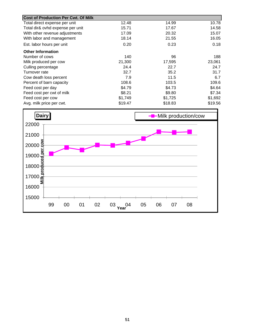| <b>Cost of Production Per Cwt. Of Milk</b> |         |         |         |
|--------------------------------------------|---------|---------|---------|
| Total direct expense per unit              | 12.48   | 14.99   | 10.78   |
| Total dir& ovhd expense per unit           | 15.71   | 17.67   | 14.58   |
| With other revenue adjustments             | 17.09   | 20.32   | 15.07   |
| With labor and management                  | 18.14   | 21.55   | 16.05   |
| Est. labor hours per unit                  | 0.20    | 0.23    | 0.18    |
| <b>Other Information</b>                   |         |         |         |
| Number of cows                             | 140     | 96      | 188     |
| Milk produced per cow                      | 21,300  | 17,595  | 23,061  |
| Culling percentage                         | 24.4    | 22.7    | 24.7    |
| Turnover rate                              | 32.7    | 35.2    | 31.7    |
| Cow death loss percent                     | 7.9     | 11.5    | 6.7     |
| Percent of barn capacity                   | 108.6   | 103.5   | 109.6   |
| Feed cost per day                          | \$4.79  | \$4.73  | \$4.64  |
| Feed cost per cwt of milk                  | \$8.21  | \$9.80  | \$7.34  |
| Feed cost per cow                          | \$1,749 | \$1,725 | \$1,692 |
| Avg. milk price per cwt.                   | \$19.47 | \$18.83 | \$19.56 |

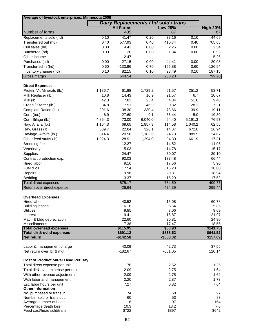| Average of livestock enterprises, Minnesota 2008       |              |                                      |              |                    |              |                  |
|--------------------------------------------------------|--------------|--------------------------------------|--------------|--------------------|--------------|------------------|
|                                                        |              | Dairy Replacements / hd sold / trans |              |                    |              |                  |
|                                                        |              | All Farms                            |              | <b>Low 20%</b>     |              | <b>High 20%</b>  |
| Number of farms                                        |              | 435                                  |              | 87                 |              | 87               |
| Replacements sold (hd)<br>Transferred out (hd)         | 0.10<br>0.40 | 41.47<br>577.93                      | 0.20<br>0.40 | 37.16<br>410.74    | 0.10<br>0.40 | 44.69<br>705.65  |
|                                                        | 0.00         |                                      | 0.00         |                    |              |                  |
| Cull sales (hd)                                        |              | 4.43                                 |              | 2.25<br>1.84       | 0.00         | 2.54             |
| Butchered (hd)                                         | 0.00         | 1.20                                 | 0.00         |                    | 0.00         | 0.93             |
| Other income                                           |              | 2.47                                 |              |                    |              | 5.26             |
| Purchased (hd)                                         | 0.00         | $-27.15$                             | 0.00         | $-44.41$           | 0.00         | $-20.08$         |
| Transferred in (hd)                                    | 0.60         | $-133.96$                            | 0.70         | $-155.88$          | 0.60         | $-126.94$        |
| Inventory change (hd)<br>Gross margin                  | 0.10         | 82.15<br>548.54                      | 0.10         | 28.49<br>280.20    | 0.10         | 187.15<br>799.20 |
|                                                        |              |                                      |              |                    |              |                  |
| <b>Direct Expenses</b>                                 |              |                                      |              |                    |              |                  |
| Protein Vit Minerals (lb.)                             | 1,186.7      | 61.88                                | 1,729.2      | 61.57              | 251.2        | 53.71            |
| Milk Replacer (lb.)                                    | 10.8         | 14.43                                | 16.9         | 21.57              | 6.7          | 10.67            |
| Milk (lb.)                                             | 42.3         | 7.82                                 | 25.4         | 4.84               | 51.8         | 9.48             |
| Creep / Starter (lb.)                                  | 34.8         | 7.91                                 | 46.9         | 9.32               | 28.3         | 7.31             |
| Complete Ration (lb.)                                  | 291.6        | 38.30                                | 330.4        | 73.66              | 139.9        | 19.11            |
| Corn (bu.)                                             | 6.9          | 27.60                                | 9.1          | 36.44              | 5.0          | 19.30            |
| Corn Silage (lb.)                                      | 4,864.3      | 73.00                                | 6,040.0      | 94.40              | 5,191.3      | 76.97            |
| Hay, Alfalfa (lb.)                                     | 1,164.3      | 69.65                                | 1,857.3      | 114.58             | 1,040.2      | 62.55            |
| Hay, Grass (lb)                                        | 589.7        | 22.84                                | 326.1        | 14.37              | 672.6        | 26.94            |
|                                                        |              |                                      |              |                    |              |                  |
| Haylage, Alfalfa (lb.)                                 | 814.4        | 20.56                                | 1,182.6      | 24.73              | 889.5        | 24.07            |
| Other feed stuffs (lb)                                 | 1,024.3      | 28.91                                | 1,294.0      | 34.30              | 661.9        | 17.31            |
| <b>Breeding fees</b>                                   |              | 12.27                                |              | 14.52              |              | 11.05            |
| Veterinary                                             |              | 15.03                                |              | 14.78              |              | 15.17            |
| Supplies                                               |              | 24.47                                |              | 30.07              |              | 20.10            |
| Contract production exp.                               |              | 92.03                                |              | 137.48             |              | 66.44            |
| Hired labor                                            |              | 9.16                                 |              | 17.56              |              | 5.90             |
| Fuel & oil                                             |              | 17.54                                |              | 16.23              |              | 18.80            |
| Repairs                                                |              | 19.98                                |              | 20.31              |              | 18.94            |
| Bedding                                                |              | 13.37                                |              | 15.29              |              | 17.52            |
| Total direct expenses                                  |              | 575.17                               |              | 754.59             |              | 499.77           |
| Return over direct expense                             |              | $-26.64$                             |              | $-474.39$          |              | 299.44           |
| <b>Overhead Expenses</b>                               |              |                                      |              |                    |              |                  |
| Hired labor                                            |              | 40.52                                |              | 15.08              |              | 60.78            |
| <b>Building leases</b>                                 |              | 6.18                                 |              | 6.64               |              | 5.85             |
| <b>Utilities</b>                                       |              | 9.85                                 |              | 7.06               |              | 9.69             |
| Interest                                               |              | 19.41                                |              | 16.87              |              | 21.97            |
| Mach & bldg depreciation                               |              | 22.60                                |              | 20.81              |              | 24.90            |
| Miscellaneous                                          |              | 17.38                                |              | 17.47              |              | 18.55            |
| <b>Total overhead expenses</b>                         |              | \$115.95                             |              | \$83.93            |              | \$141.75         |
| Total dir & ovhd expenses                              |              | \$691.12                             |              | \$838.52           |              | \$641.52         |
| <b>Net return</b>                                      |              | $-$142.58$                           |              | $-$ \$558.32       |              | \$157.69         |
|                                                        |              |                                      |              |                    |              |                  |
| Labor & management charge<br>Net return over Ibr & mgt |              | 40.09<br>$-182.67$                   |              | 42.73<br>$-601.05$ |              | 37.55<br>120.14  |
|                                                        |              |                                      |              |                    |              |                  |
| <b>Cost of ProductionPer Head Per Day</b>              |              |                                      |              |                    |              |                  |
| Total direct expense per unit                          |              | 1.78                                 |              | 2.52               |              | 1.25             |
| Total dir& ovhd expense per unit                       |              | 2.09                                 |              | 2.75               |              | 1.64             |
| With other revenue adjustments                         |              | 2.09                                 |              | 2.75               |              | 1.62             |
| With labor and management                              |              | 2.20                                 |              | 2.87               |              | 1.73             |
| Est. labor hours per unit                              |              | 7.27                                 |              | 6.82               |              | 7.64             |
| <b>Other Information</b>                               |              |                                      |              |                    |              |                  |
| No. purchased or trans in                              |              | 74                                   |              | 68                 |              | 97               |
| Number sold or trans out                               |              | 60                                   |              | 53                 |              | 83               |
| Average number of head                                 |              | 116                                  |              | 97                 |              | 164              |
| Percentage death loss                                  |              | 10.3                                 |              | 13.2               |              | 7.6              |
| Feed cost/head sold/trans                              |              | \$722                                |              | \$897              |              | \$642            |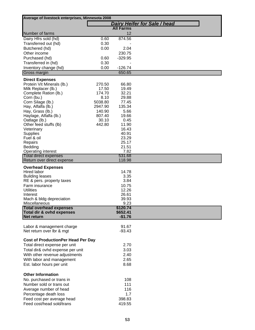| Average of livestock enterprises, Minnesota 2008     |              |                     |                                     |
|------------------------------------------------------|--------------|---------------------|-------------------------------------|
|                                                      |              |                     | <b>Dairy Heifer for Sale / head</b> |
|                                                      |              | <b>All Farms</b>    |                                     |
| Number of farms                                      |              | 12                  |                                     |
| Dairy Hfrs sold (hd)                                 | 0.60         | 874.56              |                                     |
| Transferred out (hd)                                 | 0.30         |                     |                                     |
| Butchered (hd)                                       | 0.00         | 2.04                |                                     |
| Other income                                         |              | 230.75<br>$-329.95$ |                                     |
| Purchased (hd)                                       | 0.60<br>0.30 |                     |                                     |
| Transferred in (hd)<br>Inventory change (hd)         | 0.00         | $-126.74$           |                                     |
| Gross margin                                         |              | 650.65              |                                     |
|                                                      |              |                     |                                     |
| <b>Direct Expenses</b><br>Protein Vit Minerals (lb.) | 270.50       | 66.80               |                                     |
| Milk Replacer (lb.)                                  | 17.50        | 19.49               |                                     |
| Complete Ration (lb.)                                | 174.70       | 32.21               |                                     |
| Corn (bu.)                                           | 8.10         | 29.88               |                                     |
| Corn Silage (lb.)                                    | 5038.80      | 77.45               |                                     |
| Hay, Alfalfa (lb.)                                   | 2947.90      | 135.34              |                                     |
| Hay, Grass (lb.)                                     | 140.90       | 5.66                |                                     |
| Haylage, Alfalfa (lb.)                               | 807.40       | 19.66               |                                     |
| Oatlage (lb.)                                        | 30.10        | 0.45                |                                     |
| Other feed stuffs (lb)                               | 442.80       | 11.90               |                                     |
| Veterinary                                           |              | 16.43               |                                     |
| <b>Supplies</b><br>Fuel & oil                        |              | 40.91<br>23.29      |                                     |
| Repairs                                              |              | 25.17               |                                     |
| Bedding                                              |              | 21.51               |                                     |
| <b>Operating interest</b>                            |              | 7.82                |                                     |
| <b>Total direct expenses</b>                         |              | 531.68              |                                     |
| Return over direct expense                           |              | 118.98              |                                     |
| <b>Overhead Expenses</b>                             |              |                     |                                     |
| Hired labor                                          |              | 14.78               |                                     |
| <b>Building leases</b>                               |              | 3.35                |                                     |
| RE & pers. property taxes                            |              | 3.84                |                                     |
| Farm insurance                                       |              | 10.75               |                                     |
| <b>Utilities</b>                                     |              | 12.26               |                                     |
| Interest                                             |              | 26.61               |                                     |
| Mach & bldg depreciation<br>Miscellaneous            |              | 39.93               |                                     |
| <b>Total overhead expenses</b>                       |              | 9.23<br>\$120.74    |                                     |
| Total dir & ovhd expenses                            |              | \$652.41            |                                     |
| <b>Net return</b>                                    |              | $-$1.76$            |                                     |
|                                                      |              |                     |                                     |
| Labor & management charge                            |              | 91.67               |                                     |
| Net return over lbr & mgt                            |              | $-93.43$            |                                     |
| <b>Cost of ProductionPer Head Per Day</b>            |              |                     |                                     |
| Total direct expense per unit                        |              | 2.70                |                                     |
| Total dir& ovhd expense per unit                     |              | 3.03                |                                     |
| With other revenue adjustments                       |              | 2.40                |                                     |
| With labor and management                            |              | 2.65                |                                     |
| Est. labor hours per unit                            |              | 8.68                |                                     |
|                                                      |              |                     |                                     |
| <b>Other Information</b>                             |              |                     |                                     |
| No. purchased or trans in                            |              | 108                 |                                     |
| Number sold or trans out                             |              | 111                 |                                     |
| Average number of head                               |              | 116                 |                                     |
| Percentage death loss                                |              | 1.7                 |                                     |
| Feed cost per average head                           |              | 398.83              |                                     |
| Feed cost/head sold/trans                            |              | 419.55              |                                     |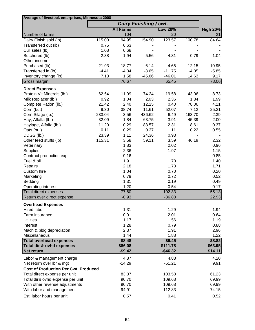| Average of livestock enterprises, Minnesota 2008 |          |                  |                        |                |          |                 |
|--------------------------------------------------|----------|------------------|------------------------|----------------|----------|-----------------|
|                                                  |          |                  | Dairy Finishing / cwt. |                |          |                 |
|                                                  |          | <b>All Farms</b> |                        | <b>Low 20%</b> |          | <b>High 20%</b> |
| Number of farms                                  |          | 104              |                        | 20             |          | 21              |
| Dairy Finish sold (lb)                           | 115.00   | 94.95            | 154.90                 | 123.57         | 100.78   | 84.64           |
| Transferred out (lb)                             | 0.75     | 0.63             |                        |                |          |                 |
| Cull sales (lb)                                  | 1.08     | 0.68             |                        |                |          |                 |
| Butchered (lb)                                   | 2.38     | 1.94             | 5.56                   | 4.31           | 0.79     | 1.04            |
| Other income                                     |          |                  |                        |                |          |                 |
| Purchased (lb)                                   | $-21.93$ | $-18.77$         | $-6.14$                | $-4.66$        | $-12.15$ | $-10.95$        |
| Transferred in (lb)                              | $-4.41$  | $-4.34$          | $-8.65$                | $-11.75$       | $-4.05$  | $-5.85$         |
| Inventory change (lb)                            | 7.13     | 1.58             | $-45.66$               | $-46.01$       | 14.63    | 9.17            |
| Gross margin                                     |          | 76.67            |                        | 65.45          |          | 78.06           |
| <b>Direct Expenses</b>                           |          |                  |                        |                |          |                 |
| Protein Vit Minerals (lb.)                       | 62.54    | 11.99            | 74.24                  | 19.58          | 43.06    | 8.73            |
| Milk Replacer (lb.)                              | 0.92     | 1.04             | 2.03                   | 2.36           | 1.84     | 1.99            |
| Complete Ration (lb.)                            | 21.42    | 2.40             | 12.25                  | 0.40           | 78.06    | 4.11            |
| Corn (bu.)                                       | 9.30     | 38.74            | 11.61                  | 52.07          | 7.12     | 25.21           |
| Corn Silage (lb.)                                | 233.04   | 3.56             | 436.62                 | 6.49           | 163.70   | 2.39            |
| Hay, Alfalfa (lb.)                               | 32.09    | 1.84             | 63.75                  | 3.91           | 45.39    | 2.00            |
| Haylage, Alfalfa (lb.)                           | 11.20    | 0.29             | 83.57                  | 2.31           | 18.61    | 0.37            |
| Oats (bu.)                                       | 0.11     | 0.29             | 0.37                   | 1.11           | 0.22     | 0.55            |
| DDGS (lb.)                                       | 23.39    | 1.11             | 24.36                  | 0.93           |          |                 |
| Other feed stuffs (lb)                           | 115.31   | 3.58             | 59.11                  | 3.59           | 46.19    | 2.32            |
| Veterinary                                       |          | 1.83             |                        | 2.02           |          | 0.96            |
| <b>Supplies</b>                                  |          | 2.36             |                        | 1.97           |          | 1.15            |
| Contract production exp.                         |          | 0.16             |                        |                |          | 0.85            |
| Fuel & oil                                       |          | 1.91             |                        | 1.70           |          | 1.40            |
| Repairs                                          |          | 2.18             |                        | 1.73           |          | 1.71            |
| Custom hire                                      |          | 1.04             |                        | 0.70           |          | 0.20            |
| Marketing                                        |          | 0.79             |                        | 0.72           |          | 0.52            |
| Bedding                                          |          | 1.31             |                        | 0.19           |          | 0.49            |
| Operating interest                               |          | 1.20             |                        | 0.54           |          | 0.17            |
| Total direct expenses                            |          | 77.60            |                        | 102.33         |          | 55.13           |
| Return over direct expense                       |          | $-0.93$          |                        | $-36.88$       |          | 22.93           |
| <b>Overhead Expenses</b>                         |          |                  |                        |                |          |                 |
| <b>Hired labor</b>                               |          | 1.31             |                        | 1.29           |          | 1.94            |
| Farm insurance                                   |          | 0.91             |                        | 2.01           |          | 0.64            |
| <b>Utilities</b>                                 |          | 1.17             |                        | 1.56           |          | 1.19            |
| Interest                                         |          | 1.28             |                        | 0.79           |          | 0.88            |
| Mach & bldg depreciation                         |          | 2.37             |                        | 1.91           |          | 2.96            |
| Miscellaneous                                    |          | 1.44             |                        | 1.88           |          | 1.22            |
| <b>Total overhead expenses</b>                   |          | \$8.48           |                        | \$9.45         |          | \$8.82          |
| Total dir & ovhd expenses                        |          | \$86.08          |                        | \$111.78       |          | \$63.95         |
| Net return                                       |          | $-$9.42$         |                        | $-$46.32$      |          | \$14.11         |
| Labor & management charge                        |          | 4.87             |                        | 4.88           |          | 4.20            |
| Net return over Ibr & mgt                        |          | $-14.29$         |                        | $-51.21$       |          | 9.91            |
| <b>Cost of Production Per Cwt. Produced</b>      |          |                  |                        |                |          |                 |
| Total direct expense per unit                    |          | 83.37            |                        | 103.58         |          | 61.23           |
| Total dir& ovhd expense per unit                 |          | 90.70            |                        | 109.68         |          | 69.99           |
| With other revenue adjustments                   |          | 90.70            |                        | 109.68         |          | 69.99           |
| With labor and management                        |          | 94.91            |                        | 112.83         |          | 74.15           |
| Est. labor hours per unit                        |          | 0.57             |                        | 0.41           |          | 0.52            |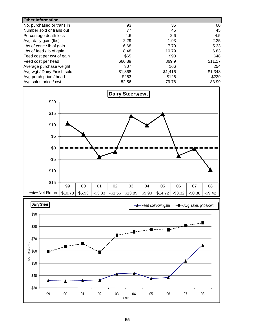| <b>Other Information</b>    |         |         |         |
|-----------------------------|---------|---------|---------|
| No. purchased or trans in   | 93      | 35      | 60      |
| Number sold or trans out    | 77      | 45      | 45      |
| Percentage death loss       | 4.6     | 2.6     | 4.5     |
| Avg. daily gain (lbs)       | 2.29    | 1.93    | 2.35    |
| Lbs of conc / lb of gain    | 6.68    | 7.79    | 5.33    |
| Lbs of feed / lb of gain    | 8.48    | 10.79   | 6.83    |
| Feed cost per cwt of gain   | \$65    | \$93    | \$48    |
| Feed cost per head          | 660.89  | 869.9   | 511.17  |
| Average purchase weight     | 307     | 166     | 254     |
| Avg wgt / Dairy Finish sold | \$1,368 | \$1,416 | \$1,343 |
| Avg purch price / head      | \$263   | \$126   | \$229   |
| Avg sales price / cwt.      | 82.56   | 79.78   | 83.99   |



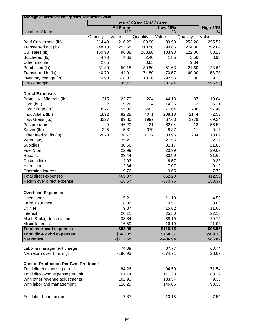| Average of livestock enterprises, Minnesota 2008    | <b>Beef Cow-Calf / cow</b> |                  |          |                |                |                 |
|-----------------------------------------------------|----------------------------|------------------|----------|----------------|----------------|-----------------|
|                                                     |                            | <b>All Farms</b> |          | <b>Low 20%</b> |                | <b>High 20%</b> |
| Number of farms                                     |                            | 119              |          | 23             |                | 24              |
|                                                     | Quantity                   | Value            | Quantity | Value          | Quantity       | Value           |
| Beef Calves sold (lb)                               | 214.40                     | 216.29           | 100.90   | 89.90          | 253.20         | 255.57          |
| Transferred out (lb)                                | 248.10                     | 252.58           | 310.50   | 299.86         | 274.80         | 292.04          |
| Cull sales (lb)                                     | 160.90                     | 96.38            | 268.80   | 103.93         | 122.00         | 88.13           |
| Butchered (lb)                                      | 4.90                       | 4.63             | 2.40     | 1.85           | 5.50           | 3.90            |
| Other income                                        | 2.65                       |                  | 0.65     |                | 9.34           |                 |
| Purchased (lb)                                      | $-31.80$                   | $-59.18$         | $-30.80$ | $-51.63$       | $-21.60$       | $-23.64$        |
| Transferred in (lb)                                 | $-40.70$                   | $-44.01$         | $-74.80$ | $-70.57$       | $-60.00$       | $-58.73$        |
| Inventory change (lb)                               | 0.90                       | $-18.83$         | 113.20   | $-92.55$       | 2.80           | 29.33           |
| Gross margin                                        |                            | 450.5            |          | 281.44         |                | 595.95          |
| <b>Direct Expenses</b>                              |                            |                  |          |                |                |                 |
| Protein Vit Minerals (lb.)                          | 315                        | 22.79            | 224      | 44.13          | 87             | 19.04           |
| Corn (bu.)                                          | $\overline{2}$             | 9.26             | 4        | 14.25          | $\overline{2}$ | 6.21            |
| Corn Silage (lb.)                                   | 3977                       | 55.86            | 5483     | 77.64          | 3706           | 57.49           |
| Hay, Alfalfa (lb.)                                  | 1892                       | 82.28            | 4071     | 208.18         | 2144           | 72.53           |
| Hay, Grass (lb.)                                    | 3327                       | 99.80            | 1997     | 67.63          | 2779           | 69.24           |
| Pasture (aum)                                       | 9                          | 46.20            | 21       | 62.04          | 13             | 56.59           |
| Stover (lb.)                                        | 225                        | 5.81             | 379      | 8.37           | 11             | 0.17            |
| Other feed stuffs (lb)                              | 2070                       | 28.75            | 1117     | 33.95          | 3284           | 18.09           |
| Veterinary                                          |                            | 25.20            |          | 27.56          |                | 32.32           |
|                                                     |                            | 30.56            |          | 31.17          |                | 21.85           |
| Supplies                                            |                            | 22.99            |          |                |                | 29.09           |
| Fuel & oil                                          |                            |                  |          | 20.99          |                |                 |
| Repairs                                             |                            | 23.44            |          | 30.99          |                | 21.69           |
| Custom hire                                         |                            | 4.03             |          | 8.57           |                | 0.28            |
| Hired labor                                         |                            | 2.34             |          | 7.07           |                | 0.19            |
| Operating interest                                  |                            | 9.76             |          | 9.65           |                | 7.79            |
| Total direct expenses<br>Return over direct expense |                            | 469.07           |          | 652.20         |                | 412.58          |
|                                                     |                            | $-18.57$         |          | $-370.76$      |                | 183.37          |
| <b>Overhead Expenses</b>                            |                            |                  |          |                |                |                 |
| Hired labor                                         |                            | 5.21             |          | 11.10          |                | 4.58            |
| Farm insurance                                      |                            | 8.36             |          | 9.57           |                | 8.03            |
| <b>Utilities</b>                                    |                            | 9.87             |          | 15.62          |                | 11.00           |
| Interest                                            |                            | 20.11            |          | 25.50          |                | 22.15           |
| Mach & bldg depreciation                            |                            | 33.84            |          | 38.19          |                | 29.75           |
| Miscellaneous                                       |                            | 16.59            |          | 16.19          |                | 21.03           |
| <b>Total overhead expenses</b>                      |                            | \$93.98          |          | \$116.18       |                | \$96.55         |
| <b>Total dir &amp; ovhd expenses</b>                |                            | \$563.05         |          | \$768.37       |                | \$509.13        |
| Net return                                          |                            | $-$112.55$       |          | $-$486.94$     |                | \$86.82         |
| Labor & management charge                           |                            | 74.39            |          | 87.77          |                | 63.74           |
| Net return over lbr & mgt                           |                            | $-186.93$        |          | $-574.71$      |                | 23.09           |
| <b>Cost of Production Per Cwt. Produced</b>         |                            |                  |          |                |                |                 |
| Total direct expense per unit                       |                            | 84.26            |          | 94.50          |                | 71.54           |
| Total dir& ovhd expense per unit                    |                            | 101.14           |          | 111.33         |                | 88.29           |
|                                                     |                            |                  |          |                |                | 79.33           |
| With other revenue adjustments                      |                            | 102.93           |          | 133.34         |                |                 |
| With labor and management                           |                            | 116.29           |          | 146.06         |                | 90.38           |
| Est. labor hours per unit                           |                            | 7.87             |          | 10.15          |                | 7.54            |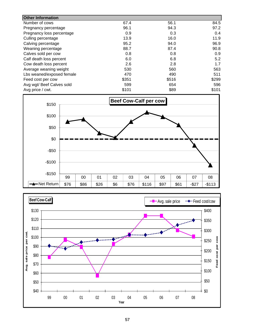| <b>Other Information</b>  |       |       |       |
|---------------------------|-------|-------|-------|
| Number of cows            | 67.4  | 56.1  | 84.5  |
| Pregnancy percentage      | 96.1  | 94.3  | 97.2  |
| Pregnancy loss percentage | 0.9   | 0.3   | 0.4   |
| Culling percentage        | 13.9  | 16.0  | 11.9  |
| Calving percentage        | 95.2  | 94.0  | 96.9  |
| Weaning percentage        | 88.7  | 87.4  | 90.8  |
| Calves sold per cow       | 0.8   | 0.8   | 0.9   |
| Calf death loss percent   | 6.0   | 6.8   | 5.2   |
| Cow death loss percent    | 2.6   | 2.8   | 1.7   |
| Average weaning weight    | 530   | 560   | 563   |
| Lbs weaned/exposed female | 470   | 490   | 511   |
| Feed cost per cow         | \$351 | \$516 | \$299 |
| Avg wgt/ Beef Calves sold | 599   | 654   | 596   |
| Avg price / cwt.          | \$101 | \$89  | \$101 |



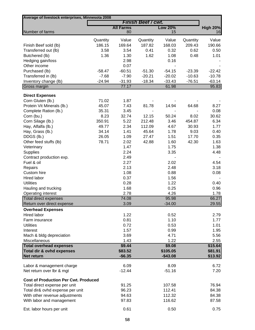| Average of livestock enterprises, Minnesota 2008 |                     |                        | <b>Finish Beef / cwt.</b> |                   |                |                       |
|--------------------------------------------------|---------------------|------------------------|---------------------------|-------------------|----------------|-----------------------|
|                                                  |                     |                        |                           | <b>Low 20%</b>    |                |                       |
| Number of farms                                  |                     | <b>All Farms</b><br>80 |                           | 15                |                | <b>High 20%</b><br>16 |
|                                                  |                     |                        |                           |                   |                |                       |
|                                                  | Quantity            | Value                  | Quantity                  | Value             | Quantity       | Value                 |
| Finish Beef sold (lb)                            | 186.15              | 169.64                 | 187.82                    | 168.03            | 209.43         | 190.66                |
| Transferred out (lb)                             | 3.58                | 3.54                   | 0.41                      | 0.32              | 0.62           | 0.50                  |
| Butchered (lb)                                   | 1.36                | 1.30                   | 1.62                      | 1.08              | 0.48           | 1.01                  |
| Hedging gain/loss<br>Other income                |                     | 2.98<br>0.07           |                           | 0.16              |                |                       |
|                                                  |                     |                        |                           |                   |                |                       |
| Purchased (lb)                                   | $-58.47$            | $-60.51$               | $-51.30$                  | $-54.15$          | $-23.39$       | $-22.42$              |
| Transferred in (lb)                              | $-7.68$<br>$-24.94$ | $-7.90$                | $-20.21$                  | $-20.02$          | $-10.63$       | $-10.78$              |
| Inventory change (lb)<br>Gross margin            |                     | $-31.93$<br>77.17      | $-18.34$                  | $-33.43$<br>61.98 | $-76.51$       | $-63.14$<br>95.83     |
|                                                  |                     |                        |                           |                   |                |                       |
| <b>Direct Expenses</b>                           |                     |                        |                           |                   |                |                       |
| Corn Gluten (lb.)                                | 71.02               | 1.87                   |                           |                   |                |                       |
| Protein Vit Minerals (lb.)                       | 45.07               | 7.43                   | 81.78                     | 14.94             | 64.68          | 8.27                  |
| Complete Ration (lb.)                            | 35.31               | 3.45                   |                           |                   |                | 0.08                  |
| Corn (bu.)                                       | 8.23<br>350.91      | 32.74<br>5.22          | 12.15<br>212.48           | 50.24<br>3.46     | 8.02<br>454.87 | 30.62<br>6.34         |
| Corn Silage (lb.)                                |                     |                        | 112.09                    |                   |                |                       |
| Hay, Alfalfa (lb.)                               | 49.77<br>34.14      | 2.34<br>1.41           | 45.64                     | 4.67<br>1.78      | 30.93<br>9.03  | 1.77                  |
| Hay, Grass (lb.)<br>DDGS (lb.)                   | 26.05               | 1.09                   | 27.47                     | 1.51              | 17.70          | 0.40<br>0.35          |
| Other feed stuffs (lb)                           | 78.71               | 2.02                   | 42.88                     | 1.60              | 42.30          | 1.63                  |
| Veterinary                                       |                     | 1.47                   |                           | 1.75              |                | 1.38                  |
| Supplies                                         |                     | 2.24                   |                           | 3.35              |                | 4.48                  |
| Contract production exp.                         |                     | 2.49                   |                           |                   |                |                       |
| Fuel & oil                                       |                     | 2.27                   |                           | 2.02              |                | 4.54                  |
| Repairs                                          |                     | 2.13                   |                           | 2.48              |                | 3.18                  |
| Custom hire                                      |                     | 1.08                   |                           | 0.88              |                | 0.08                  |
| Hired labor                                      |                     | 0.37                   |                           | 1.56              |                |                       |
| <b>Utilities</b>                                 |                     | 0.28                   |                           | 1.22              |                | 0.40                  |
| Hauling and trucking                             |                     | 1.68                   |                           | 0.25              |                | 0.96                  |
| Operating interest                               |                     | 2.78                   |                           | 4.26              |                | 1.78                  |
| Total direct expenses                            |                     | 74.08                  |                           | 95.98             |                | 66.27                 |
| Return over direct expense                       |                     | 3.09                   |                           | $-34.00$          |                | 29.55                 |
| <b>Overhead Expenses</b>                         |                     |                        |                           |                   |                |                       |
| <b>Hired labor</b>                               |                     | 1.22                   |                           | 0.52              |                | 2.79                  |
| Farm insurance                                   |                     | 0.81                   |                           | 1.10              |                | 1.77                  |
| <b>Utilities</b>                                 |                     | 0.72                   |                           | 0.53              |                | 1.01                  |
| Interest                                         |                     | 1.57                   |                           | 0.99              |                | 1.95                  |
| Mach & bldg depreciation                         |                     | 3.69                   |                           | 4.71              |                | 5.56                  |
| Miscellaneous                                    |                     | 1.43                   |                           | 1.22              |                | 2.55                  |
| <b>Total overhead expenses</b>                   |                     | \$9.44                 |                           | \$9.08            |                | \$15.64               |
| Total dir & ovhd expenses                        |                     | \$83.52                |                           | \$105.05          |                | \$81.91               |
| Net return                                       |                     | $-$6.35$               |                           | $-$43.08$         |                | \$13.92               |
| Labor & management charge                        |                     | 6.09                   |                           | 8.09              |                | 6.72                  |
| Net return over lbr & mgt                        |                     | $-12.44$               |                           | $-51.16$          |                | 7.20                  |
| <b>Cost of Production Per Cwt. Produced</b>      |                     |                        |                           |                   |                |                       |
| Total direct expense per unit                    |                     | 91.25                  |                           | 107.58            |                | 76.94                 |
| Total dir& ovhd expense per unit                 |                     | 96.23                  |                           | 112.41            |                | 84.38                 |
| With other revenue adjustments                   |                     | 94.63                  |                           | 112.32            |                | 84.38                 |
| With labor and management                        |                     | 97.83                  |                           | 116.62            |                | 87.58                 |
|                                                  |                     |                        |                           |                   |                |                       |
| Est. labor hours per unit                        |                     | 0.61                   |                           | 0.50              |                | 0.75                  |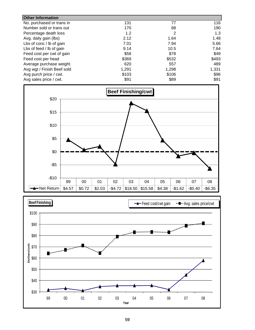| <b>Other Information</b>   |       |       |       |
|----------------------------|-------|-------|-------|
| No. purchased or trans in  | 131   | 77    | 116   |
| Number sold or trans out   | 170   | 88    | 190   |
| Percentage death loss      | 1.2   | 2     | 1.3   |
| Avg. daily gain (lbs)      | 2.12  | 1.64  | 1.48  |
| Lbs of conc / lb of gain   | 7.01  | 7.94  | 5.66  |
| Lbs of feed / lb of gain   | 9.14  | 10.5  | 7.64  |
| Feed cost per cwt of gain  | \$58  | \$78  | \$49  |
| Feed cost per head         | \$369 | \$532 | \$493 |
| Average purchase weight    | 620   | 557   | 489   |
| Avg wgt / Finish Beef sold | 1,291 | 1,298 | 1,331 |
| Avg purch price / cwt.     | \$103 | \$106 | \$96  |
| Avg sales price / cwt.     | \$91  | \$89  | \$91  |



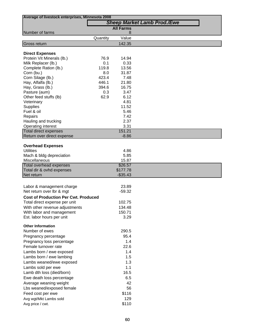| Average of livestock enterprises, Minnesota 2008 |          |                  |                                    |  |  |
|--------------------------------------------------|----------|------------------|------------------------------------|--|--|
|                                                  |          |                  | <b>Sheep Market Lamb Prod./Ewe</b> |  |  |
|                                                  |          | <b>All Farms</b> |                                    |  |  |
| Number of farms                                  |          | 8                |                                    |  |  |
|                                                  | Quantity | Value            |                                    |  |  |
| Gross return                                     |          | 142.35           |                                    |  |  |
| <b>Direct Expenses</b>                           |          |                  |                                    |  |  |
| Protein Vit Minerals (lb.)                       | 76.9     | 14.94            |                                    |  |  |
| Milk Replacer (lb.)                              | 0.1      | 0.33             |                                    |  |  |
| Complete Ration (lb.)                            | 119.8    | 13.56            |                                    |  |  |
| Corn (bu.)                                       | 8.0      | 31.87            |                                    |  |  |
| Corn Silage (lb.)                                | 423.4    | 7.48             |                                    |  |  |
| Hay, Alfalfa (lb.)                               | 446.1    | 21.80            |                                    |  |  |
| Hay, Grass (lb.)                                 | 394.6    | 16.75            |                                    |  |  |
| Pasture (aum)                                    | 0.3      | 3.47             |                                    |  |  |
| Other feed stuffs (lb)                           | 62.9     | 6.12             |                                    |  |  |
| Veterinary                                       |          | 4.81             |                                    |  |  |
| Supplies                                         |          | 11.52            |                                    |  |  |
| Fuel & oil                                       |          | 5.46             |                                    |  |  |
| Repairs                                          |          | 7.42             |                                    |  |  |
| Hauling and trucking                             |          | 2.37             |                                    |  |  |
| Operating interest                               |          | 3.31             |                                    |  |  |
| <b>Total direct expenses</b>                     |          | 151.21           |                                    |  |  |
| Return over direct expense                       |          | $-8.86$          |                                    |  |  |
|                                                  |          |                  |                                    |  |  |
| <b>Overhead Expenses</b>                         |          |                  |                                    |  |  |
| <b>Utilities</b>                                 |          | 4.86<br>5.85     |                                    |  |  |
| Mach & bldg depreciation<br>Miscellaneous        |          | 15.87            |                                    |  |  |
| Total overhead expenses                          |          | \$26.57          |                                    |  |  |
| Total dir & ovhd expenses                        |          | \$177.78         |                                    |  |  |
| Net return                                       |          | $-$35.43$        |                                    |  |  |
|                                                  |          |                  |                                    |  |  |
| Labor & management charge                        |          | 23.89            |                                    |  |  |
| Net return over lbr & mgt                        |          | $-59.32$         |                                    |  |  |
| <b>Cost of Production Per Cwt. Produced</b>      |          |                  |                                    |  |  |
| Total direct expense per unit                    |          | 102.75           |                                    |  |  |
| With other revenue adjustments                   |          | 134.48           |                                    |  |  |
| With labor and management                        |          | 150.71           |                                    |  |  |
| Est. labor hours per unit                        |          | 3.29             |                                    |  |  |
|                                                  |          |                  |                                    |  |  |
| <b>Other Information</b>                         |          |                  |                                    |  |  |
| Number of ewes                                   |          | 290.5            |                                    |  |  |
| Pregnancy percentage                             |          | 95.4             |                                    |  |  |
| Pregnancy loss percentage                        |          | 1.4              |                                    |  |  |
| Female turnover rate                             |          | 22.6             |                                    |  |  |
| Lambs born / ewe exposed                         |          | 1.4              |                                    |  |  |
| Lambs born / ewe lambing                         |          | 1.5              |                                    |  |  |
| Lambs weaned/ewe exposed                         |          | 1.3              |                                    |  |  |
| Lambs sold per ewe                               |          | 1.1              |                                    |  |  |
| Lamb dth loss (died/born)                        |          | 16.5             |                                    |  |  |
| Ewe death loss percentage                        |          | 6.5              |                                    |  |  |
| Average weaning weight                           |          | 42               |                                    |  |  |
| Lbs weaned/exposed female                        |          | 56               |                                    |  |  |
| Feed cost per ewe                                |          | \$116            |                                    |  |  |
| Avg wgt/Mkt Lambs sold                           |          | 129              |                                    |  |  |
| Avg price / cwt.                                 |          | \$110            |                                    |  |  |